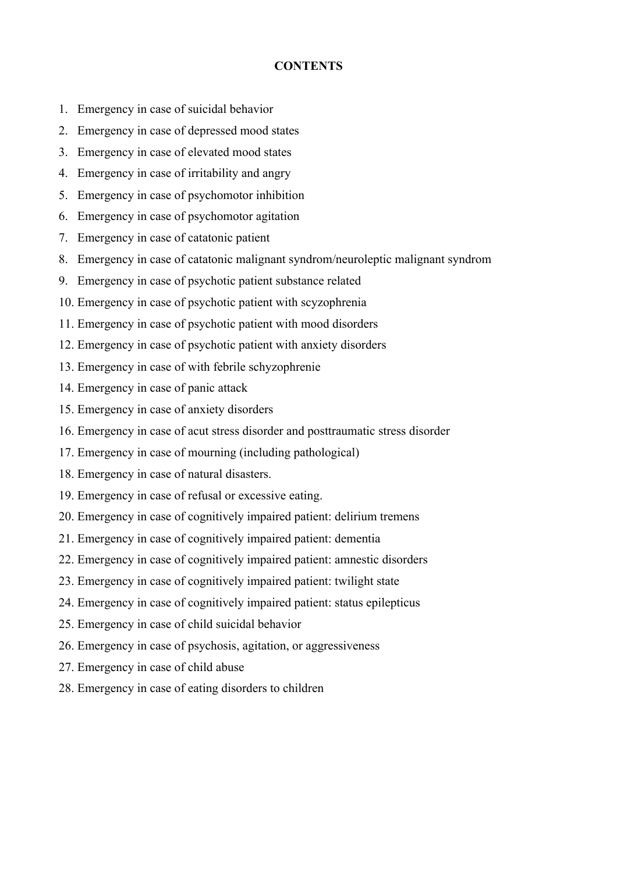# **CONTENTS**

- 1. Emergency in case of suicidal behavior
- 2. Emergency in case of depressed mood states
- 3. Emergency in case of elevated mood states
- 4. Emergency in case of irritability and angry
- 5. Emergency in case of psychomotor inhibition
- 6. Emergency in case of psychomotor agitation
- 7. Emergency in case of catatonic patient
- 8. Emergency in case of catatonic malignant syndrom/neuroleptic malignant syndrom
- 9. Emergency in case of psychotic patient substance related
- 10. Emergency in case of psychotic patient with scyzophrenia
- 11. Emergency in case of psychotic patient with mood disorders
- 12. Emergency in case of psychotic patient with anxiety disorders
- 13. Emergency in case of with febrile schyzophrenie
- 14. Emergency in case of panic attack
- 15. Emergency in case of anxiety disorders
- 16. Emergency in case of acut stress disorder and posttraumatic stress disorder
- 17. Emergency in case of mourning (including pathological)
- 18. Emergency in case of natural disasters.
- 19. Emergency in case of refusal or excessive eating.
- 20. Emergency in case of cognitively impaired patient: delirium tremens
- 21. Emergency in case of cognitively impaired patient: dementia
- 22. Emergency in case of cognitively impaired patient: amnestic disorders
- 23. Emergency in case of cognitively impaired patient: twilight state
- 24. Emergency in case of cognitively impaired patient: status epilepticus
- 25. Emergency in case of child suicidal behavior
- 26. Emergency in case of psychosis, agitation, or aggressiveness
- 27. Emergency in case of child abuse
- 28. Emergency in case of eating disorders to children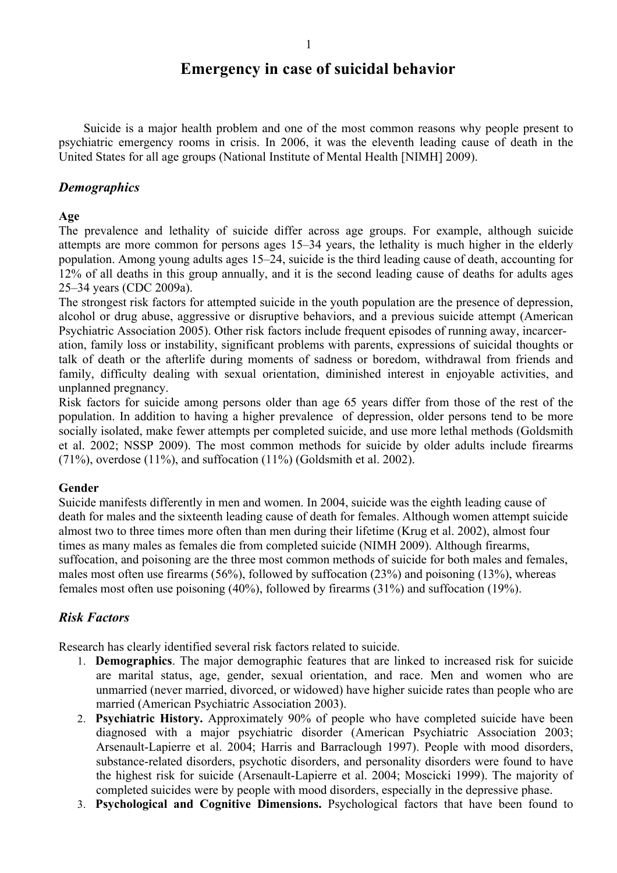# **Emergency in case of suicidal behavior**

 Suicide is a major health problem and one of the most common reasons why people present to psychiatric emergency rooms in crisis. In 2006, it was the eleventh leading cause of death in the United States for all age groups (National Institute of Mental Health [NIMH] 2009).

## *Demographics*

## **Age**

The prevalence and lethality of suicide differ across age groups. For example, although suicide attempts are more common for persons ages 15–34 years, the lethality is much higher in the elderly population. Among young adults ages 15–24, suicide is the third leading cause of death, accounting for 12% of all deaths in this group annually, and it is the second leading cause of deaths for adults ages 25–34 years (CDC 2009a).

The strongest risk factors for attempted suicide in the youth population are the presence of depression, alcohol or drug abuse, aggressive or disruptive behaviors, and a previous suicide attempt (American Psychiatric Association 2005). Other risk factors include frequent episodes of running away, incarcer-

ation, family loss or instability, significant problems with parents, expressions of suicidal thoughts or talk of death or the afterlife during moments of sadness or boredom, withdrawal from friends and family, difficulty dealing with sexual orientation, diminished interest in enjoyable activities, and unplanned pregnancy.

Risk factors for suicide among persons older than age 65 years differ from those of the rest of the population. In addition to having a higher prevalence of depression, older persons tend to be more socially isolated, make fewer attempts per completed suicide, and use more lethal methods (Goldsmith et al. 2002; NSSP 2009). The most common methods for suicide by older adults include firearms (71%), overdose  $(11\%)$ , and suffocation  $(11\%)$  (Goldsmith et al. 2002).

## **Gender**

Suicide manifests differently in men and women. In 2004, suicide was the eighth leading cause of death for males and the sixteenth leading cause of death for females. Although women attempt suicide almost two to three times more often than men during their lifetime (Krug et al. 2002), almost four times as many males as females die from completed suicide (NIMH 2009). Although firearms, suffocation, and poisoning are the three most common methods of suicide for both males and females, males most often use firearms (56%), followed by suffocation (23%) and poisoning (13%), whereas females most often use poisoning (40%), followed by firearms (31%) and suffocation (19%).

# *Risk Factors*

Research has clearly identified several risk factors related to suicide.

- 1. **Demographics**. The major demographic features that are linked to increased risk for suicide are marital status, age, gender, sexual orientation, and race. Men and women who are unmarried (never married, divorced, or widowed) have higher suicide rates than people who are married (American Psychiatric Association 2003).
- 2. **Psychiatric History.** Approximately 90% of people who have completed suicide have been diagnosed with a major psychiatric disorder (American Psychiatric Association 2003; Arsenault-Lapierre et al. 2004; Harris and Barraclough 1997). People with mood disorders, substance-related disorders, psychotic disorders, and personality disorders were found to have the highest risk for suicide (Arsenault-Lapierre et al. 2004; Moscicki 1999). The majority of completed suicides were by people with mood disorders, especially in the depressive phase.
- 3. **Psychological and Cognitive Dimensions.** Psychological factors that have been found to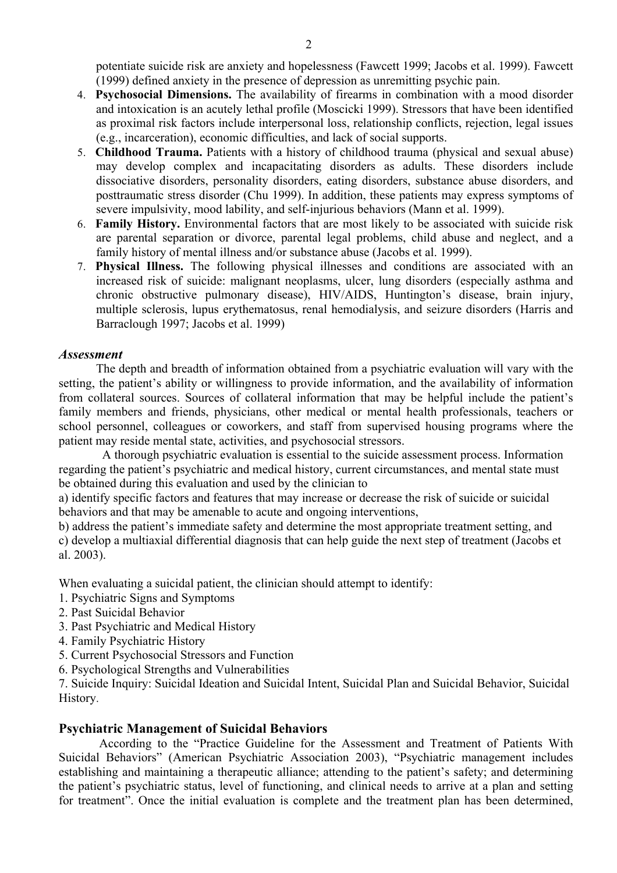potentiate suicide risk are anxiety and hopelessness (Fawcett 1999; Jacobs et al. 1999). Fawcett (1999) defined anxiety in the presence of depression as unremitting psychic pain.

- 4. **Psychosocial Dimensions.** The availability of firearms in combination with a mood disorder and intoxication is an acutely lethal profile (Moscicki 1999). Stressors that have been identified as proximal risk factors include interpersonal loss, relationship conflicts, rejection, legal issues (e.g., incarceration), economic difficulties, and lack of social supports.
- 5. **Childhood Trauma.** Patients with a history of childhood trauma (physical and sexual abuse) may develop complex and incapacitating disorders as adults. These disorders include dissociative disorders, personality disorders, eating disorders, substance abuse disorders, and posttraumatic stress disorder (Chu 1999). In addition, these patients may express symptoms of severe impulsivity, mood lability, and self-injurious behaviors (Mann et al. 1999).
- 6. **Family History.** Environmental factors that are most likely to be associated with suicide risk are parental separation or divorce, parental legal problems, child abuse and neglect, and a family history of mental illness and/or substance abuse (Jacobs et al. 1999).
- 7. **Physical Illness.** The following physical illnesses and conditions are associated with an increased risk of suicide: malignant neoplasms, ulcer, lung disorders (especially asthma and chronic obstructive pulmonary disease), HIV/AIDS, Huntington's disease, brain injury, multiple sclerosis, lupus erythematosus, renal hemodialysis, and seizure disorders (Harris and Barraclough 1997; Jacobs et al. 1999)

### *Assessment*

 The depth and breadth of information obtained from a psychiatric evaluation will vary with the setting, the patient's ability or willingness to provide information, and the availability of information from collateral sources. Sources of collateral information that may be helpful include the patient's family members and friends, physicians, other medical or mental health professionals, teachers or school personnel, colleagues or coworkers, and staff from supervised housing programs where the patient may reside mental state, activities, and psychosocial stressors.

 A thorough psychiatric evaluation is essential to the suicide assessment process. Information regarding the patient's psychiatric and medical history, current circumstances, and mental state must be obtained during this evaluation and used by the clinician to

a) identify specific factors and features that may increase or decrease the risk of suicide or suicidal behaviors and that may be amenable to acute and ongoing interventions,

b) address the patient's immediate safety and determine the most appropriate treatment setting, and c) develop a multiaxial differential diagnosis that can help guide the next step of treatment (Jacobs et al. 2003).

When evaluating a suicidal patient, the clinician should attempt to identify:

- 1. Psychiatric Signs and Symptoms
- 2. Past Suicidal Behavior
- 3. Past Psychiatric and Medical History
- 4. Family Psychiatric History
- 5. Current Psychosocial Stressors and Function
- 6. Psychological Strengths and Vulnerabilities

7. Suicide Inquiry: Suicidal Ideation and Suicidal Intent, Suicidal Plan and Suicidal Behavior, Suicidal History.

## **Psychiatric Management of Suicidal Behaviors**

 According to the "Practice Guideline for the Assessment and Treatment of Patients With Suicidal Behaviors" (American Psychiatric Association 2003), "Psychiatric management includes establishing and maintaining a therapeutic alliance; attending to the patient's safety; and determining the patient's psychiatric status, level of functioning, and clinical needs to arrive at a plan and setting for treatment". Once the initial evaluation is complete and the treatment plan has been determined,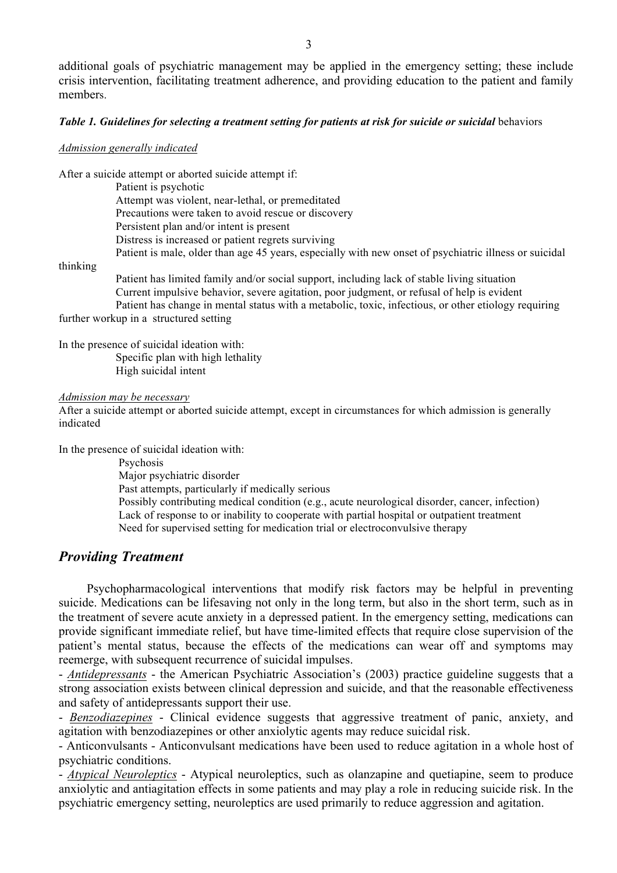additional goals of psychiatric management may be applied in the emergency setting; these include crisis intervention, facilitating treatment adherence, and providing education to the patient and family members.

### *Table 1. Guidelines for selecting a treatment setting for patients at risk for suicide or suicidal* behaviors

#### *Admission generally indicated*

After a suicide attempt or aborted suicide attempt if:

 Patient is psychotic Attempt was violent, near-lethal, or premeditated Precautions were taken to avoid rescue or discovery Persistent plan and/or intent is present Distress is increased or patient regrets surviving Patient is male, older than age 45 years, especially with new onset of psychiatric illness or suicidal

thinking

 Patient has limited family and/or social support, including lack of stable living situation Current impulsive behavior, severe agitation, poor judgment, or refusal of help is evident Patient has change in mental status with a metabolic, toxic, infectious, or other etiology requiring further workup in a structured setting

In the presence of suicidal ideation with: Specific plan with high lethality

High suicidal intent

*Admission may be necessary* 

After a suicide attempt or aborted suicide attempt, except in circumstances for which admission is generally indicated

In the presence of suicidal ideation with:

 Psychosis Major psychiatric disorder Past attempts, particularly if medically serious Possibly contributing medical condition (e.g., acute neurological disorder, cancer, infection) Lack of response to or inability to cooperate with partial hospital or outpatient treatment Need for supervised setting for medication trial or electroconvulsive therapy

## *Providing Treatment*

 Psychopharmacological interventions that modify risk factors may be helpful in preventing suicide. Medications can be lifesaving not only in the long term, but also in the short term, such as in the treatment of severe acute anxiety in a depressed patient. In the emergency setting, medications can provide significant immediate relief, but have time-limited effects that require close supervision of the patient's mental status, because the effects of the medications can wear off and symptoms may reemerge, with subsequent recurrence of suicidal impulses.

- *Antidepressants* - the American Psychiatric Association's (2003) practice guideline suggests that a strong association exists between clinical depression and suicide, and that the reasonable effectiveness and safety of antidepressants support their use.

- *Benzodiazepines* - Clinical evidence suggests that aggressive treatment of panic, anxiety, and agitation with benzodiazepines or other anxiolytic agents may reduce suicidal risk.

- Anticonvulsants - Anticonvulsant medications have been used to reduce agitation in a whole host of psychiatric conditions.

- *Atypical Neuroleptics* - Atypical neuroleptics, such as olanzapine and quetiapine, seem to produce anxiolytic and antiagitation effects in some patients and may play a role in reducing suicide risk. In the psychiatric emergency setting, neuroleptics are used primarily to reduce aggression and agitation.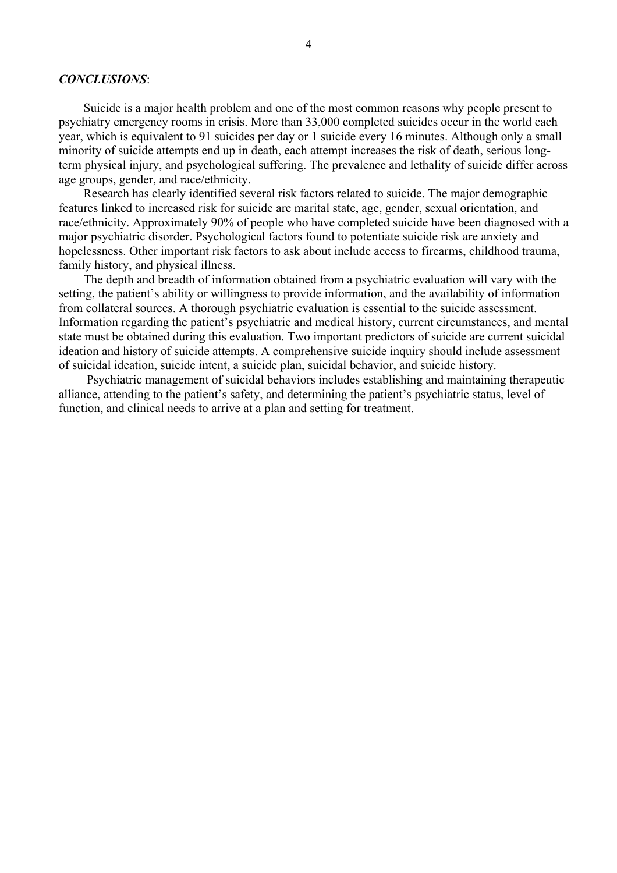### *CONCLUSIONS*:

 Suicide is a major health problem and one of the most common reasons why people present to psychiatry emergency rooms in crisis. More than 33,000 completed suicides occur in the world each year, which is equivalent to 91 suicides per day or 1 suicide every 16 minutes. Although only a small minority of suicide attempts end up in death, each attempt increases the risk of death, serious longterm physical injury, and psychological suffering. The prevalence and lethality of suicide differ across age groups, gender, and race/ethnicity.

 Research has clearly identified several risk factors related to suicide. The major demographic features linked to increased risk for suicide are marital state, age, gender, sexual orientation, and race/ethnicity. Approximately 90% of people who have completed suicide have been diagnosed with a major psychiatric disorder. Psychological factors found to potentiate suicide risk are anxiety and hopelessness. Other important risk factors to ask about include access to firearms, childhood trauma, family history, and physical illness.

 The depth and breadth of information obtained from a psychiatric evaluation will vary with the setting, the patient's ability or willingness to provide information, and the availability of information from collateral sources. A thorough psychiatric evaluation is essential to the suicide assessment. Information regarding the patient's psychiatric and medical history, current circumstances, and mental state must be obtained during this evaluation. Two important predictors of suicide are current suicidal ideation and history of suicide attempts. A comprehensive suicide inquiry should include assessment of suicidal ideation, suicide intent, a suicide plan, suicidal behavior, and suicide history.

 Psychiatric management of suicidal behaviors includes establishing and maintaining therapeutic alliance, attending to the patient's safety, and determining the patient's psychiatric status, level of function, and clinical needs to arrive at a plan and setting for treatment.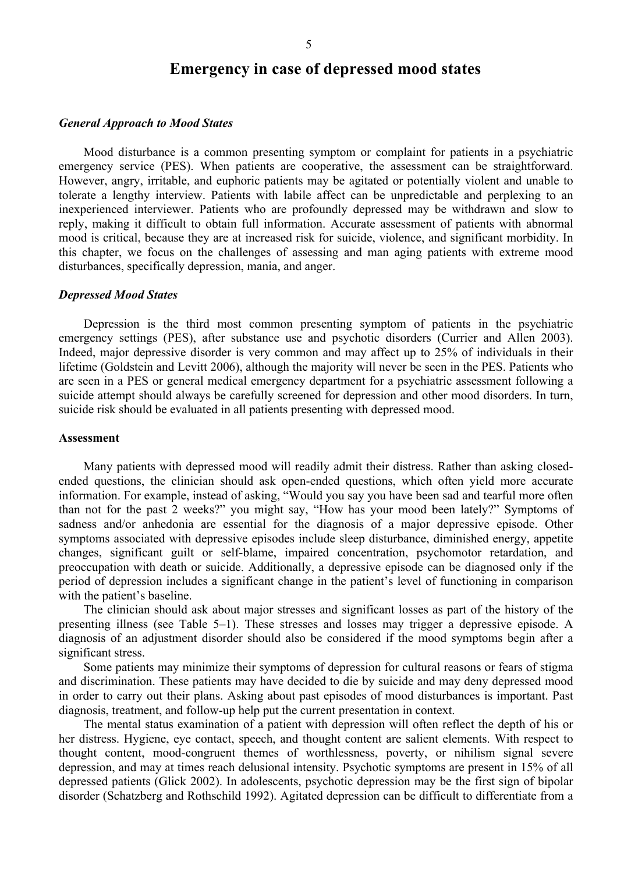### 5

# **Emergency in case of depressed mood states**

### *General Approach to Mood States*

 Mood disturbance is a common presenting symptom or complaint for patients in a psychiatric emergency service (PES). When patients are cooperative, the assessment can be straightforward. However, angry, irritable, and euphoric patients may be agitated or potentially violent and unable to tolerate a lengthy interview. Patients with labile affect can be unpredictable and perplexing to an inexperienced interviewer. Patients who are profoundly depressed may be withdrawn and slow to reply, making it difficult to obtain full information. Accurate assessment of patients with abnormal mood is critical, because they are at increased risk for suicide, violence, and significant morbidity. In this chapter, we focus on the challenges of assessing and man aging patients with extreme mood disturbances, specifically depression, mania, and anger.

### *Depressed Mood States*

 Depression is the third most common presenting symptom of patients in the psychiatric emergency settings (PES), after substance use and psychotic disorders (Currier and Allen 2003). Indeed, major depressive disorder is very common and may affect up to 25% of individuals in their lifetime (Goldstein and Levitt 2006), although the majority will never be seen in the PES. Patients who are seen in a PES or general medical emergency department for a psychiatric assessment following a suicide attempt should always be carefully screened for depression and other mood disorders. In turn, suicide risk should be evaluated in all patients presenting with depressed mood.

### **Assessment**

 Many patients with depressed mood will readily admit their distress. Rather than asking closedended questions, the clinician should ask open-ended questions, which often yield more accurate information. For example, instead of asking, "Would you say you have been sad and tearful more often than not for the past 2 weeks?" you might say, "How has your mood been lately?" Symptoms of sadness and/or anhedonia are essential for the diagnosis of a major depressive episode. Other symptoms associated with depressive episodes include sleep disturbance, diminished energy, appetite changes, significant guilt or self-blame, impaired concentration, psychomotor retardation, and preoccupation with death or suicide. Additionally, a depressive episode can be diagnosed only if the period of depression includes a significant change in the patient's level of functioning in comparison with the patient's baseline.

 The clinician should ask about major stresses and significant losses as part of the history of the presenting illness (see Table 5–1). These stresses and losses may trigger a depressive episode. A diagnosis of an adjustment disorder should also be considered if the mood symptoms begin after a significant stress.

 Some patients may minimize their symptoms of depression for cultural reasons or fears of stigma and discrimination. These patients may have decided to die by suicide and may deny depressed mood in order to carry out their plans. Asking about past episodes of mood disturbances is important. Past diagnosis, treatment, and follow-up help put the current presentation in context.

 The mental status examination of a patient with depression will often reflect the depth of his or her distress. Hygiene, eye contact, speech, and thought content are salient elements. With respect to thought content, mood-congruent themes of worthlessness, poverty, or nihilism signal severe depression, and may at times reach delusional intensity. Psychotic symptoms are present in 15% of all depressed patients (Glick 2002). In adolescents, psychotic depression may be the first sign of bipolar disorder (Schatzberg and Rothschild 1992). Agitated depression can be difficult to differentiate from a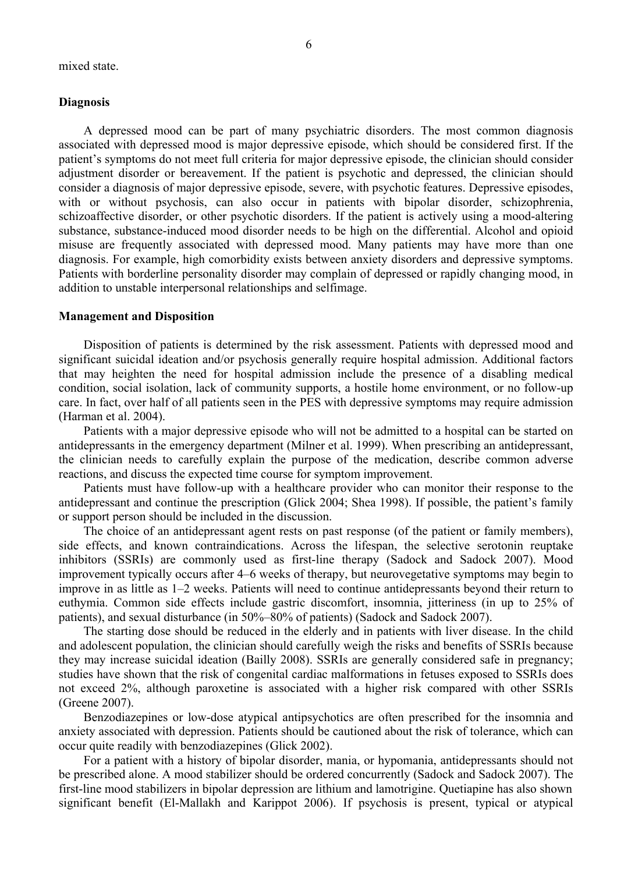### **Diagnosis**

 A depressed mood can be part of many psychiatric disorders. The most common diagnosis associated with depressed mood is major depressive episode, which should be considered first. If the patient's symptoms do not meet full criteria for major depressive episode, the clinician should consider adjustment disorder or bereavement. If the patient is psychotic and depressed, the clinician should consider a diagnosis of major depressive episode, severe, with psychotic features. Depressive episodes, with or without psychosis, can also occur in patients with bipolar disorder, schizophrenia, schizoaffective disorder, or other psychotic disorders. If the patient is actively using a mood-altering substance, substance-induced mood disorder needs to be high on the differential. Alcohol and opioid misuse are frequently associated with depressed mood. Many patients may have more than one diagnosis. For example, high comorbidity exists between anxiety disorders and depressive symptoms. Patients with borderline personality disorder may complain of depressed or rapidly changing mood, in addition to unstable interpersonal relationships and selfimage.

### **Management and Disposition**

 Disposition of patients is determined by the risk assessment. Patients with depressed mood and significant suicidal ideation and/or psychosis generally require hospital admission. Additional factors that may heighten the need for hospital admission include the presence of a disabling medical condition, social isolation, lack of community supports, a hostile home environment, or no follow-up care. In fact, over half of all patients seen in the PES with depressive symptoms may require admission (Harman et al. 2004).

 Patients with a major depressive episode who will not be admitted to a hospital can be started on antidepressants in the emergency department (Milner et al. 1999). When prescribing an antidepressant, the clinician needs to carefully explain the purpose of the medication, describe common adverse reactions, and discuss the expected time course for symptom improvement.

 Patients must have follow-up with a healthcare provider who can monitor their response to the antidepressant and continue the prescription (Glick 2004; Shea 1998). If possible, the patient's family or support person should be included in the discussion.

 The choice of an antidepressant agent rests on past response (of the patient or family members), side effects, and known contraindications. Across the lifespan, the selective serotonin reuptake inhibitors (SSRIs) are commonly used as first-line therapy (Sadock and Sadock 2007). Mood improvement typically occurs after 4–6 weeks of therapy, but neurovegetative symptoms may begin to improve in as little as 1–2 weeks. Patients will need to continue antidepressants beyond their return to euthymia. Common side effects include gastric discomfort, insomnia, jitteriness (in up to 25% of patients), and sexual disturbance (in 50%–80% of patients) (Sadock and Sadock 2007).

 The starting dose should be reduced in the elderly and in patients with liver disease. In the child and adolescent population, the clinician should carefully weigh the risks and benefits of SSRIs because they may increase suicidal ideation (Bailly 2008). SSRIs are generally considered safe in pregnancy; studies have shown that the risk of congenital cardiac malformations in fetuses exposed to SSRIs does not exceed 2%, although paroxetine is associated with a higher risk compared with other SSRIs (Greene 2007).

 Benzodiazepines or low-dose atypical antipsychotics are often prescribed for the insomnia and anxiety associated with depression. Patients should be cautioned about the risk of tolerance, which can occur quite readily with benzodiazepines (Glick 2002).

 For a patient with a history of bipolar disorder, mania, or hypomania, antidepressants should not be prescribed alone. A mood stabilizer should be ordered concurrently (Sadock and Sadock 2007). The first-line mood stabilizers in bipolar depression are lithium and lamotrigine. Quetiapine has also shown significant benefit (El-Mallakh and Karippot 2006). If psychosis is present, typical or atypical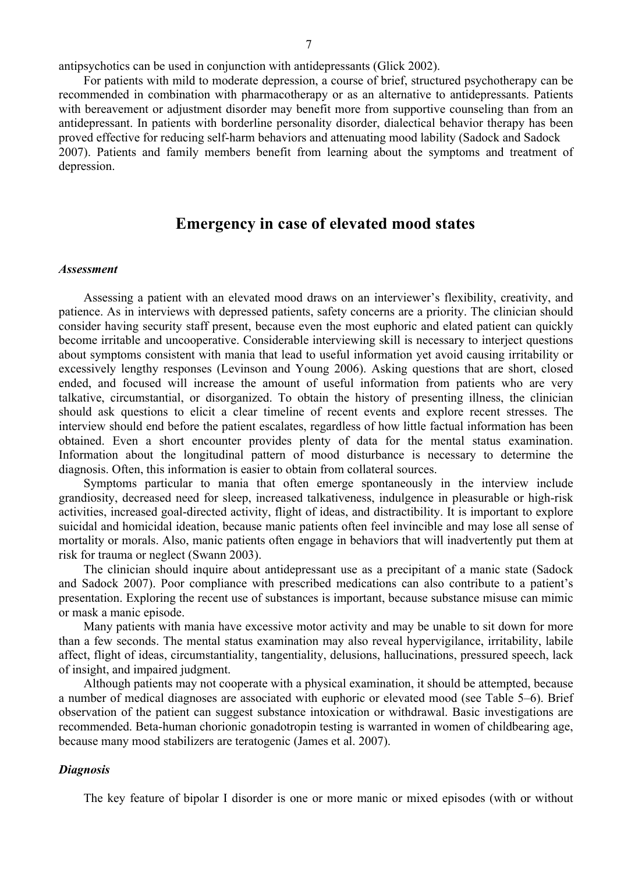antipsychotics can be used in conjunction with antidepressants (Glick 2002).

 For patients with mild to moderate depression, a course of brief, structured psychotherapy can be recommended in combination with pharmacotherapy or as an alternative to antidepressants. Patients with bereavement or adjustment disorder may benefit more from supportive counseling than from an antidepressant. In patients with borderline personality disorder, dialectical behavior therapy has been proved effective for reducing self-harm behaviors and attenuating mood lability (Sadock and Sadock 2007). Patients and family members benefit from learning about the symptoms and treatment of depression.

# **Emergency in case of elevated mood states**

### *Assessment*

 Assessing a patient with an elevated mood draws on an interviewer's flexibility, creativity, and patience. As in interviews with depressed patients, safety concerns are a priority. The clinician should consider having security staff present, because even the most euphoric and elated patient can quickly become irritable and uncooperative. Considerable interviewing skill is necessary to interject questions about symptoms consistent with mania that lead to useful information yet avoid causing irritability or excessively lengthy responses (Levinson and Young 2006). Asking questions that are short, closed ended, and focused will increase the amount of useful information from patients who are very talkative, circumstantial, or disorganized. To obtain the history of presenting illness, the clinician should ask questions to elicit a clear timeline of recent events and explore recent stresses. The interview should end before the patient escalates, regardless of how little factual information has been obtained. Even a short encounter provides plenty of data for the mental status examination. Information about the longitudinal pattern of mood disturbance is necessary to determine the diagnosis. Often, this information is easier to obtain from collateral sources.

 Symptoms particular to mania that often emerge spontaneously in the interview include grandiosity, decreased need for sleep, increased talkativeness, indulgence in pleasurable or high-risk activities, increased goal-directed activity, flight of ideas, and distractibility. It is important to explore suicidal and homicidal ideation, because manic patients often feel invincible and may lose all sense of mortality or morals. Also, manic patients often engage in behaviors that will inadvertently put them at risk for trauma or neglect (Swann 2003).

 The clinician should inquire about antidepressant use as a precipitant of a manic state (Sadock and Sadock 2007). Poor compliance with prescribed medications can also contribute to a patient's presentation. Exploring the recent use of substances is important, because substance misuse can mimic or mask a manic episode.

 Many patients with mania have excessive motor activity and may be unable to sit down for more than a few seconds. The mental status examination may also reveal hypervigilance, irritability, labile affect, flight of ideas, circumstantiality, tangentiality, delusions, hallucinations, pressured speech, lack of insight, and impaired judgment.

 Although patients may not cooperate with a physical examination, it should be attempted, because a number of medical diagnoses are associated with euphoric or elevated mood (see Table 5–6). Brief observation of the patient can suggest substance intoxication or withdrawal. Basic investigations are recommended. Beta-human chorionic gonadotropin testing is warranted in women of childbearing age, because many mood stabilizers are teratogenic (James et al. 2007).

### *Diagnosis*

The key feature of bipolar I disorder is one or more manic or mixed episodes (with or without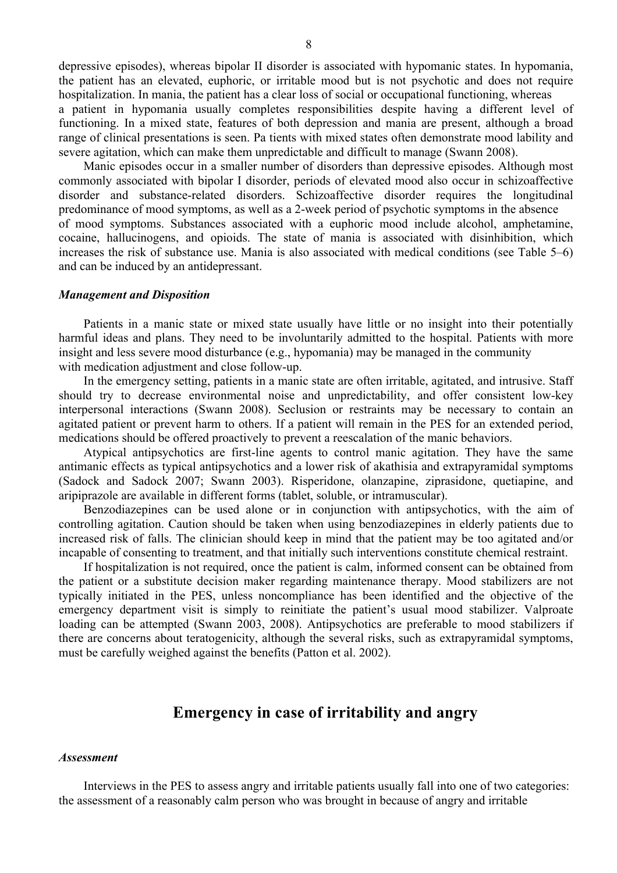depressive episodes), whereas bipolar II disorder is associated with hypomanic states. In hypomania, the patient has an elevated, euphoric, or irritable mood but is not psychotic and does not require hospitalization. In mania, the patient has a clear loss of social or occupational functioning, whereas a patient in hypomania usually completes responsibilities despite having a different level of functioning. In a mixed state, features of both depression and mania are present, although a broad range of clinical presentations is seen. Pa tients with mixed states often demonstrate mood lability and severe agitation, which can make them unpredictable and difficult to manage (Swann 2008).

 Manic episodes occur in a smaller number of disorders than depressive episodes. Although most commonly associated with bipolar I disorder, periods of elevated mood also occur in schizoaffective disorder and substance-related disorders. Schizoaffective disorder requires the longitudinal predominance of mood symptoms, as well as a 2-week period of psychotic symptoms in the absence of mood symptoms. Substances associated with a euphoric mood include alcohol, amphetamine, cocaine, hallucinogens, and opioids. The state of mania is associated with disinhibition, which increases the risk of substance use. Mania is also associated with medical conditions (see Table 5–6) and can be induced by an antidepressant.

### *Management and Disposition*

 Patients in a manic state or mixed state usually have little or no insight into their potentially harmful ideas and plans. They need to be involuntarily admitted to the hospital. Patients with more insight and less severe mood disturbance (e.g., hypomania) may be managed in the community with medication adjustment and close follow-up.

 In the emergency setting, patients in a manic state are often irritable, agitated, and intrusive. Staff should try to decrease environmental noise and unpredictability, and offer consistent low-key interpersonal interactions (Swann 2008). Seclusion or restraints may be necessary to contain an agitated patient or prevent harm to others. If a patient will remain in the PES for an extended period, medications should be offered proactively to prevent a reescalation of the manic behaviors.

 Atypical antipsychotics are first-line agents to control manic agitation. They have the same antimanic effects as typical antipsychotics and a lower risk of akathisia and extrapyramidal symptoms (Sadock and Sadock 2007; Swann 2003). Risperidone, olanzapine, ziprasidone, quetiapine, and aripiprazole are available in different forms (tablet, soluble, or intramuscular).

 Benzodiazepines can be used alone or in conjunction with antipsychotics, with the aim of controlling agitation. Caution should be taken when using benzodiazepines in elderly patients due to increased risk of falls. The clinician should keep in mind that the patient may be too agitated and/or incapable of consenting to treatment, and that initially such interventions constitute chemical restraint.

 If hospitalization is not required, once the patient is calm, informed consent can be obtained from the patient or a substitute decision maker regarding maintenance therapy. Mood stabilizers are not typically initiated in the PES, unless noncompliance has been identified and the objective of the emergency department visit is simply to reinitiate the patient's usual mood stabilizer. Valproate loading can be attempted (Swann 2003, 2008). Antipsychotics are preferable to mood stabilizers if there are concerns about teratogenicity, although the several risks, such as extrapyramidal symptoms, must be carefully weighed against the benefits (Patton et al. 2002).

# **Emergency in case of irritability and angry**

#### *Assessment*

 Interviews in the PES to assess angry and irritable patients usually fall into one of two categories: the assessment of a reasonably calm person who was brought in because of angry and irritable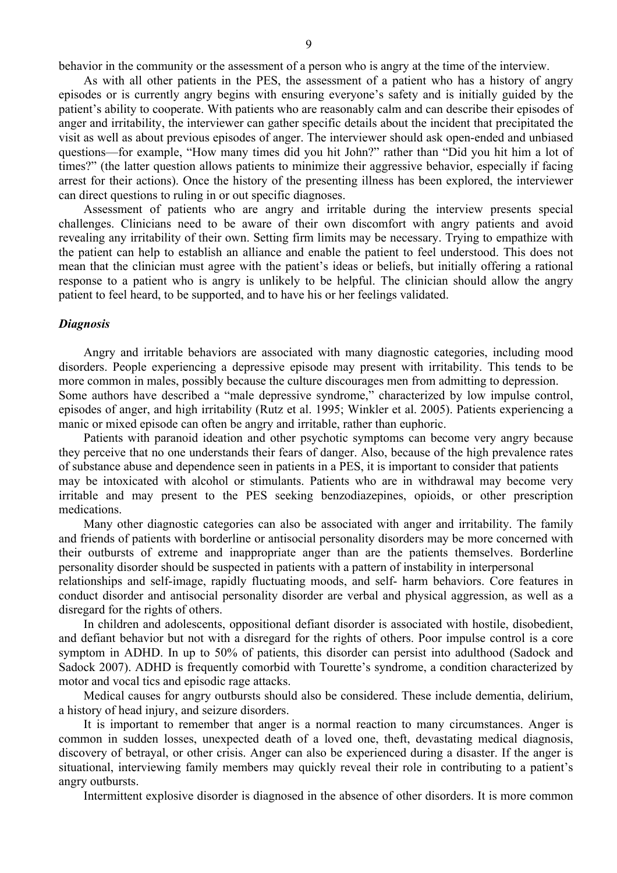behavior in the community or the assessment of a person who is angry at the time of the interview.

 As with all other patients in the PES, the assessment of a patient who has a history of angry episodes or is currently angry begins with ensuring everyone's safety and is initially guided by the patient's ability to cooperate. With patients who are reasonably calm and can describe their episodes of anger and irritability, the interviewer can gather specific details about the incident that precipitated the visit as well as about previous episodes of anger. The interviewer should ask open-ended and unbiased questions—for example, "How many times did you hit John?" rather than "Did you hit him a lot of times?" (the latter question allows patients to minimize their aggressive behavior, especially if facing arrest for their actions). Once the history of the presenting illness has been explored, the interviewer can direct questions to ruling in or out specific diagnoses.

 Assessment of patients who are angry and irritable during the interview presents special challenges. Clinicians need to be aware of their own discomfort with angry patients and avoid revealing any irritability of their own. Setting firm limits may be necessary. Trying to empathize with the patient can help to establish an alliance and enable the patient to feel understood. This does not mean that the clinician must agree with the patient's ideas or beliefs, but initially offering a rational response to a patient who is angry is unlikely to be helpful. The clinician should allow the angry patient to feel heard, to be supported, and to have his or her feelings validated.

### *Diagnosis*

 Angry and irritable behaviors are associated with many diagnostic categories, including mood disorders. People experiencing a depressive episode may present with irritability. This tends to be more common in males, possibly because the culture discourages men from admitting to depression. Some authors have described a "male depressive syndrome," characterized by low impulse control,

episodes of anger, and high irritability (Rutz et al. 1995; Winkler et al. 2005). Patients experiencing a manic or mixed episode can often be angry and irritable, rather than euphoric.

 Patients with paranoid ideation and other psychotic symptoms can become very angry because they perceive that no one understands their fears of danger. Also, because of the high prevalence rates of substance abuse and dependence seen in patients in a PES, it is important to consider that patients may be intoxicated with alcohol or stimulants. Patients who are in withdrawal may become very irritable and may present to the PES seeking benzodiazepines, opioids, or other prescription medications.

 Many other diagnostic categories can also be associated with anger and irritability. The family and friends of patients with borderline or antisocial personality disorders may be more concerned with their outbursts of extreme and inappropriate anger than are the patients themselves. Borderline personality disorder should be suspected in patients with a pattern of instability in interpersonal

relationships and self-image, rapidly fluctuating moods, and self- harm behaviors. Core features in conduct disorder and antisocial personality disorder are verbal and physical aggression, as well as a disregard for the rights of others.

 In children and adolescents, oppositional defiant disorder is associated with hostile, disobedient, and defiant behavior but not with a disregard for the rights of others. Poor impulse control is a core symptom in ADHD. In up to 50% of patients, this disorder can persist into adulthood (Sadock and Sadock 2007). ADHD is frequently comorbid with Tourette's syndrome, a condition characterized by motor and vocal tics and episodic rage attacks.

 Medical causes for angry outbursts should also be considered. These include dementia, delirium, a history of head injury, and seizure disorders.

 It is important to remember that anger is a normal reaction to many circumstances. Anger is common in sudden losses, unexpected death of a loved one, theft, devastating medical diagnosis, discovery of betrayal, or other crisis. Anger can also be experienced during a disaster. If the anger is situational, interviewing family members may quickly reveal their role in contributing to a patient's angry outbursts.

Intermittent explosive disorder is diagnosed in the absence of other disorders. It is more common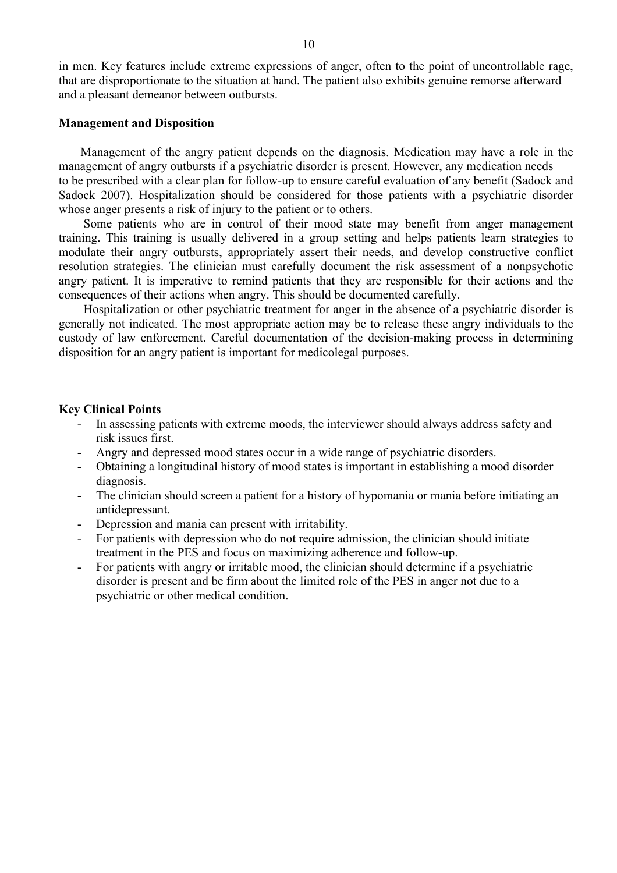in men. Key features include extreme expressions of anger, often to the point of uncontrollable rage, that are disproportionate to the situation at hand. The patient also exhibits genuine remorse afterward and a pleasant demeanor between outbursts.

### **Management and Disposition**

 Management of the angry patient depends on the diagnosis. Medication may have a role in the management of angry outbursts if a psychiatric disorder is present. However, any medication needs to be prescribed with a clear plan for follow-up to ensure careful evaluation of any benefit (Sadock and Sadock 2007). Hospitalization should be considered for those patients with a psychiatric disorder whose anger presents a risk of injury to the patient or to others.

 Some patients who are in control of their mood state may benefit from anger management training. This training is usually delivered in a group setting and helps patients learn strategies to modulate their angry outbursts, appropriately assert their needs, and develop constructive conflict resolution strategies. The clinician must carefully document the risk assessment of a nonpsychotic angry patient. It is imperative to remind patients that they are responsible for their actions and the consequences of their actions when angry. This should be documented carefully.

 Hospitalization or other psychiatric treatment for anger in the absence of a psychiatric disorder is generally not indicated. The most appropriate action may be to release these angry individuals to the custody of law enforcement. Careful documentation of the decision-making process in determining disposition for an angry patient is important for medicolegal purposes.

### **Key Clinical Points**

- In assessing patients with extreme moods, the interviewer should always address safety and risk issues first.
- Angry and depressed mood states occur in a wide range of psychiatric disorders.
- Obtaining a longitudinal history of mood states is important in establishing a mood disorder diagnosis.
- The clinician should screen a patient for a history of hypomania or mania before initiating an antidepressant.
- Depression and mania can present with irritability.
- For patients with depression who do not require admission, the clinician should initiate treatment in the PES and focus on maximizing adherence and follow-up.
- For patients with angry or irritable mood, the clinician should determine if a psychiatric disorder is present and be firm about the limited role of the PES in anger not due to a psychiatric or other medical condition.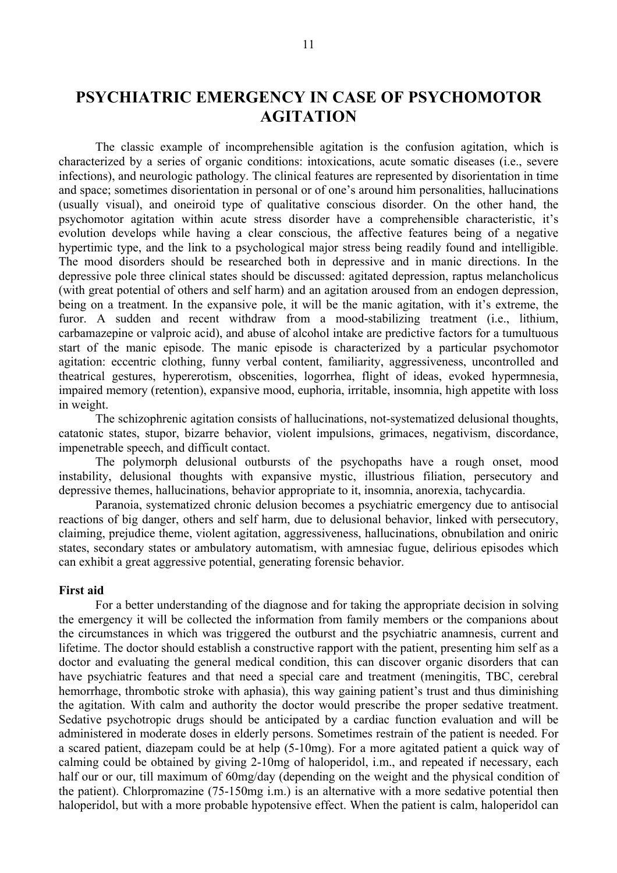# **PSYCHIATRIC EMERGENCY IN CASE OF PSYCHOMOTOR AGITATION**

The classic example of incomprehensible agitation is the confusion agitation, which is characterized by a series of organic conditions: intoxications, acute somatic diseases (i.e., severe infections), and neurologic pathology. The clinical features are represented by disorientation in time and space; sometimes disorientation in personal or of one's around him personalities, hallucinations (usually visual), and oneiroid type of qualitative conscious disorder. On the other hand, the psychomotor agitation within acute stress disorder have a comprehensible characteristic, it's evolution develops while having a clear conscious, the affective features being of a negative hypertimic type, and the link to a psychological major stress being readily found and intelligible. The mood disorders should be researched both in depressive and in manic directions. In the depressive pole three clinical states should be discussed: agitated depression, raptus melancholicus (with great potential of others and self harm) and an agitation aroused from an endogen depression, being on a treatment. In the expansive pole, it will be the manic agitation, with it's extreme, the furor. A sudden and recent withdraw from a mood-stabilizing treatment (i.e., lithium, carbamazepine or valproic acid), and abuse of alcohol intake are predictive factors for a tumultuous start of the manic episode. The manic episode is characterized by a particular psychomotor agitation: eccentric clothing, funny verbal content, familiarity, aggressiveness, uncontrolled and theatrical gestures, hypererotism, obscenities, logorrhea, flight of ideas, evoked hypermnesia, impaired memory (retention), expansive mood, euphoria, irritable, insomnia, high appetite with loss in weight.

The schizophrenic agitation consists of hallucinations, not-systematized delusional thoughts, catatonic states, stupor, bizarre behavior, violent impulsions, grimaces, negativism, discordance, impenetrable speech, and difficult contact.

The polymorph delusional outbursts of the psychopaths have a rough onset, mood instability, delusional thoughts with expansive mystic, illustrious filiation, persecutory and depressive themes, hallucinations, behavior appropriate to it, insomnia, anorexia, tachycardia.

Paranoia, systematized chronic delusion becomes a psychiatric emergency due to antisocial reactions of big danger, others and self harm, due to delusional behavior, linked with persecutory, claiming, prejudice theme, violent agitation, aggressiveness, hallucinations, obnubilation and oniric states, secondary states or ambulatory automatism, with amnesiac fugue, delirious episodes which can exhibit a great aggressive potential, generating forensic behavior.

### **First aid**

For a better understanding of the diagnose and for taking the appropriate decision in solving the emergency it will be collected the information from family members or the companions about the circumstances in which was triggered the outburst and the psychiatric anamnesis, current and lifetime. The doctor should establish a constructive rapport with the patient, presenting him self as a doctor and evaluating the general medical condition, this can discover organic disorders that can have psychiatric features and that need a special care and treatment (meningitis, TBC, cerebral hemorrhage, thrombotic stroke with aphasia), this way gaining patient's trust and thus diminishing the agitation. With calm and authority the doctor would prescribe the proper sedative treatment. Sedative psychotropic drugs should be anticipated by a cardiac function evaluation and will be administered in moderate doses in elderly persons. Sometimes restrain of the patient is needed. For a scared patient, diazepam could be at help (5-10mg). For a more agitated patient a quick way of calming could be obtained by giving 2-10mg of haloperidol, i.m., and repeated if necessary, each half our or our, till maximum of  $60mg/day$  (depending on the weight and the physical condition of the patient). Chlorpromazine (75-150mg i.m.) is an alternative with a more sedative potential then haloperidol, but with a more probable hypotensive effect. When the patient is calm, haloperidol can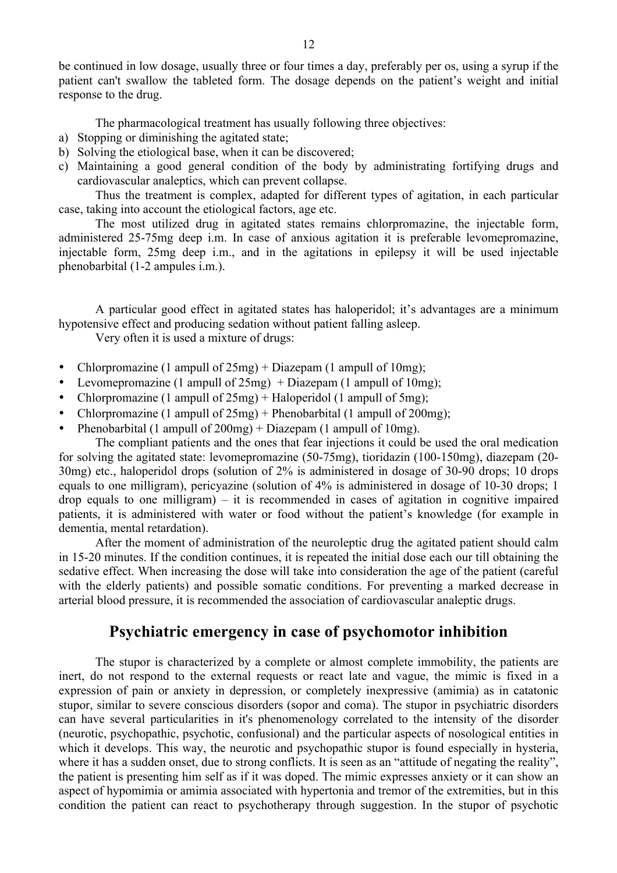be continued in low dosage, usually three or four times a day, preferably per os, using a syrup if the patient can't swallow the tableted form. The dosage depends on the patient's weight and initial response to the drug.

The pharmacological treatment has usually following three objectives:

- a) Stopping or diminishing the agitated state;
- b) Solving the etiological base, when it can be discovered;
- c) Maintaining a good general condition of the body by administrating fortifying drugs and cardiovascular analeptics, which can prevent collapse.

Thus the treatment is complex, adapted for different types of agitation, in each particular case, taking into account the etiological factors, age etc.

The most utilized drug in agitated states remains chlorpromazine, the injectable form, administered 25-75mg deep i.m. In case of anxious agitation it is preferable levomepromazine, injectable form, 25mg deep i.m., and in the agitations in epilepsy it will be used injectable phenobarbital (1-2 ampules i.m.).

A particular good effect in agitated states has haloperidol; it's advantages are a minimum hypotensive effect and producing sedation without patient falling asleep.

Very often it is used a mixture of drugs:

- Chlorpromazine (1 ampull of 25mg) + Diazepam (1 ampull of 10mg);
- Levomepromazine (1 ampull of  $25mg$ ) + Diazepam (1 ampull of 10mg);
- Chlorpromazine (1 ampull of  $25mg$ ) + Haloperidol (1 ampull of 5mg);
- Chlorpromazine (1 ampull of 25mg) + Phenobarbital (1 ampull of 200mg);
- Phenobarbital (1 ampull of  $200mg$ ) + Diazepam (1 ampull of 10mg).

The compliant patients and the ones that fear injections it could be used the oral medication for solving the agitated state: levomepromazine (50-75mg), tioridazin (100-150mg), diazepam (20- 30mg) etc., haloperidol drops (solution of 2% is administered in dosage of 30-90 drops; 10 drops equals to one milligram), pericyazine (solution of 4% is administered in dosage of 10-30 drops; 1 drop equals to one milligram) – it is recommended in cases of agitation in cognitive impaired patients, it is administered with water or food without the patient's knowledge (for example in dementia, mental retardation).

After the moment of administration of the neuroleptic drug the agitated patient should calm in 15-20 minutes. If the condition continues, it is repeated the initial dose each our till obtaining the sedative effect. When increasing the dose will take into consideration the age of the patient (careful with the elderly patients) and possible somatic conditions. For preventing a marked decrease in arterial blood pressure, it is recommended the association of cardiovascular analeptic drugs.

# **Psychiatric emergency in case of psychomotor inhibition**

The stupor is characterized by a complete or almost complete immobility, the patients are inert, do not respond to the external requests or react late and vague, the mimic is fixed in a expression of pain or anxiety in depression, or completely inexpressive (amimia) as in catatonic stupor, similar to severe conscious disorders (sopor and coma). The stupor in psychiatric disorders can have several particularities in it's phenomenology correlated to the intensity of the disorder (neurotic, psychopathic, psychotic, confusional) and the particular aspects of nosological entities in which it develops. This way, the neurotic and psychopathic stupor is found especially in hysteria, where it has a sudden onset, due to strong conflicts. It is seen as an "attitude of negating the reality", the patient is presenting him self as if it was doped. The mimic expresses anxiety or it can show an aspect of hypomimia or amimia associated with hypertonia and tremor of the extremities, but in this condition the patient can react to psychotherapy through suggestion. In the stupor of psychotic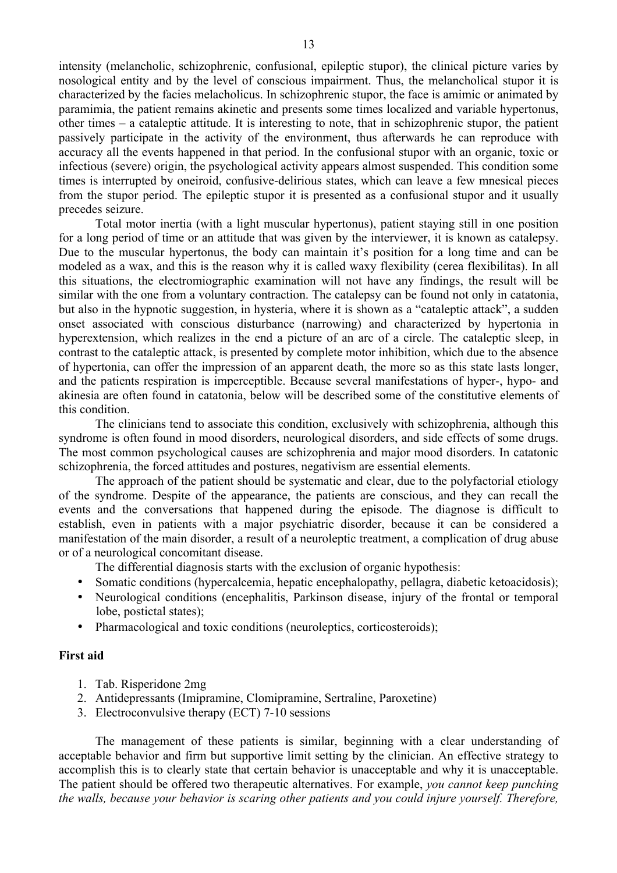intensity (melancholic, schizophrenic, confusional, epileptic stupor), the clinical picture varies by nosological entity and by the level of conscious impairment. Thus, the melancholical stupor it is characterized by the facies melacholicus. In schizophrenic stupor, the face is amimic or animated by paramimia, the patient remains akinetic and presents some times localized and variable hypertonus, other times – a cataleptic attitude. It is interesting to note, that in schizophrenic stupor, the patient passively participate in the activity of the environment, thus afterwards he can reproduce with accuracy all the events happened in that period. In the confusional stupor with an organic, toxic or infectious (severe) origin, the psychological activity appears almost suspended. This condition some times is interrupted by oneiroid, confusive-delirious states, which can leave a few mnesical pieces from the stupor period. The epileptic stupor it is presented as a confusional stupor and it usually precedes seizure.

Total motor inertia (with a light muscular hypertonus), patient staying still in one position for a long period of time or an attitude that was given by the interviewer, it is known as catalepsy. Due to the muscular hypertonus, the body can maintain it's position for a long time and can be modeled as a wax, and this is the reason why it is called waxy flexibility (cerea flexibilitas). In all this situations, the electromiographic examination will not have any findings, the result will be similar with the one from a voluntary contraction. The catalepsy can be found not only in catatonia, but also in the hypnotic suggestion, in hysteria, where it is shown as a "cataleptic attack", a sudden onset associated with conscious disturbance (narrowing) and characterized by hypertonia in hyperextension, which realizes in the end a picture of an arc of a circle. The cataleptic sleep, in contrast to the cataleptic attack, is presented by complete motor inhibition, which due to the absence of hypertonia, can offer the impression of an apparent death, the more so as this state lasts longer, and the patients respiration is imperceptible. Because several manifestations of hyper-, hypo- and akinesia are often found in catatonia, below will be described some of the constitutive elements of this condition.

The clinicians tend to associate this condition, exclusively with schizophrenia, although this syndrome is often found in mood disorders, neurological disorders, and side effects of some drugs. The most common psychological causes are schizophrenia and major mood disorders. In catatonic schizophrenia, the forced attitudes and postures, negativism are essential elements.

The approach of the patient should be systematic and clear, due to the polyfactorial etiology of the syndrome. Despite of the appearance, the patients are conscious, and they can recall the events and the conversations that happened during the episode. The diagnose is difficult to establish, even in patients with a major psychiatric disorder, because it can be considered a manifestation of the main disorder, a result of a neuroleptic treatment, a complication of drug abuse or of a neurological concomitant disease.

The differential diagnosis starts with the exclusion of organic hypothesis:

- Somatic conditions (hypercalcemia, hepatic encephalopathy, pellagra, diabetic ketoacidosis);
- Neurological conditions (encephalitis, Parkinson disease, injury of the frontal or temporal lobe, postictal states);
- Pharmacological and toxic conditions (neuroleptics, corticosteroids);

### **First aid**

- 1. Tab. Risperidone 2mg
- 2. Antidepressants (Imipramine, Clomipramine, Sertraline, Paroxetine)
- 3. Electroconvulsive therapy (ECT) 7-10 sessions

The management of these patients is similar, beginning with a clear understanding of acceptable behavior and firm but supportive limit setting by the clinician. An effective strategy to accomplish this is to clearly state that certain behavior is unacceptable and why it is unacceptable. The patient should be offered two therapeutic alternatives. For example, *you cannot keep punching the walls, because your behavior is scaring other patients and you could injure yourself. Therefore,*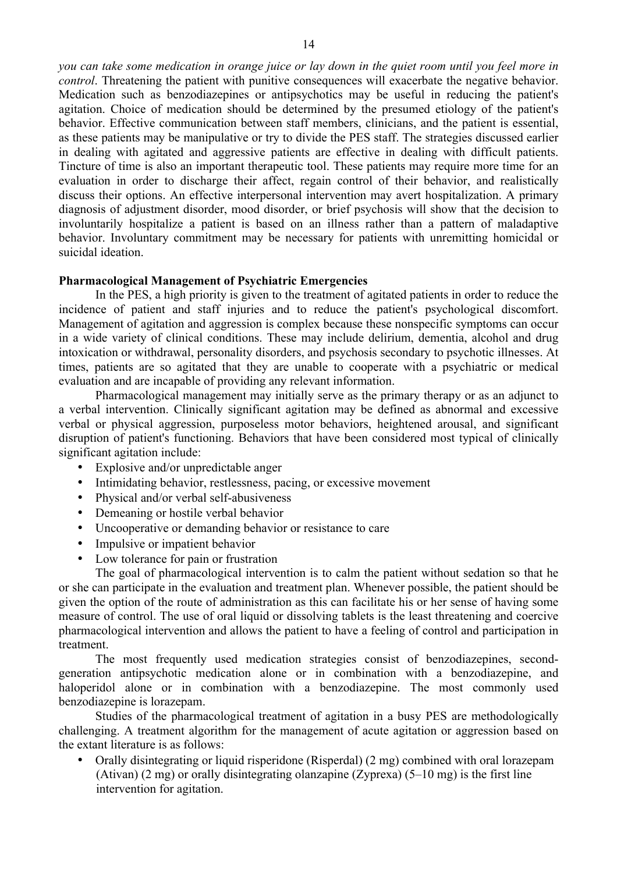*you can take some medication in orange juice or lay down in the quiet room until you feel more in control*. Threatening the patient with punitive consequences will exacerbate the negative behavior. Medication such as benzodiazepines or antipsychotics may be useful in reducing the patient's agitation. Choice of medication should be determined by the presumed etiology of the patient's behavior. Effective communication between staff members, clinicians, and the patient is essential, as these patients may be manipulative or try to divide the PES staff. The strategies discussed earlier in dealing with agitated and aggressive patients are effective in dealing with difficult patients. Tincture of time is also an important therapeutic tool. These patients may require more time for an evaluation in order to discharge their affect, regain control of their behavior, and realistically discuss their options. An effective interpersonal intervention may avert hospitalization. A primary diagnosis of adjustment disorder, mood disorder, or brief psychosis will show that the decision to involuntarily hospitalize a patient is based on an illness rather than a pattern of maladaptive behavior. Involuntary commitment may be necessary for patients with unremitting homicidal or suicidal ideation.

### **Pharmacological Management of Psychiatric Emergencies**

In the PES, a high priority is given to the treatment of agitated patients in order to reduce the incidence of patient and staff injuries and to reduce the patient's psychological discomfort. Management of agitation and aggression is complex because these nonspecific symptoms can occur in a wide variety of clinical conditions. These may include delirium, dementia, alcohol and drug intoxication or withdrawal, personality disorders, and psychosis secondary to psychotic illnesses. At times, patients are so agitated that they are unable to cooperate with a psychiatric or medical evaluation and are incapable of providing any relevant information.

Pharmacological management may initially serve as the primary therapy or as an adjunct to a verbal intervention. Clinically significant agitation may be defined as abnormal and excessive verbal or physical aggression, purposeless motor behaviors, heightened arousal, and significant disruption of patient's functioning. Behaviors that have been considered most typical of clinically significant agitation include:

- Explosive and/or unpredictable anger
- Intimidating behavior, restlessness, pacing, or excessive movement
- Physical and/or verbal self-abusiveness
- Demeaning or hostile verbal behavior
- Uncooperative or demanding behavior or resistance to care
- Impulsive or impatient behavior
- Low tolerance for pain or frustration

The goal of pharmacological intervention is to calm the patient without sedation so that he or she can participate in the evaluation and treatment plan. Whenever possible, the patient should be given the option of the route of administration as this can facilitate his or her sense of having some measure of control. The use of oral liquid or dissolving tablets is the least threatening and coercive pharmacological intervention and allows the patient to have a feeling of control and participation in treatment.

The most frequently used medication strategies consist of benzodiazepines, secondgeneration antipsychotic medication alone or in combination with a benzodiazepine, and haloperidol alone or in combination with a benzodiazepine. The most commonly used benzodiazepine is lorazepam.

Studies of the pharmacological treatment of agitation in a busy PES are methodologically challenging. A treatment algorithm for the management of acute agitation or aggression based on the extant literature is as follows:

• Orally disintegrating or liquid risperidone (Risperdal) (2 mg) combined with oral lorazepam (Ativan) (2 mg) or orally disintegrating olanzapine (Zyprexa) (5–10 mg) is the first line intervention for agitation.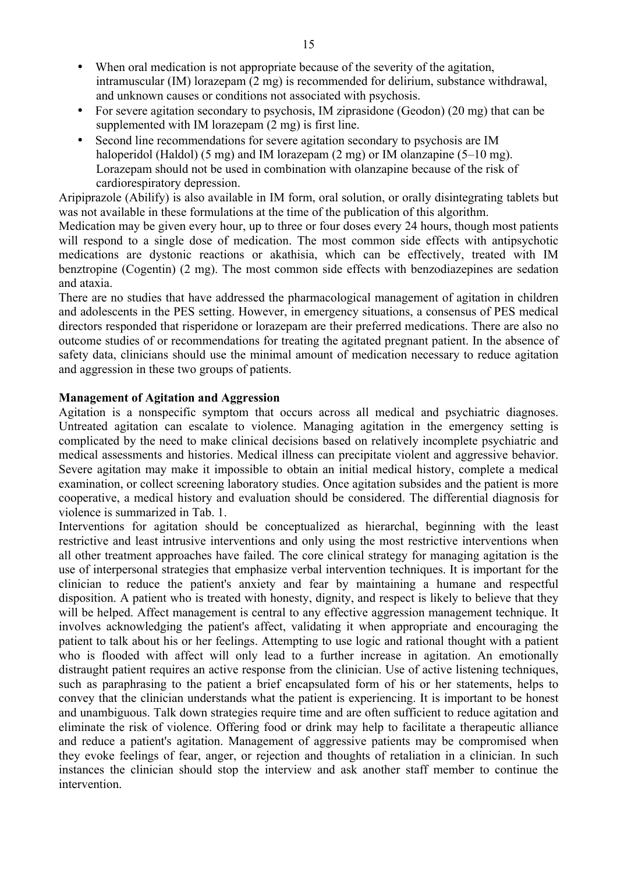- When oral medication is not appropriate because of the severity of the agitation, intramuscular (IM) lorazepam (2 mg) is recommended for delirium, substance withdrawal, and unknown causes or conditions not associated with psychosis.
- For severe agitation secondary to psychosis, IM ziprasidone (Geodon) (20 mg) that can be supplemented with IM lorazepam (2 mg) is first line.
- Second line recommendations for severe agitation secondary to psychosis are IM haloperidol (Haldol) (5 mg) and IM lorazepam (2 mg) or IM olanzapine (5–10 mg). Lorazepam should not be used in combination with olanzapine because of the risk of cardiorespiratory depression.

Aripiprazole (Abilify) is also available in IM form, oral solution, or orally disintegrating tablets but was not available in these formulations at the time of the publication of this algorithm.

Medication may be given every hour, up to three or four doses every 24 hours, though most patients will respond to a single dose of medication. The most common side effects with antipsychotic medications are dystonic reactions or akathisia, which can be effectively, treated with IM benztropine (Cogentin) (2 mg). The most common side effects with benzodiazepines are sedation and ataxia.

There are no studies that have addressed the pharmacological management of agitation in children and adolescents in the PES setting. However, in emergency situations, a consensus of PES medical directors responded that risperidone or lorazepam are their preferred medications. There are also no outcome studies of or recommendations for treating the agitated pregnant patient. In the absence of safety data, clinicians should use the minimal amount of medication necessary to reduce agitation and aggression in these two groups of patients.

## **Management of Agitation and Aggression**

Agitation is a nonspecific symptom that occurs across all medical and psychiatric diagnoses. Untreated agitation can escalate to violence. Managing agitation in the emergency setting is complicated by the need to make clinical decisions based on relatively incomplete psychiatric and medical assessments and histories. Medical illness can precipitate violent and aggressive behavior. Severe agitation may make it impossible to obtain an initial medical history, complete a medical examination, or collect screening laboratory studies. Once agitation subsides and the patient is more cooperative, a medical history and evaluation should be considered. The differential diagnosis for violence is summarized in Tab. 1.

Interventions for agitation should be conceptualized as hierarchal, beginning with the least restrictive and least intrusive interventions and only using the most restrictive interventions when all other treatment approaches have failed. The core clinical strategy for managing agitation is the use of interpersonal strategies that emphasize verbal intervention techniques. It is important for the clinician to reduce the patient's anxiety and fear by maintaining a humane and respectful disposition. A patient who is treated with honesty, dignity, and respect is likely to believe that they will be helped. Affect management is central to any effective aggression management technique. It involves acknowledging the patient's affect, validating it when appropriate and encouraging the patient to talk about his or her feelings. Attempting to use logic and rational thought with a patient who is flooded with affect will only lead to a further increase in agitation. An emotionally distraught patient requires an active response from the clinician. Use of active listening techniques, such as paraphrasing to the patient a brief encapsulated form of his or her statements, helps to convey that the clinician understands what the patient is experiencing. It is important to be honest and unambiguous. Talk down strategies require time and are often sufficient to reduce agitation and eliminate the risk of violence. Offering food or drink may help to facilitate a therapeutic alliance and reduce a patient's agitation. Management of aggressive patients may be compromised when they evoke feelings of fear, anger, or rejection and thoughts of retaliation in a clinician. In such instances the clinician should stop the interview and ask another staff member to continue the intervention.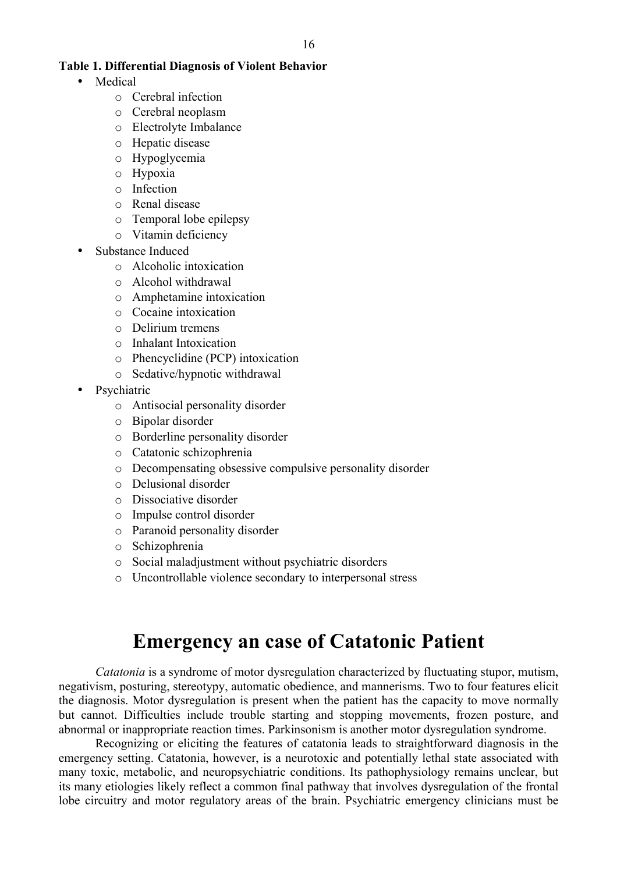## **Table 1. Differential Diagnosis of Violent Behavior**

- Medical
	- o Cerebral infection
	- o Cerebral neoplasm
	- o Electrolyte Imbalance
	- o Hepatic disease
	- o Hypoglycemia
	- o Hypoxia
	- o Infection
	- o Renal disease
	- o Temporal lobe epilepsy
	- o Vitamin deficiency
- Substance Induced
	- o Alcoholic intoxication
	- o Alcohol withdrawal
	- o Amphetamine intoxication
	- o Cocaine intoxication
	- o Delirium tremens
	- o Inhalant Intoxication
	- o Phencyclidine (PCP) intoxication
	- o Sedative/hypnotic withdrawal
- Psychiatric
	- o Antisocial personality disorder
	- o Bipolar disorder
	- o Borderline personality disorder
	- o Catatonic schizophrenia
	- o Decompensating obsessive compulsive personality disorder
	- o Delusional disorder
	- o Dissociative disorder
	- o Impulse control disorder
	- o Paranoid personality disorder
	- o Schizophrenia
	- o Social maladjustment without psychiatric disorders
	- o Uncontrollable violence secondary to interpersonal stress

# **Emergency an case of Catatonic Patient**

*Catatonia* is a syndrome of motor dysregulation characterized by fluctuating stupor, mutism, negativism, posturing, stereotypy, automatic obedience, and mannerisms. Two to four features elicit the diagnosis. Motor dysregulation is present when the patient has the capacity to move normally but cannot. Difficulties include trouble starting and stopping movements, frozen posture, and abnormal or inappropriate reaction times. Parkinsonism is another motor dysregulation syndrome.

Recognizing or eliciting the features of catatonia leads to straightforward diagnosis in the emergency setting. Catatonia, however, is a neurotoxic and potentially lethal state associated with many toxic, metabolic, and neuropsychiatric conditions. Its pathophysiology remains unclear, but its many etiologies likely reflect a common final pathway that involves dysregulation of the frontal lobe circuitry and motor regulatory areas of the brain. Psychiatric emergency clinicians must be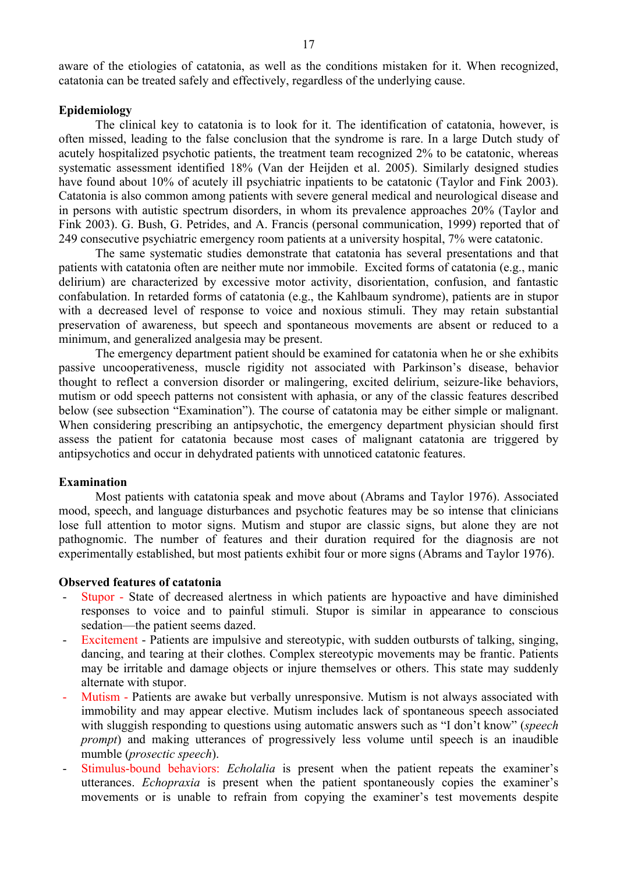aware of the etiologies of catatonia, as well as the conditions mistaken for it. When recognized, catatonia can be treated safely and effectively, regardless of the underlying cause.

## **Epidemiology**

The clinical key to catatonia is to look for it. The identification of catatonia, however, is often missed, leading to the false conclusion that the syndrome is rare. In a large Dutch study of acutely hospitalized psychotic patients, the treatment team recognized 2% to be catatonic, whereas systematic assessment identified 18% (Van der Heijden et al. 2005). Similarly designed studies have found about 10% of acutely ill psychiatric inpatients to be catatonic (Taylor and Fink 2003). Catatonia is also common among patients with severe general medical and neurological disease and in persons with autistic spectrum disorders, in whom its prevalence approaches 20% (Taylor and Fink 2003). G. Bush, G. Petrides, and A. Francis (personal communication, 1999) reported that of 249 consecutive psychiatric emergency room patients at a university hospital, 7% were catatonic.

The same systematic studies demonstrate that catatonia has several presentations and that patients with catatonia often are neither mute nor immobile. Excited forms of catatonia (e.g., manic delirium) are characterized by excessive motor activity, disorientation, confusion, and fantastic confabulation. In retarded forms of catatonia (e.g., the Kahlbaum syndrome), patients are in stupor with a decreased level of response to voice and noxious stimuli. They may retain substantial preservation of awareness, but speech and spontaneous movements are absent or reduced to a minimum, and generalized analgesia may be present.

The emergency department patient should be examined for catatonia when he or she exhibits passive uncooperativeness, muscle rigidity not associated with Parkinson's disease, behavior thought to reflect a conversion disorder or malingering, excited delirium, seizure-like behaviors, mutism or odd speech patterns not consistent with aphasia, or any of the classic features described below (see subsection "Examination"). The course of catatonia may be either simple or malignant. When considering prescribing an antipsychotic, the emergency department physician should first assess the patient for catatonia because most cases of malignant catatonia are triggered by antipsychotics and occur in dehydrated patients with unnoticed catatonic features.

### **Examination**

Most patients with catatonia speak and move about (Abrams and Taylor 1976). Associated mood, speech, and language disturbances and psychotic features may be so intense that clinicians lose full attention to motor signs. Mutism and stupor are classic signs, but alone they are not pathognomic. The number of features and their duration required for the diagnosis are not experimentally established, but most patients exhibit four or more signs (Abrams and Taylor 1976).

#### **Observed features of catatonia**

- Stupor State of decreased alertness in which patients are hypoactive and have diminished responses to voice and to painful stimuli. Stupor is similar in appearance to conscious sedation—the patient seems dazed.
- Excitement Patients are impulsive and stereotypic, with sudden outbursts of talking, singing, dancing, and tearing at their clothes. Complex stereotypic movements may be frantic. Patients may be irritable and damage objects or injure themselves or others. This state may suddenly alternate with stupor.
- Mutism Patients are awake but verbally unresponsive. Mutism is not always associated with immobility and may appear elective. Mutism includes lack of spontaneous speech associated with sluggish responding to questions using automatic answers such as "I don't know" (*speech prompt*) and making utterances of progressively less volume until speech is an inaudible mumble (*prosectic speech*).
- Stimulus-bound behaviors: *Echolalia* is present when the patient repeats the examiner's utterances. *Echopraxia* is present when the patient spontaneously copies the examiner's movements or is unable to refrain from copying the examiner's test movements despite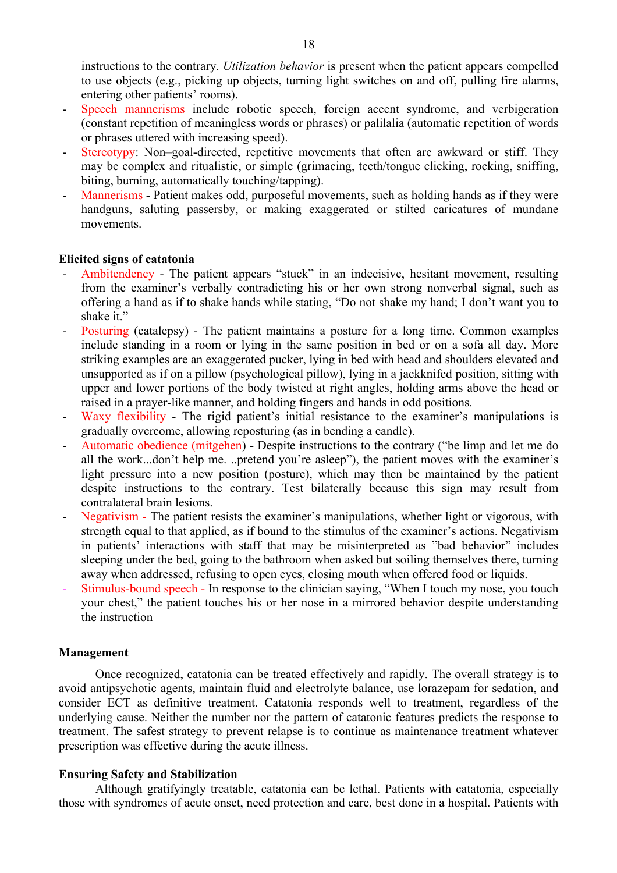instructions to the contrary. *Utilization behavior* is present when the patient appears compelled to use objects (e.g., picking up objects, turning light switches on and off, pulling fire alarms, entering other patients' rooms).

- Speech mannerisms include robotic speech, foreign accent syndrome, and verbigeration (constant repetition of meaningless words or phrases) or palilalia (automatic repetition of words or phrases uttered with increasing speed).
- Stereotypy: Non–goal-directed, repetitive movements that often are awkward or stiff. They may be complex and ritualistic, or simple (grimacing, teeth/tongue clicking, rocking, sniffing, biting, burning, automatically touching/tapping).
- Mannerisms Patient makes odd, purposeful movements, such as holding hands as if they were handguns, saluting passersby, or making exaggerated or stilted caricatures of mundane movements.

### **Elicited signs of catatonia**

- Ambitendency The patient appears "stuck" in an indecisive, hesitant movement, resulting from the examiner's verbally contradicting his or her own strong nonverbal signal, such as offering a hand as if to shake hands while stating, "Do not shake my hand; I don't want you to shake it."
- Posturing (catalepsy) The patient maintains a posture for a long time. Common examples include standing in a room or lying in the same position in bed or on a sofa all day. More striking examples are an exaggerated pucker, lying in bed with head and shoulders elevated and unsupported as if on a pillow (psychological pillow), lying in a jackknifed position, sitting with upper and lower portions of the body twisted at right angles, holding arms above the head or raised in a prayer-like manner, and holding fingers and hands in odd positions.
- Waxy flexibility The rigid patient's initial resistance to the examiner's manipulations is gradually overcome, allowing reposturing (as in bending a candle).
- Automatic obedience (mitgehen) Despite instructions to the contrary ("be limp and let me do all the work...don't help me. ..pretend you're asleep"), the patient moves with the examiner's light pressure into a new position (posture), which may then be maintained by the patient despite instructions to the contrary. Test bilaterally because this sign may result from contralateral brain lesions.
- Negativism The patient resists the examiner's manipulations, whether light or vigorous, with strength equal to that applied, as if bound to the stimulus of the examiner's actions. Negativism in patients' interactions with staff that may be misinterpreted as "bad behavior" includes sleeping under the bed, going to the bathroom when asked but soiling themselves there, turning away when addressed, refusing to open eyes, closing mouth when offered food or liquids.
- Stimulus-bound speech In response to the clinician saying, "When I touch my nose, you touch your chest," the patient touches his or her nose in a mirrored behavior despite understanding the instruction

### **Management**

Once recognized, catatonia can be treated effectively and rapidly. The overall strategy is to avoid antipsychotic agents, maintain fluid and electrolyte balance, use lorazepam for sedation, and consider ECT as definitive treatment. Catatonia responds well to treatment, regardless of the underlying cause. Neither the number nor the pattern of catatonic features predicts the response to treatment. The safest strategy to prevent relapse is to continue as maintenance treatment whatever prescription was effective during the acute illness.

### **Ensuring Safety and Stabilization**

Although gratifyingly treatable, catatonia can be lethal. Patients with catatonia, especially those with syndromes of acute onset, need protection and care, best done in a hospital. Patients with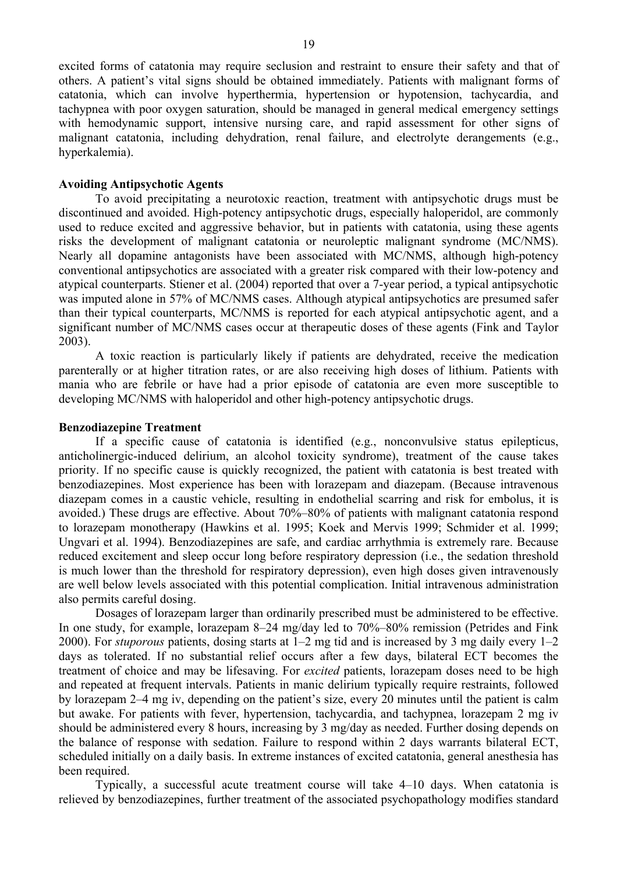excited forms of catatonia may require seclusion and restraint to ensure their safety and that of others. A patient's vital signs should be obtained immediately. Patients with malignant forms of catatonia, which can involve hyperthermia, hypertension or hypotension, tachycardia, and tachypnea with poor oxygen saturation, should be managed in general medical emergency settings with hemodynamic support, intensive nursing care, and rapid assessment for other signs of malignant catatonia, including dehydration, renal failure, and electrolyte derangements (e.g., hyperkalemia).

### **Avoiding Antipsychotic Agents**

To avoid precipitating a neurotoxic reaction, treatment with antipsychotic drugs must be discontinued and avoided. High-potency antipsychotic drugs, especially haloperidol, are commonly used to reduce excited and aggressive behavior, but in patients with catatonia, using these agents risks the development of malignant catatonia or neuroleptic malignant syndrome (MC/NMS). Nearly all dopamine antagonists have been associated with MC/NMS, although high-potency conventional antipsychotics are associated with a greater risk compared with their low-potency and atypical counterparts. Stiener et al. (2004) reported that over a 7-year period, a typical antipsychotic was imputed alone in 57% of MC/NMS cases. Although atypical antipsychotics are presumed safer than their typical counterparts, MC/NMS is reported for each atypical antipsychotic agent, and a significant number of MC/NMS cases occur at therapeutic doses of these agents (Fink and Taylor 2003).

A toxic reaction is particularly likely if patients are dehydrated, receive the medication parenterally or at higher titration rates, or are also receiving high doses of lithium. Patients with mania who are febrile or have had a prior episode of catatonia are even more susceptible to developing MC/NMS with haloperidol and other high-potency antipsychotic drugs.

### **Benzodiazepine Treatment**

If a specific cause of catatonia is identified (e.g., nonconvulsive status epilepticus, anticholinergic-induced delirium, an alcohol toxicity syndrome), treatment of the cause takes priority. If no specific cause is quickly recognized, the patient with catatonia is best treated with benzodiazepines. Most experience has been with lorazepam and diazepam. (Because intravenous diazepam comes in a caustic vehicle, resulting in endothelial scarring and risk for embolus, it is avoided.) These drugs are effective. About 70%–80% of patients with malignant catatonia respond to lorazepam monotherapy (Hawkins et al. 1995; Koek and Mervis 1999; Schmider et al. 1999; Ungvari et al. 1994). Benzodiazepines are safe, and cardiac arrhythmia is extremely rare. Because reduced excitement and sleep occur long before respiratory depression (i.e., the sedation threshold is much lower than the threshold for respiratory depression), even high doses given intravenously are well below levels associated with this potential complication. Initial intravenous administration also permits careful dosing.

Dosages of lorazepam larger than ordinarily prescribed must be administered to be effective. In one study, for example, lorazepam 8–24 mg/day led to 70%–80% remission (Petrides and Fink 2000). For *stuporous* patients, dosing starts at 1–2 mg tid and is increased by 3 mg daily every 1–2 days as tolerated. If no substantial relief occurs after a few days, bilateral ECT becomes the treatment of choice and may be lifesaving. For *excited* patients, lorazepam doses need to be high and repeated at frequent intervals. Patients in manic delirium typically require restraints, followed by lorazepam 2–4 mg iv, depending on the patient's size, every 20 minutes until the patient is calm but awake. For patients with fever, hypertension, tachycardia, and tachypnea, lorazepam 2 mg iv should be administered every 8 hours, increasing by 3 mg/day as needed. Further dosing depends on the balance of response with sedation. Failure to respond within 2 days warrants bilateral ECT, scheduled initially on a daily basis. In extreme instances of excited catatonia, general anesthesia has been required.

Typically, a successful acute treatment course will take 4–10 days. When catatonia is relieved by benzodiazepines, further treatment of the associated psychopathology modifies standard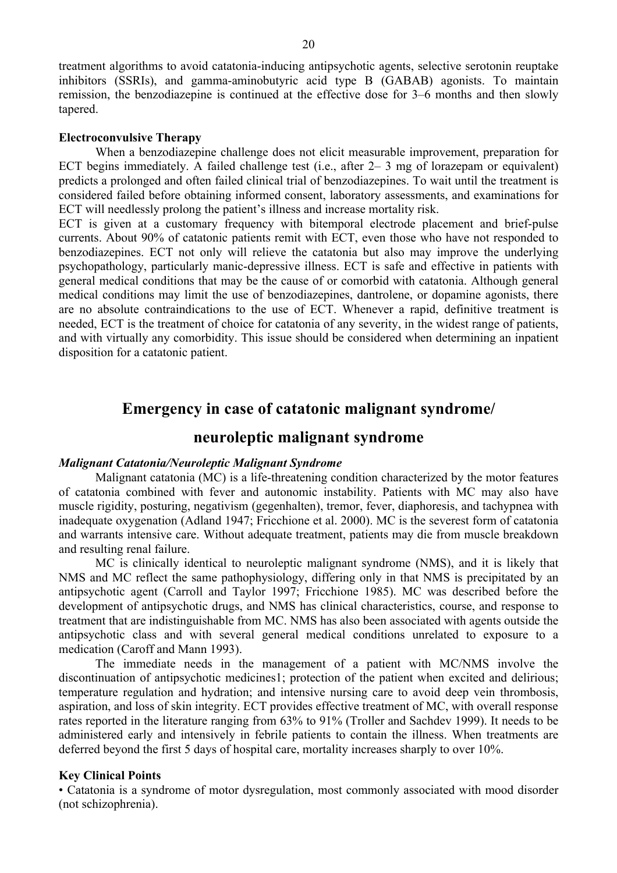treatment algorithms to avoid catatonia-inducing antipsychotic agents, selective serotonin reuptake inhibitors (SSRIs), and gamma-aminobutyric acid type B (GABAB) agonists. To maintain remission, the benzodiazepine is continued at the effective dose for 3–6 months and then slowly tapered.

### **Electroconvulsive Therapy**

When a benzodiazepine challenge does not elicit measurable improvement, preparation for ECT begins immediately. A failed challenge test (i.e., after 2– 3 mg of lorazepam or equivalent) predicts a prolonged and often failed clinical trial of benzodiazepines. To wait until the treatment is considered failed before obtaining informed consent, laboratory assessments, and examinations for ECT will needlessly prolong the patient's illness and increase mortality risk.

ECT is given at a customary frequency with bitemporal electrode placement and brief-pulse currents. About 90% of catatonic patients remit with ECT, even those who have not responded to benzodiazepines. ECT not only will relieve the catatonia but also may improve the underlying psychopathology, particularly manic-depressive illness. ECT is safe and effective in patients with general medical conditions that may be the cause of or comorbid with catatonia. Although general medical conditions may limit the use of benzodiazepines, dantrolene, or dopamine agonists, there are no absolute contraindications to the use of ECT. Whenever a rapid, definitive treatment is needed, ECT is the treatment of choice for catatonia of any severity, in the widest range of patients, and with virtually any comorbidity. This issue should be considered when determining an inpatient disposition for a catatonic patient.

# **Emergency in case of catatonic malignant syndrome/**

# **neuroleptic malignant syndrome**

### *Malignant Catatonia/Neuroleptic Malignant Syndrome*

Malignant catatonia (MC) is a life-threatening condition characterized by the motor features of catatonia combined with fever and autonomic instability. Patients with MC may also have muscle rigidity, posturing, negativism (gegenhalten), tremor, fever, diaphoresis, and tachypnea with inadequate oxygenation (Adland 1947; Fricchione et al. 2000). MC is the severest form of catatonia and warrants intensive care. Without adequate treatment, patients may die from muscle breakdown and resulting renal failure.

MC is clinically identical to neuroleptic malignant syndrome (NMS), and it is likely that NMS and MC reflect the same pathophysiology, differing only in that NMS is precipitated by an antipsychotic agent (Carroll and Taylor 1997; Fricchione 1985). MC was described before the development of antipsychotic drugs, and NMS has clinical characteristics, course, and response to treatment that are indistinguishable from MC. NMS has also been associated with agents outside the antipsychotic class and with several general medical conditions unrelated to exposure to a medication (Caroff and Mann 1993).

The immediate needs in the management of a patient with MC/NMS involve the discontinuation of antipsychotic medicines1; protection of the patient when excited and delirious; temperature regulation and hydration; and intensive nursing care to avoid deep vein thrombosis, aspiration, and loss of skin integrity. ECT provides effective treatment of MC, with overall response rates reported in the literature ranging from 63% to 91% (Troller and Sachdev 1999). It needs to be administered early and intensively in febrile patients to contain the illness. When treatments are deferred beyond the first 5 days of hospital care, mortality increases sharply to over 10%.

### **Key Clinical Points**

• Catatonia is a syndrome of motor dysregulation, most commonly associated with mood disorder (not schizophrenia).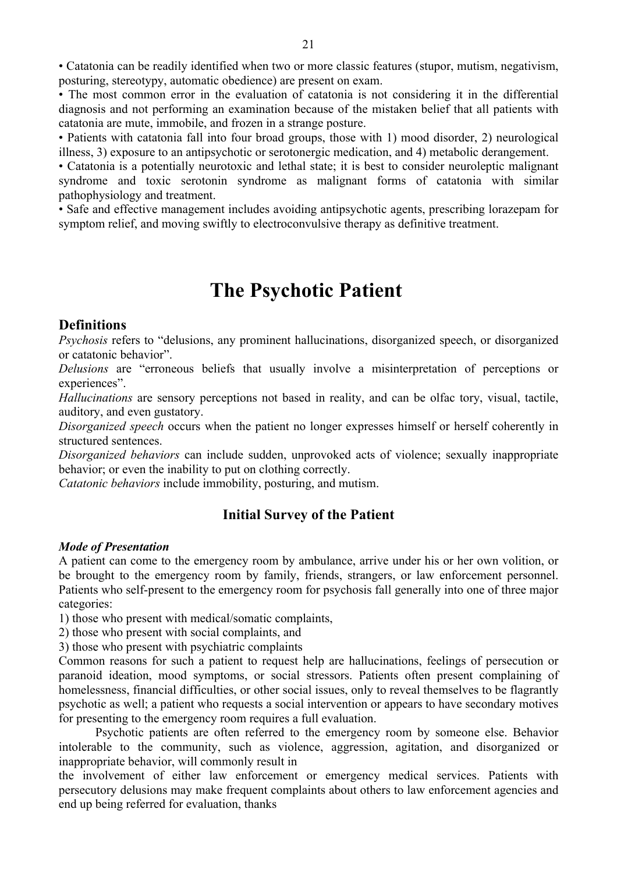• Catatonia can be readily identified when two or more classic features (stupor, mutism, negativism, posturing, stereotypy, automatic obedience) are present on exam.

• The most common error in the evaluation of catatonia is not considering it in the differential diagnosis and not performing an examination because of the mistaken belief that all patients with catatonia are mute, immobile, and frozen in a strange posture.

• Patients with catatonia fall into four broad groups, those with 1) mood disorder, 2) neurological illness, 3) exposure to an antipsychotic or serotonergic medication, and 4) metabolic derangement.

• Catatonia is a potentially neurotoxic and lethal state; it is best to consider neuroleptic malignant syndrome and toxic serotonin syndrome as malignant forms of catatonia with similar pathophysiology and treatment.

• Safe and effective management includes avoiding antipsychotic agents, prescribing lorazepam for symptom relief, and moving swiftly to electroconvulsive therapy as definitive treatment.

# **The Psychotic Patient**

# **Definitions**

*Psychosis* refers to "delusions, any prominent hallucinations, disorganized speech, or disorganized or catatonic behavior".

*Delusions* are "erroneous beliefs that usually involve a misinterpretation of perceptions or experiences".

*Hallucinations* are sensory perceptions not based in reality, and can be olfac tory, visual, tactile, auditory, and even gustatory.

*Disorganized speech* occurs when the patient no longer expresses himself or herself coherently in structured sentences.

*Disorganized behaviors* can include sudden, unprovoked acts of violence; sexually inappropriate behavior; or even the inability to put on clothing correctly.

*Catatonic behaviors* include immobility, posturing, and mutism.

# **Initial Survey of the Patient**

## *Mode of Presentation*

A patient can come to the emergency room by ambulance, arrive under his or her own volition, or be brought to the emergency room by family, friends, strangers, or law enforcement personnel. Patients who self-present to the emergency room for psychosis fall generally into one of three major categories:

1) those who present with medical/somatic complaints,

- 2) those who present with social complaints, and
- 3) those who present with psychiatric complaints

Common reasons for such a patient to request help are hallucinations, feelings of persecution or paranoid ideation, mood symptoms, or social stressors. Patients often present complaining of homelessness, financial difficulties, or other social issues, only to reveal themselves to be flagrantly psychotic as well; a patient who requests a social intervention or appears to have secondary motives for presenting to the emergency room requires a full evaluation.

Psychotic patients are often referred to the emergency room by someone else. Behavior intolerable to the community, such as violence, aggression, agitation, and disorganized or inappropriate behavior, will commonly result in

the involvement of either law enforcement or emergency medical services. Patients with persecutory delusions may make frequent complaints about others to law enforcement agencies and end up being referred for evaluation, thanks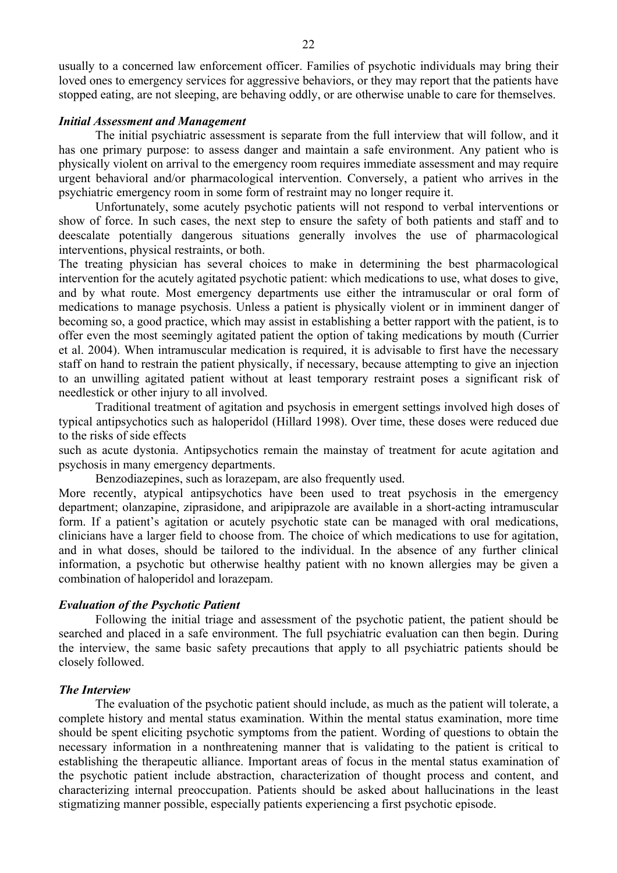usually to a concerned law enforcement officer. Families of psychotic individuals may bring their loved ones to emergency services for aggressive behaviors, or they may report that the patients have stopped eating, are not sleeping, are behaving oddly, or are otherwise unable to care for themselves.

### *Initial Assessment and Management*

The initial psychiatric assessment is separate from the full interview that will follow, and it has one primary purpose: to assess danger and maintain a safe environment. Any patient who is physically violent on arrival to the emergency room requires immediate assessment and may require urgent behavioral and/or pharmacological intervention. Conversely, a patient who arrives in the psychiatric emergency room in some form of restraint may no longer require it.

Unfortunately, some acutely psychotic patients will not respond to verbal interventions or show of force. In such cases, the next step to ensure the safety of both patients and staff and to deescalate potentially dangerous situations generally involves the use of pharmacological interventions, physical restraints, or both.

The treating physician has several choices to make in determining the best pharmacological intervention for the acutely agitated psychotic patient: which medications to use, what doses to give, and by what route. Most emergency departments use either the intramuscular or oral form of medications to manage psychosis. Unless a patient is physically violent or in imminent danger of becoming so, a good practice, which may assist in establishing a better rapport with the patient, is to offer even the most seemingly agitated patient the option of taking medications by mouth (Currier et al. 2004). When intramuscular medication is required, it is advisable to first have the necessary staff on hand to restrain the patient physically, if necessary, because attempting to give an injection to an unwilling agitated patient without at least temporary restraint poses a significant risk of needlestick or other injury to all involved.

Traditional treatment of agitation and psychosis in emergent settings involved high doses of typical antipsychotics such as haloperidol (Hillard 1998). Over time, these doses were reduced due to the risks of side effects

such as acute dystonia. Antipsychotics remain the mainstay of treatment for acute agitation and psychosis in many emergency departments.

Benzodiazepines, such as lorazepam, are also frequently used.

More recently, atypical antipsychotics have been used to treat psychosis in the emergency department; olanzapine, ziprasidone, and aripiprazole are available in a short-acting intramuscular form. If a patient's agitation or acutely psychotic state can be managed with oral medications, clinicians have a larger field to choose from. The choice of which medications to use for agitation, and in what doses, should be tailored to the individual. In the absence of any further clinical information, a psychotic but otherwise healthy patient with no known allergies may be given a combination of haloperidol and lorazepam.

### *Evaluation of the Psychotic Patient*

Following the initial triage and assessment of the psychotic patient, the patient should be searched and placed in a safe environment. The full psychiatric evaluation can then begin. During the interview, the same basic safety precautions that apply to all psychiatric patients should be closely followed.

### *The Interview*

The evaluation of the psychotic patient should include, as much as the patient will tolerate, a complete history and mental status examination. Within the mental status examination, more time should be spent eliciting psychotic symptoms from the patient. Wording of questions to obtain the necessary information in a nonthreatening manner that is validating to the patient is critical to establishing the therapeutic alliance. Important areas of focus in the mental status examination of the psychotic patient include abstraction, characterization of thought process and content, and characterizing internal preoccupation. Patients should be asked about hallucinations in the least stigmatizing manner possible, especially patients experiencing a first psychotic episode.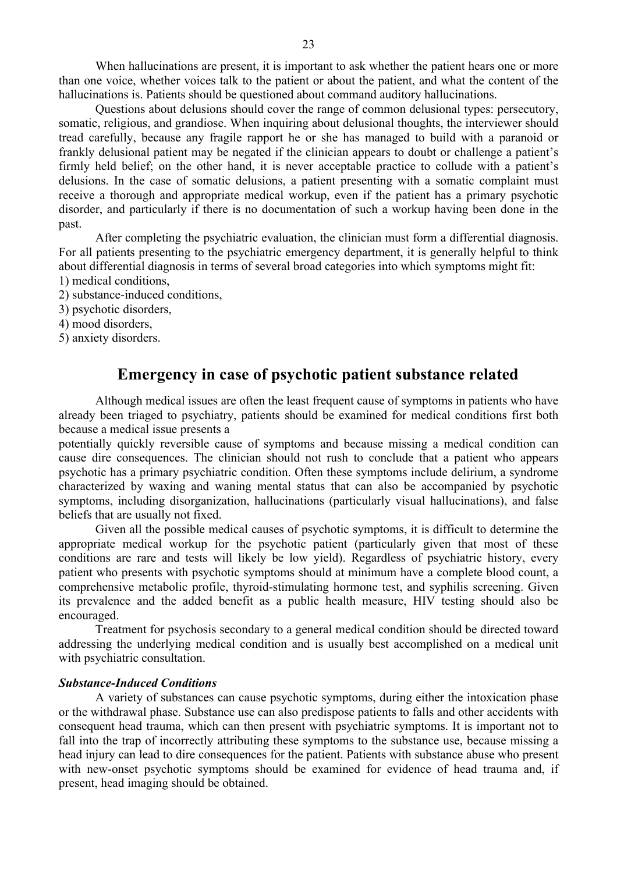When hallucinations are present, it is important to ask whether the patient hears one or more than one voice, whether voices talk to the patient or about the patient, and what the content of the hallucinations is. Patients should be questioned about command auditory hallucinations.

Questions about delusions should cover the range of common delusional types: persecutory, somatic, religious, and grandiose. When inquiring about delusional thoughts, the interviewer should tread carefully, because any fragile rapport he or she has managed to build with a paranoid or frankly delusional patient may be negated if the clinician appears to doubt or challenge a patient's firmly held belief; on the other hand, it is never acceptable practice to collude with a patient's delusions. In the case of somatic delusions, a patient presenting with a somatic complaint must receive a thorough and appropriate medical workup, even if the patient has a primary psychotic disorder, and particularly if there is no documentation of such a workup having been done in the past.

After completing the psychiatric evaluation, the clinician must form a differential diagnosis. For all patients presenting to the psychiatric emergency department, it is generally helpful to think about differential diagnosis in terms of several broad categories into which symptoms might fit:

- 1) medical conditions,
- 2) substance-induced conditions,
- 3) psychotic disorders,
- 4) mood disorders,
- 5) anxiety disorders.

# **Emergency in case of psychotic patient substance related**

Although medical issues are often the least frequent cause of symptoms in patients who have already been triaged to psychiatry, patients should be examined for medical conditions first both because a medical issue presents a

potentially quickly reversible cause of symptoms and because missing a medical condition can cause dire consequences. The clinician should not rush to conclude that a patient who appears psychotic has a primary psychiatric condition. Often these symptoms include delirium, a syndrome characterized by waxing and waning mental status that can also be accompanied by psychotic symptoms, including disorganization, hallucinations (particularly visual hallucinations), and false beliefs that are usually not fixed.

Given all the possible medical causes of psychotic symptoms, it is difficult to determine the appropriate medical workup for the psychotic patient (particularly given that most of these conditions are rare and tests will likely be low yield). Regardless of psychiatric history, every patient who presents with psychotic symptoms should at minimum have a complete blood count, a comprehensive metabolic profile, thyroid-stimulating hormone test, and syphilis screening. Given its prevalence and the added benefit as a public health measure, HIV testing should also be encouraged.

Treatment for psychosis secondary to a general medical condition should be directed toward addressing the underlying medical condition and is usually best accomplished on a medical unit with psychiatric consultation.

### *Substance-Induced Conditions*

A variety of substances can cause psychotic symptoms, during either the intoxication phase or the withdrawal phase. Substance use can also predispose patients to falls and other accidents with consequent head trauma, which can then present with psychiatric symptoms. It is important not to fall into the trap of incorrectly attributing these symptoms to the substance use, because missing a head injury can lead to dire consequences for the patient. Patients with substance abuse who present with new-onset psychotic symptoms should be examined for evidence of head trauma and, if present, head imaging should be obtained.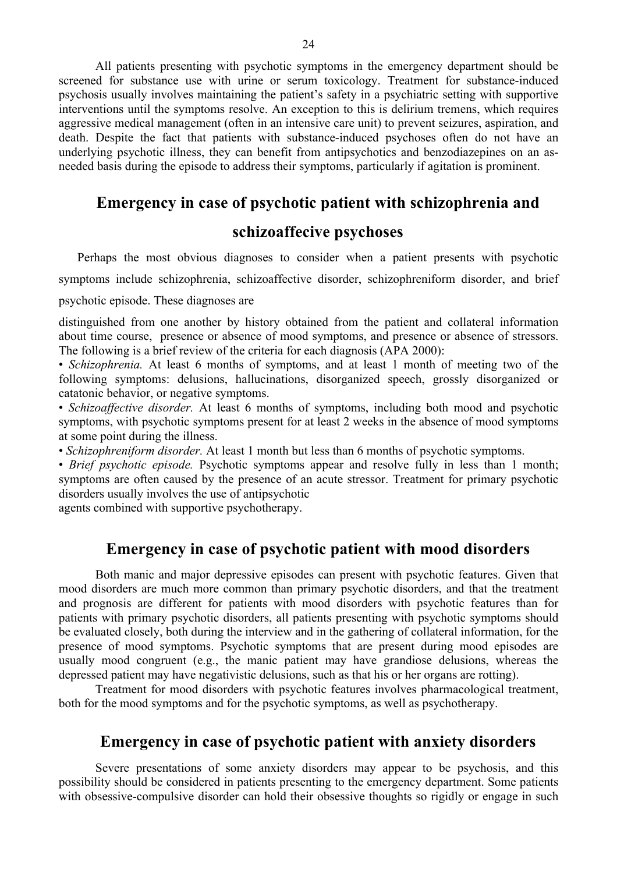All patients presenting with psychotic symptoms in the emergency department should be screened for substance use with urine or serum toxicology. Treatment for substance-induced psychosis usually involves maintaining the patient's safety in a psychiatric setting with supportive interventions until the symptoms resolve. An exception to this is delirium tremens, which requires aggressive medical management (often in an intensive care unit) to prevent seizures, aspiration, and death. Despite the fact that patients with substance-induced psychoses often do not have an underlying psychotic illness, they can benefit from antipsychotics and benzodiazepines on an asneeded basis during the episode to address their symptoms, particularly if agitation is prominent.

# **Emergency in case of psychotic patient with schizophrenia and**

# **schizoaffecive psychoses**

Perhaps the most obvious diagnoses to consider when a patient presents with psychotic symptoms include schizophrenia, schizoaffective disorder, schizophreniform disorder, and brief

psychotic episode. These diagnoses are

distinguished from one another by history obtained from the patient and collateral information about time course, presence or absence of mood symptoms, and presence or absence of stressors. The following is a brief review of the criteria for each diagnosis (APA 2000):

• *Schizophrenia*. At least 6 months of symptoms, and at least 1 month of meeting two of the following symptoms: delusions, hallucinations, disorganized speech, grossly disorganized or catatonic behavior, or negative symptoms.

• *Schizoaffective disorder*. At least 6 months of symptoms, including both mood and psychotic symptoms, with psychotic symptoms present for at least 2 weeks in the absence of mood symptoms at some point during the illness.

• *Schizophreniform disorder*. At least 1 month but less than 6 months of psychotic symptoms.

• *Brief psychotic episode*. Psychotic symptoms appear and resolve fully in less than 1 month; symptoms are often caused by the presence of an acute stressor. Treatment for primary psychotic disorders usually involves the use of antipsychotic

agents combined with supportive psychotherapy.

# **Emergency in case of psychotic patient with mood disorders**

Both manic and major depressive episodes can present with psychotic features. Given that mood disorders are much more common than primary psychotic disorders, and that the treatment and prognosis are different for patients with mood disorders with psychotic features than for patients with primary psychotic disorders, all patients presenting with psychotic symptoms should be evaluated closely, both during the interview and in the gathering of collateral information, for the presence of mood symptoms. Psychotic symptoms that are present during mood episodes are usually mood congruent (e.g., the manic patient may have grandiose delusions, whereas the depressed patient may have negativistic delusions, such as that his or her organs are rotting).

Treatment for mood disorders with psychotic features involves pharmacological treatment, both for the mood symptoms and for the psychotic symptoms, as well as psychotherapy.

# **Emergency in case of psychotic patient with anxiety disorders**

Severe presentations of some anxiety disorders may appear to be psychosis, and this possibility should be considered in patients presenting to the emergency department. Some patients with obsessive-compulsive disorder can hold their obsessive thoughts so rigidly or engage in such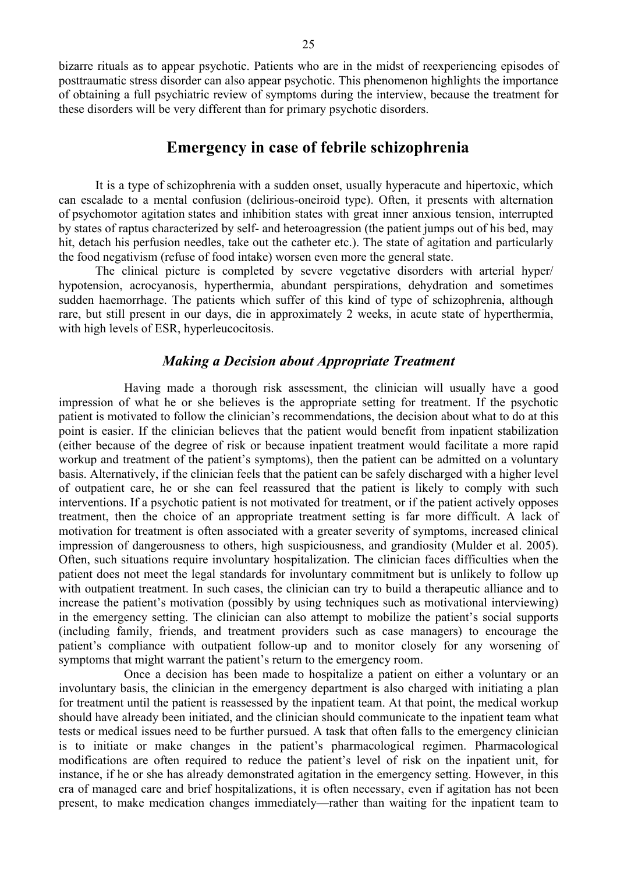bizarre rituals as to appear psychotic. Patients who are in the midst of reexperiencing episodes of posttraumatic stress disorder can also appear psychotic. This phenomenon highlights the importance of obtaining a full psychiatric review of symptoms during the interview, because the treatment for these disorders will be very different than for primary psychotic disorders.

# **Emergency in case of febrile schizophrenia**

It is a type of schizophrenia with a sudden onset, usually hyperacute and hipertoxic, which can escalade to a mental confusion (delirious-oneiroid type). Often, it presents with alternation of psychomotor agitation states and inhibition states with great inner anxious tension, interrupted by states of raptus characterized by self- and heteroagression (the patient jumps out of his bed, may hit, detach his perfusion needles, take out the catheter etc.). The state of agitation and particularly the food negativism (refuse of food intake) worsen even more the general state.

The clinical picture is completed by severe vegetative disorders with arterial hyper/ hypotension, acrocyanosis, hyperthermia, abundant perspirations, dehydration and sometimes sudden haemorrhage. The patients which suffer of this kind of type of schizophrenia, although rare, but still present in our days, die in approximately 2 weeks, in acute state of hyperthermia, with high levels of ESR, hyperleucocitosis.

## *Making a Decision about Appropriate Treatment*

Having made a thorough risk assessment, the clinician will usually have a good impression of what he or she believes is the appropriate setting for treatment. If the psychotic patient is motivated to follow the clinician's recommendations, the decision about what to do at this point is easier. If the clinician believes that the patient would benefit from inpatient stabilization (either because of the degree of risk or because inpatient treatment would facilitate a more rapid workup and treatment of the patient's symptoms), then the patient can be admitted on a voluntary basis. Alternatively, if the clinician feels that the patient can be safely discharged with a higher level of outpatient care, he or she can feel reassured that the patient is likely to comply with such interventions. If a psychotic patient is not motivated for treatment, or if the patient actively opposes treatment, then the choice of an appropriate treatment setting is far more difficult. A lack of motivation for treatment is often associated with a greater severity of symptoms, increased clinical impression of dangerousness to others, high suspiciousness, and grandiosity (Mulder et al. 2005). Often, such situations require involuntary hospitalization. The clinician faces difficulties when the patient does not meet the legal standards for involuntary commitment but is unlikely to follow up with outpatient treatment. In such cases, the clinician can try to build a therapeutic alliance and to increase the patient's motivation (possibly by using techniques such as motivational interviewing) in the emergency setting. The clinician can also attempt to mobilize the patient's social supports (including family, friends, and treatment providers such as case managers) to encourage the patient's compliance with outpatient follow-up and to monitor closely for any worsening of symptoms that might warrant the patient's return to the emergency room.

Once a decision has been made to hospitalize a patient on either a voluntary or an involuntary basis, the clinician in the emergency department is also charged with initiating a plan for treatment until the patient is reassessed by the inpatient team. At that point, the medical workup should have already been initiated, and the clinician should communicate to the inpatient team what tests or medical issues need to be further pursued. A task that often falls to the emergency clinician is to initiate or make changes in the patient's pharmacological regimen. Pharmacological modifications are often required to reduce the patient's level of risk on the inpatient unit, for instance, if he or she has already demonstrated agitation in the emergency setting. However, in this era of managed care and brief hospitalizations, it is often necessary, even if agitation has not been present, to make medication changes immediately—rather than waiting for the inpatient team to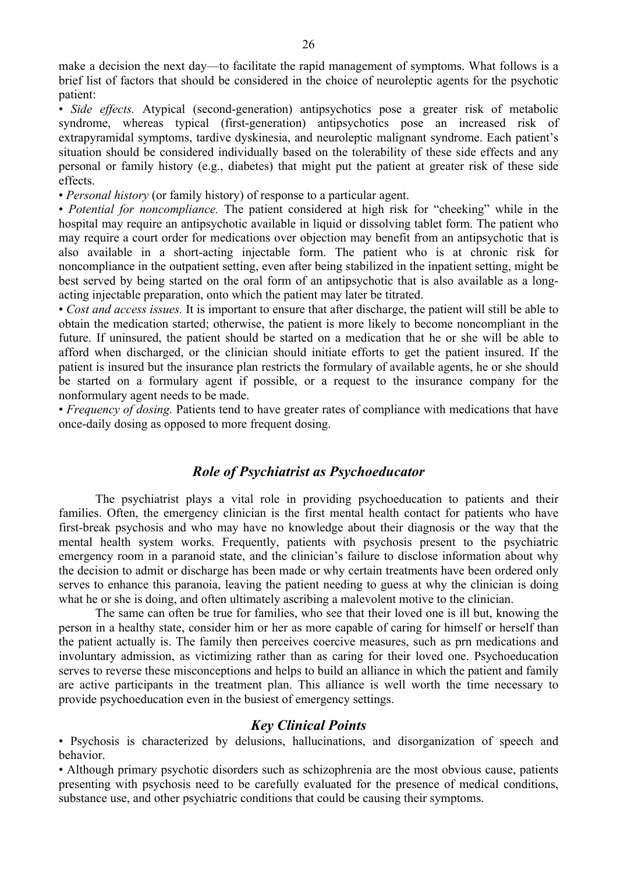make a decision the next day—to facilitate the rapid management of symptoms. What follows is a brief list of factors that should be considered in the choice of neuroleptic agents for the psychotic patient:

• *Side effects.* Atypical (second-generation) antipsychotics pose a greater risk of metabolic syndrome, whereas typical (first-generation) antipsychotics pose an increased risk of extrapyramidal symptoms, tardive dyskinesia, and neuroleptic malignant syndrome. Each patient's situation should be considered individually based on the tolerability of these side effects and any personal or family history (e.g., diabetes) that might put the patient at greater risk of these side effects.

• *Personal history* (or family history) of response to a particular agent.

• *Potential for noncompliance*. The patient considered at high risk for "cheeking" while in the hospital may require an antipsychotic available in liquid or dissolving tablet form. The patient who may require a court order for medications over objection may benefit from an antipsychotic that is also available in a short-acting injectable form. The patient who is at chronic risk for noncompliance in the outpatient setting, even after being stabilized in the inpatient setting, might be best served by being started on the oral form of an antipsychotic that is also available as a longacting injectable preparation, onto which the patient may later be titrated.

• *Cost and access issues.* It is important to ensure that after discharge, the patient will still be able to obtain the medication started; otherwise, the patient is more likely to become noncompliant in the future. If uninsured, the patient should be started on a medication that he or she will be able to afford when discharged, or the clinician should initiate efforts to get the patient insured. If the patient is insured but the insurance plan restricts the formulary of available agents, he or she should be started on a formulary agent if possible, or a request to the insurance company for the nonformulary agent needs to be made.

• *Frequency of dosing.* Patients tend to have greater rates of compliance with medications that have once-daily dosing as opposed to more frequent dosing.

# *Role of Psychiatrist as Psychoeducator*

The psychiatrist plays a vital role in providing psychoeducation to patients and their families. Often, the emergency clinician is the first mental health contact for patients who have first-break psychosis and who may have no knowledge about their diagnosis or the way that the mental health system works. Frequently, patients with psychosis present to the psychiatric emergency room in a paranoid state, and the clinician's failure to disclose information about why the decision to admit or discharge has been made or why certain treatments have been ordered only serves to enhance this paranoia, leaving the patient needing to guess at why the clinician is doing what he or she is doing, and often ultimately ascribing a malevolent motive to the clinician.

The same can often be true for families, who see that their loved one is ill but, knowing the person in a healthy state, consider him or her as more capable of caring for himself or herself than the patient actually is. The family then perceives coercive measures, such as prn medications and involuntary admission, as victimizing rather than as caring for their loved one. Psychoeducation serves to reverse these misconceptions and helps to build an alliance in which the patient and family are active participants in the treatment plan. This alliance is well worth the time necessary to provide psychoeducation even in the busiest of emergency settings.

## *Key Clinical Points*

• Psychosis is characterized by delusions, hallucinations, and disorganization of speech and behavior.

• Although primary psychotic disorders such as schizophrenia are the most obvious cause, patients presenting with psychosis need to be carefully evaluated for the presence of medical conditions, substance use, and other psychiatric conditions that could be causing their symptoms.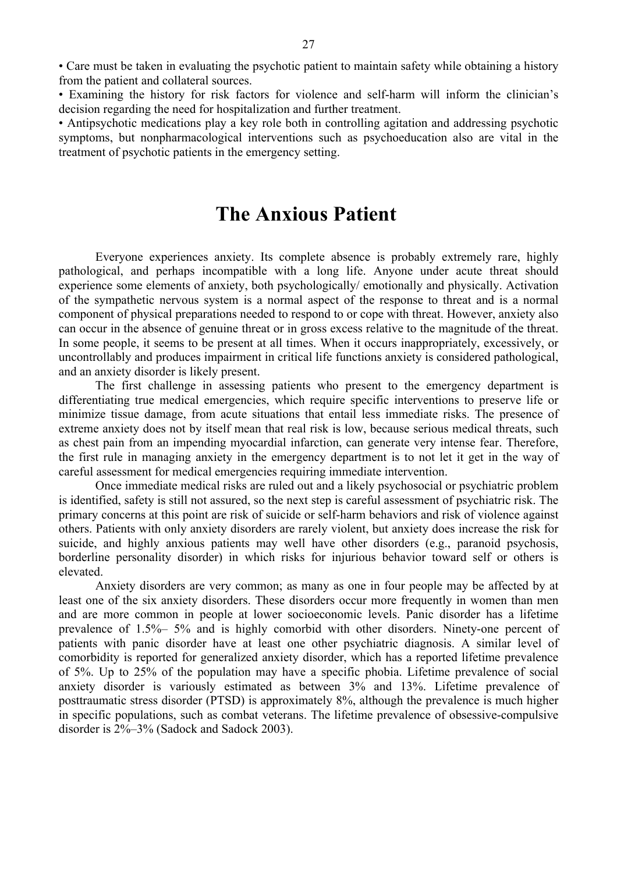• Care must be taken in evaluating the psychotic patient to maintain safety while obtaining a history from the patient and collateral sources.

• Examining the history for risk factors for violence and self-harm will inform the clinician's decision regarding the need for hospitalization and further treatment.

• Antipsychotic medications play a key role both in controlling agitation and addressing psychotic symptoms, but nonpharmacological interventions such as psychoeducation also are vital in the treatment of psychotic patients in the emergency setting.

# **The Anxious Patient**

Everyone experiences anxiety. Its complete absence is probably extremely rare, highly pathological, and perhaps incompatible with a long life. Anyone under acute threat should experience some elements of anxiety, both psychologically/ emotionally and physically. Activation of the sympathetic nervous system is a normal aspect of the response to threat and is a normal component of physical preparations needed to respond to or cope with threat. However, anxiety also can occur in the absence of genuine threat or in gross excess relative to the magnitude of the threat. In some people, it seems to be present at all times. When it occurs inappropriately, excessively, or uncontrollably and produces impairment in critical life functions anxiety is considered pathological, and an anxiety disorder is likely present.

The first challenge in assessing patients who present to the emergency department is differentiating true medical emergencies, which require specific interventions to preserve life or minimize tissue damage, from acute situations that entail less immediate risks. The presence of extreme anxiety does not by itself mean that real risk is low, because serious medical threats, such as chest pain from an impending myocardial infarction, can generate very intense fear. Therefore, the first rule in managing anxiety in the emergency department is to not let it get in the way of careful assessment for medical emergencies requiring immediate intervention.

Once immediate medical risks are ruled out and a likely psychosocial or psychiatric problem is identified, safety is still not assured, so the next step is careful assessment of psychiatric risk. The primary concerns at this point are risk of suicide or self-harm behaviors and risk of violence against others. Patients with only anxiety disorders are rarely violent, but anxiety does increase the risk for suicide, and highly anxious patients may well have other disorders (e.g., paranoid psychosis, borderline personality disorder) in which risks for injurious behavior toward self or others is elevated.

Anxiety disorders are very common; as many as one in four people may be affected by at least one of the six anxiety disorders. These disorders occur more frequently in women than men and are more common in people at lower socioeconomic levels. Panic disorder has a lifetime prevalence of 1.5%– 5% and is highly comorbid with other disorders. Ninety-one percent of patients with panic disorder have at least one other psychiatric diagnosis. A similar level of comorbidity is reported for generalized anxiety disorder, which has a reported lifetime prevalence of 5%. Up to 25% of the population may have a specific phobia. Lifetime prevalence of social anxiety disorder is variously estimated as between 3% and 13%. Lifetime prevalence of posttraumatic stress disorder (PTSD) is approximately 8%, although the prevalence is much higher in specific populations, such as combat veterans. The lifetime prevalence of obsessive-compulsive disorder is 2%–3% (Sadock and Sadock 2003).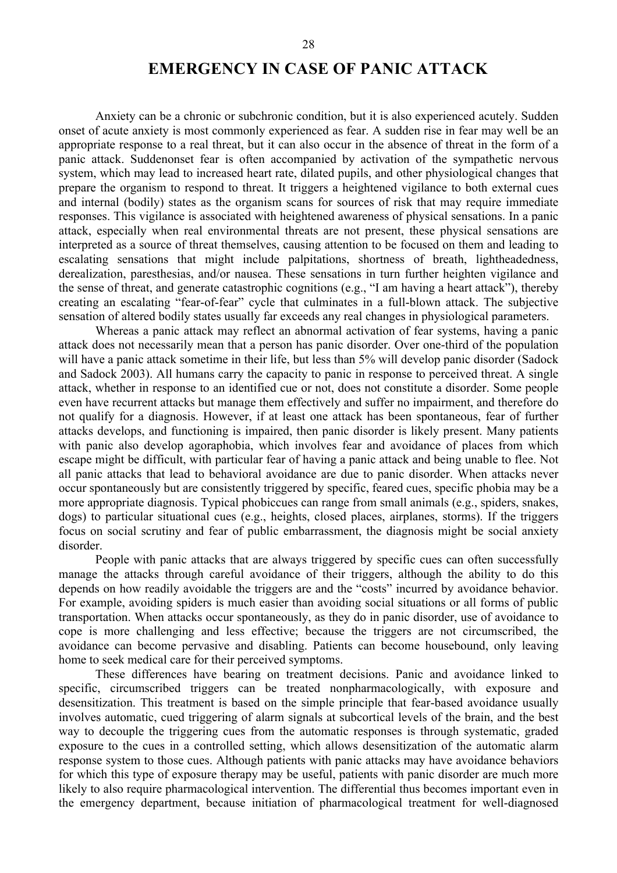Anxiety can be a chronic or subchronic condition, but it is also experienced acutely. Sudden onset of acute anxiety is most commonly experienced as fear. A sudden rise in fear may well be an appropriate response to a real threat, but it can also occur in the absence of threat in the form of a panic attack. Suddenonset fear is often accompanied by activation of the sympathetic nervous system, which may lead to increased heart rate, dilated pupils, and other physiological changes that prepare the organism to respond to threat. It triggers a heightened vigilance to both external cues and internal (bodily) states as the organism scans for sources of risk that may require immediate responses. This vigilance is associated with heightened awareness of physical sensations. In a panic attack, especially when real environmental threats are not present, these physical sensations are interpreted as a source of threat themselves, causing attention to be focused on them and leading to escalating sensations that might include palpitations, shortness of breath, lightheadedness, derealization, paresthesias, and/or nausea. These sensations in turn further heighten vigilance and the sense of threat, and generate catastrophic cognitions (e.g., "I am having a heart attack"), thereby creating an escalating "fear-of-fear" cycle that culminates in a full-blown attack. The subjective sensation of altered bodily states usually far exceeds any real changes in physiological parameters.

Whereas a panic attack may reflect an abnormal activation of fear systems, having a panic attack does not necessarily mean that a person has panic disorder. Over one-third of the population will have a panic attack sometime in their life, but less than 5% will develop panic disorder (Sadock and Sadock 2003). All humans carry the capacity to panic in response to perceived threat. A single attack, whether in response to an identified cue or not, does not constitute a disorder. Some people even have recurrent attacks but manage them effectively and suffer no impairment, and therefore do not qualify for a diagnosis. However, if at least one attack has been spontaneous, fear of further attacks develops, and functioning is impaired, then panic disorder is likely present. Many patients with panic also develop agoraphobia, which involves fear and avoidance of places from which escape might be difficult, with particular fear of having a panic attack and being unable to flee. Not all panic attacks that lead to behavioral avoidance are due to panic disorder. When attacks never occur spontaneously but are consistently triggered by specific, feared cues, specific phobia may be a more appropriate diagnosis. Typical phobiccues can range from small animals (e.g., spiders, snakes, dogs) to particular situational cues (e.g., heights, closed places, airplanes, storms). If the triggers focus on social scrutiny and fear of public embarrassment, the diagnosis might be social anxiety disorder.

People with panic attacks that are always triggered by specific cues can often successfully manage the attacks through careful avoidance of their triggers, although the ability to do this depends on how readily avoidable the triggers are and the "costs" incurred by avoidance behavior. For example, avoiding spiders is much easier than avoiding social situations or all forms of public transportation. When attacks occur spontaneously, as they do in panic disorder, use of avoidance to cope is more challenging and less effective; because the triggers are not circumscribed, the avoidance can become pervasive and disabling. Patients can become housebound, only leaving home to seek medical care for their perceived symptoms.

These differences have bearing on treatment decisions. Panic and avoidance linked to specific, circumscribed triggers can be treated nonpharmacologically, with exposure and desensitization. This treatment is based on the simple principle that fear-based avoidance usually involves automatic, cued triggering of alarm signals at subcortical levels of the brain, and the best way to decouple the triggering cues from the automatic responses is through systematic, graded exposure to the cues in a controlled setting, which allows desensitization of the automatic alarm response system to those cues. Although patients with panic attacks may have avoidance behaviors for which this type of exposure therapy may be useful, patients with panic disorder are much more likely to also require pharmacological intervention. The differential thus becomes important even in the emergency department, because initiation of pharmacological treatment for well-diagnosed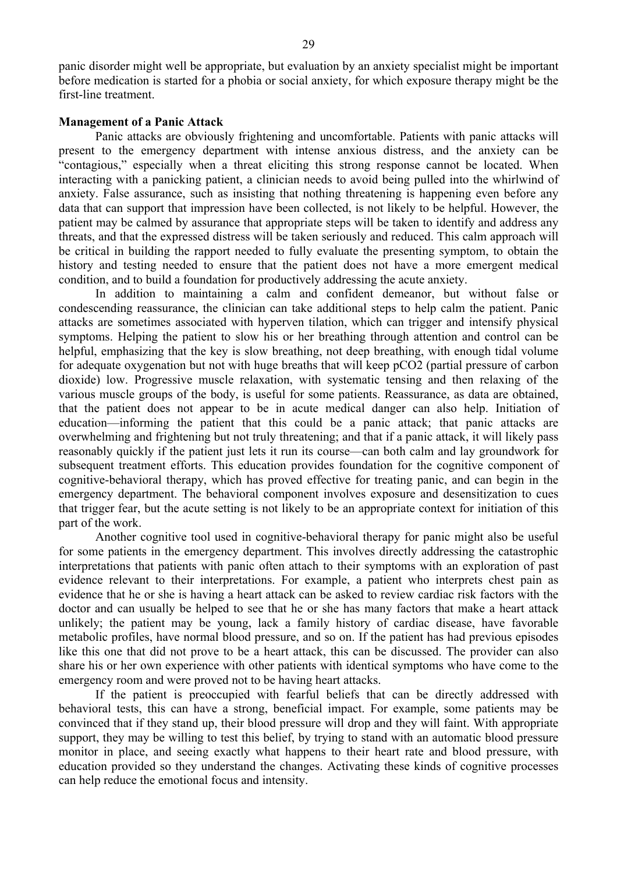panic disorder might well be appropriate, but evaluation by an anxiety specialist might be important before medication is started for a phobia or social anxiety, for which exposure therapy might be the first-line treatment.

### **Management of a Panic Attack**

Panic attacks are obviously frightening and uncomfortable. Patients with panic attacks will present to the emergency department with intense anxious distress, and the anxiety can be "contagious," especially when a threat eliciting this strong response cannot be located. When interacting with a panicking patient, a clinician needs to avoid being pulled into the whirlwind of anxiety. False assurance, such as insisting that nothing threatening is happening even before any data that can support that impression have been collected, is not likely to be helpful. However, the patient may be calmed by assurance that appropriate steps will be taken to identify and address any threats, and that the expressed distress will be taken seriously and reduced. This calm approach will be critical in building the rapport needed to fully evaluate the presenting symptom, to obtain the history and testing needed to ensure that the patient does not have a more emergent medical condition, and to build a foundation for productively addressing the acute anxiety.

In addition to maintaining a calm and confident demeanor, but without false or condescending reassurance, the clinician can take additional steps to help calm the patient. Panic attacks are sometimes associated with hyperven tilation, which can trigger and intensify physical symptoms. Helping the patient to slow his or her breathing through attention and control can be helpful, emphasizing that the key is slow breathing, not deep breathing, with enough tidal volume for adequate oxygenation but not with huge breaths that will keep pCO2 (partial pressure of carbon dioxide) low. Progressive muscle relaxation, with systematic tensing and then relaxing of the various muscle groups of the body, is useful for some patients. Reassurance, as data are obtained, that the patient does not appear to be in acute medical danger can also help. Initiation of education—informing the patient that this could be a panic attack; that panic attacks are overwhelming and frightening but not truly threatening; and that if a panic attack, it will likely pass reasonably quickly if the patient just lets it run its course—can both calm and lay groundwork for subsequent treatment efforts. This education provides foundation for the cognitive component of cognitive-behavioral therapy, which has proved effective for treating panic, and can begin in the emergency department. The behavioral component involves exposure and desensitization to cues that trigger fear, but the acute setting is not likely to be an appropriate context for initiation of this part of the work.

Another cognitive tool used in cognitive-behavioral therapy for panic might also be useful for some patients in the emergency department. This involves directly addressing the catastrophic interpretations that patients with panic often attach to their symptoms with an exploration of past evidence relevant to their interpretations. For example, a patient who interprets chest pain as evidence that he or she is having a heart attack can be asked to review cardiac risk factors with the doctor and can usually be helped to see that he or she has many factors that make a heart attack unlikely; the patient may be young, lack a family history of cardiac disease, have favorable metabolic profiles, have normal blood pressure, and so on. If the patient has had previous episodes like this one that did not prove to be a heart attack, this can be discussed. The provider can also share his or her own experience with other patients with identical symptoms who have come to the emergency room and were proved not to be having heart attacks.

If the patient is preoccupied with fearful beliefs that can be directly addressed with behavioral tests, this can have a strong, beneficial impact. For example, some patients may be convinced that if they stand up, their blood pressure will drop and they will faint. With appropriate support, they may be willing to test this belief, by trying to stand with an automatic blood pressure monitor in place, and seeing exactly what happens to their heart rate and blood pressure, with education provided so they understand the changes. Activating these kinds of cognitive processes can help reduce the emotional focus and intensity.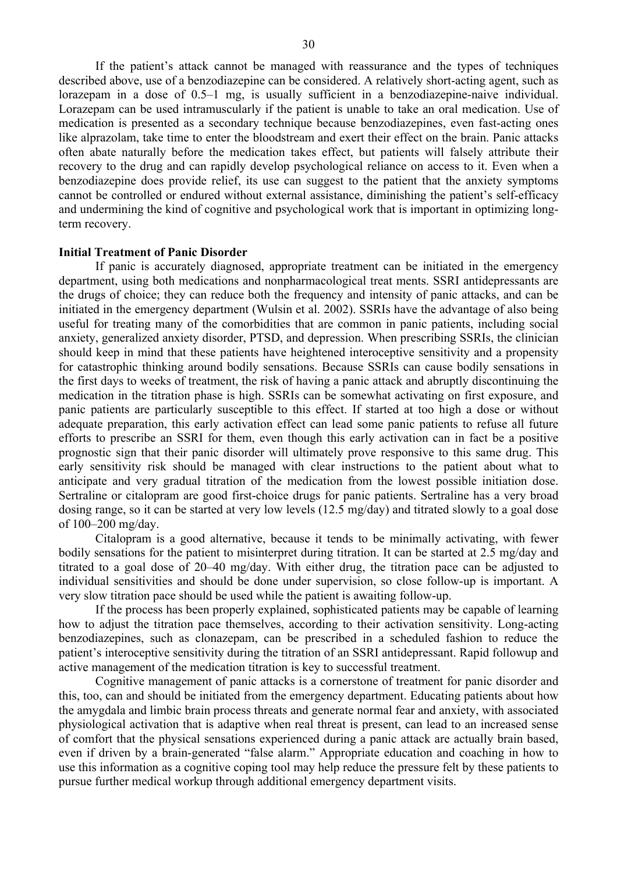If the patient's attack cannot be managed with reassurance and the types of techniques described above, use of a benzodiazepine can be considered. A relatively short-acting agent, such as lorazepam in a dose of 0.5–1 mg, is usually sufficient in a benzodiazepine-naive individual. Lorazepam can be used intramuscularly if the patient is unable to take an oral medication. Use of medication is presented as a secondary technique because benzodiazepines, even fast-acting ones like alprazolam, take time to enter the bloodstream and exert their effect on the brain. Panic attacks often abate naturally before the medication takes effect, but patients will falsely attribute their recovery to the drug and can rapidly develop psychological reliance on access to it. Even when a benzodiazepine does provide relief, its use can suggest to the patient that the anxiety symptoms cannot be controlled or endured without external assistance, diminishing the patient's self-efficacy and undermining the kind of cognitive and psychological work that is important in optimizing longterm recovery.

### **Initial Treatment of Panic Disorder**

If panic is accurately diagnosed, appropriate treatment can be initiated in the emergency department, using both medications and nonpharmacological treat ments. SSRI antidepressants are the drugs of choice; they can reduce both the frequency and intensity of panic attacks, and can be initiated in the emergency department (Wulsin et al. 2002). SSRIs have the advantage of also being useful for treating many of the comorbidities that are common in panic patients, including social anxiety, generalized anxiety disorder, PTSD, and depression. When prescribing SSRIs, the clinician should keep in mind that these patients have heightened interoceptive sensitivity and a propensity for catastrophic thinking around bodily sensations. Because SSRIs can cause bodily sensations in the first days to weeks of treatment, the risk of having a panic attack and abruptly discontinuing the medication in the titration phase is high. SSRIs can be somewhat activating on first exposure, and panic patients are particularly susceptible to this effect. If started at too high a dose or without adequate preparation, this early activation effect can lead some panic patients to refuse all future efforts to prescribe an SSRI for them, even though this early activation can in fact be a positive prognostic sign that their panic disorder will ultimately prove responsive to this same drug. This early sensitivity risk should be managed with clear instructions to the patient about what to anticipate and very gradual titration of the medication from the lowest possible initiation dose. Sertraline or citalopram are good first-choice drugs for panic patients. Sertraline has a very broad dosing range, so it can be started at very low levels (12.5 mg/day) and titrated slowly to a goal dose of 100–200 mg/day.

Citalopram is a good alternative, because it tends to be minimally activating, with fewer bodily sensations for the patient to misinterpret during titration. It can be started at 2.5 mg/day and titrated to a goal dose of 20–40 mg/day. With either drug, the titration pace can be adjusted to individual sensitivities and should be done under supervision, so close follow-up is important. A very slow titration pace should be used while the patient is awaiting follow-up.

If the process has been properly explained, sophisticated patients may be capable of learning how to adjust the titration pace themselves, according to their activation sensitivity. Long-acting benzodiazepines, such as clonazepam, can be prescribed in a scheduled fashion to reduce the patient's interoceptive sensitivity during the titration of an SSRI antidepressant. Rapid followup and active management of the medication titration is key to successful treatment.

Cognitive management of panic attacks is a cornerstone of treatment for panic disorder and this, too, can and should be initiated from the emergency department. Educating patients about how the amygdala and limbic brain process threats and generate normal fear and anxiety, with associated physiological activation that is adaptive when real threat is present, can lead to an increased sense of comfort that the physical sensations experienced during a panic attack are actually brain based, even if driven by a brain-generated "false alarm." Appropriate education and coaching in how to use this information as a cognitive coping tool may help reduce the pressure felt by these patients to pursue further medical workup through additional emergency department visits.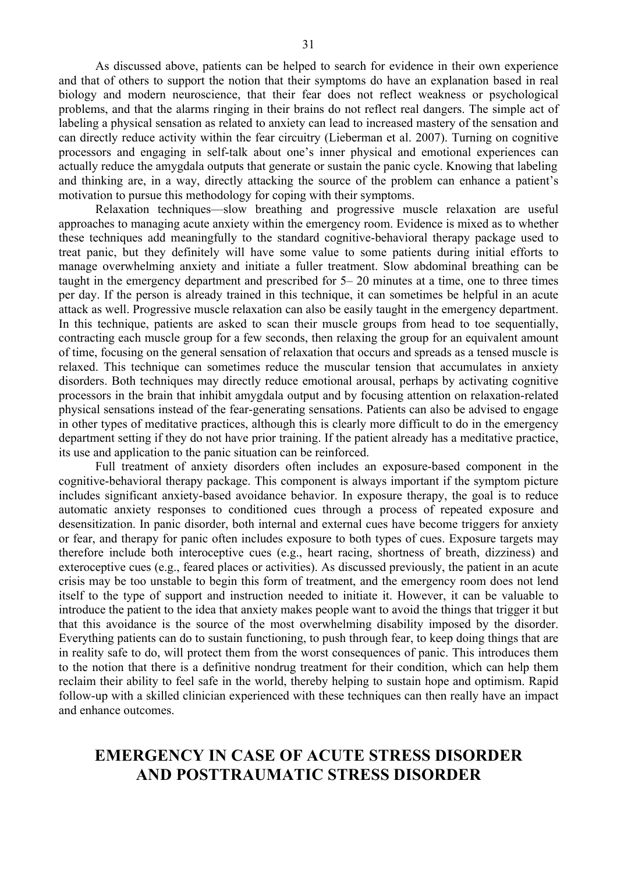As discussed above, patients can be helped to search for evidence in their own experience and that of others to support the notion that their symptoms do have an explanation based in real biology and modern neuroscience, that their fear does not reflect weakness or psychological problems, and that the alarms ringing in their brains do not reflect real dangers. The simple act of labeling a physical sensation as related to anxiety can lead to increased mastery of the sensation and can directly reduce activity within the fear circuitry (Lieberman et al. 2007). Turning on cognitive processors and engaging in self-talk about one's inner physical and emotional experiences can actually reduce the amygdala outputs that generate or sustain the panic cycle. Knowing that labeling and thinking are, in a way, directly attacking the source of the problem can enhance a patient's motivation to pursue this methodology for coping with their symptoms.

Relaxation techniques—slow breathing and progressive muscle relaxation are useful approaches to managing acute anxiety within the emergency room. Evidence is mixed as to whether these techniques add meaningfully to the standard cognitive-behavioral therapy package used to treat panic, but they definitely will have some value to some patients during initial efforts to manage overwhelming anxiety and initiate a fuller treatment. Slow abdominal breathing can be taught in the emergency department and prescribed for 5– 20 minutes at a time, one to three times per day. If the person is already trained in this technique, it can sometimes be helpful in an acute attack as well. Progressive muscle relaxation can also be easily taught in the emergency department. In this technique, patients are asked to scan their muscle groups from head to toe sequentially, contracting each muscle group for a few seconds, then relaxing the group for an equivalent amount of time, focusing on the general sensation of relaxation that occurs and spreads as a tensed muscle is relaxed. This technique can sometimes reduce the muscular tension that accumulates in anxiety disorders. Both techniques may directly reduce emotional arousal, perhaps by activating cognitive processors in the brain that inhibit amygdala output and by focusing attention on relaxation-related physical sensations instead of the fear-generating sensations. Patients can also be advised to engage in other types of meditative practices, although this is clearly more difficult to do in the emergency department setting if they do not have prior training. If the patient already has a meditative practice, its use and application to the panic situation can be reinforced.

Full treatment of anxiety disorders often includes an exposure-based component in the cognitive-behavioral therapy package. This component is always important if the symptom picture includes significant anxiety-based avoidance behavior. In exposure therapy, the goal is to reduce automatic anxiety responses to conditioned cues through a process of repeated exposure and desensitization. In panic disorder, both internal and external cues have become triggers for anxiety or fear, and therapy for panic often includes exposure to both types of cues. Exposure targets may therefore include both interoceptive cues (e.g., heart racing, shortness of breath, dizziness) and exteroceptive cues (e.g., feared places or activities). As discussed previously, the patient in an acute crisis may be too unstable to begin this form of treatment, and the emergency room does not lend itself to the type of support and instruction needed to initiate it. However, it can be valuable to introduce the patient to the idea that anxiety makes people want to avoid the things that trigger it but that this avoidance is the source of the most overwhelming disability imposed by the disorder. Everything patients can do to sustain functioning, to push through fear, to keep doing things that are in reality safe to do, will protect them from the worst consequences of panic. This introduces them to the notion that there is a definitive nondrug treatment for their condition, which can help them reclaim their ability to feel safe in the world, thereby helping to sustain hope and optimism. Rapid follow-up with a skilled clinician experienced with these techniques can then really have an impact and enhance outcomes.

# **EMERGENCY IN CASE OF ACUTE STRESS DISORDER AND POSTTRAUMATIC STRESS DISORDER**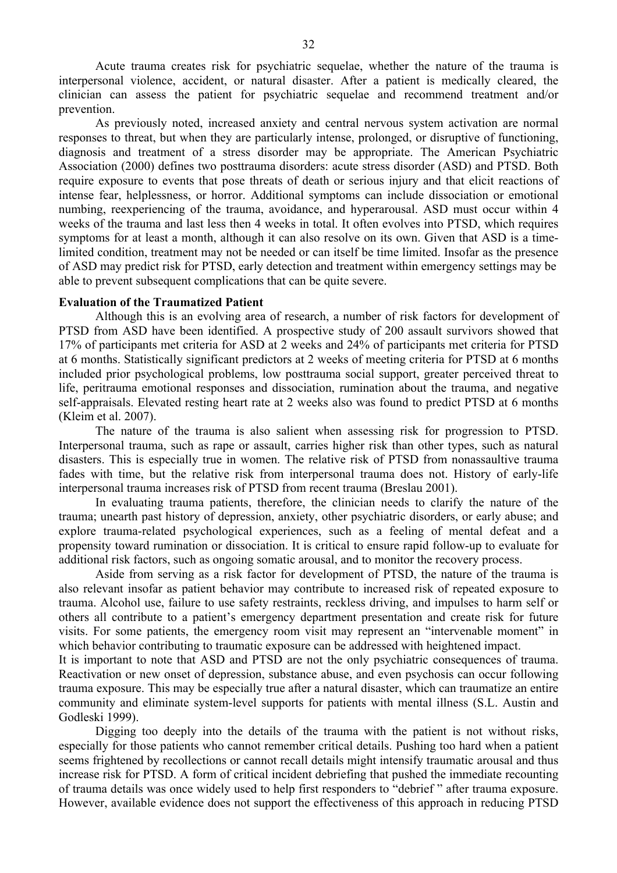Acute trauma creates risk for psychiatric sequelae, whether the nature of the trauma is interpersonal violence, accident, or natural disaster. After a patient is medically cleared, the clinician can assess the patient for psychiatric sequelae and recommend treatment and/or prevention.

As previously noted, increased anxiety and central nervous system activation are normal responses to threat, but when they are particularly intense, prolonged, or disruptive of functioning, diagnosis and treatment of a stress disorder may be appropriate. The American Psychiatric Association (2000) defines two posttrauma disorders: acute stress disorder (ASD) and PTSD. Both require exposure to events that pose threats of death or serious injury and that elicit reactions of intense fear, helplessness, or horror. Additional symptoms can include dissociation or emotional numbing, reexperiencing of the trauma, avoidance, and hyperarousal. ASD must occur within 4 weeks of the trauma and last less then 4 weeks in total. It often evolves into PTSD, which requires symptoms for at least a month, although it can also resolve on its own. Given that ASD is a timelimited condition, treatment may not be needed or can itself be time limited. Insofar as the presence of ASD may predict risk for PTSD, early detection and treatment within emergency settings may be able to prevent subsequent complications that can be quite severe.

### **Evaluation of the Traumatized Patient**

Although this is an evolving area of research, a number of risk factors for development of PTSD from ASD have been identified. A prospective study of 200 assault survivors showed that 17% of participants met criteria for ASD at 2 weeks and 24% of participants met criteria for PTSD at 6 months. Statistically significant predictors at 2 weeks of meeting criteria for PTSD at 6 months included prior psychological problems, low posttrauma social support, greater perceived threat to life, peritrauma emotional responses and dissociation, rumination about the trauma, and negative self-appraisals. Elevated resting heart rate at 2 weeks also was found to predict PTSD at 6 months (Kleim et al. 2007).

The nature of the trauma is also salient when assessing risk for progression to PTSD. Interpersonal trauma, such as rape or assault, carries higher risk than other types, such as natural disasters. This is especially true in women. The relative risk of PTSD from nonassaultive trauma fades with time, but the relative risk from interpersonal trauma does not. History of early-life interpersonal trauma increases risk of PTSD from recent trauma (Breslau 2001).

In evaluating trauma patients, therefore, the clinician needs to clarify the nature of the trauma; unearth past history of depression, anxiety, other psychiatric disorders, or early abuse; and explore trauma-related psychological experiences, such as a feeling of mental defeat and a propensity toward rumination or dissociation. It is critical to ensure rapid follow-up to evaluate for additional risk factors, such as ongoing somatic arousal, and to monitor the recovery process.

Aside from serving as a risk factor for development of PTSD, the nature of the trauma is also relevant insofar as patient behavior may contribute to increased risk of repeated exposure to trauma. Alcohol use, failure to use safety restraints, reckless driving, and impulses to harm self or others all contribute to a patient's emergency department presentation and create risk for future visits. For some patients, the emergency room visit may represent an "intervenable moment" in which behavior contributing to traumatic exposure can be addressed with heightened impact.

It is important to note that ASD and PTSD are not the only psychiatric consequences of trauma. Reactivation or new onset of depression, substance abuse, and even psychosis can occur following trauma exposure. This may be especially true after a natural disaster, which can traumatize an entire community and eliminate system-level supports for patients with mental illness (S.L. Austin and Godleski 1999).

Digging too deeply into the details of the trauma with the patient is not without risks, especially for those patients who cannot remember critical details. Pushing too hard when a patient seems frightened by recollections or cannot recall details might intensify traumatic arousal and thus increase risk for PTSD. A form of critical incident debriefing that pushed the immediate recounting of trauma details was once widely used to help first responders to "debrief " after trauma exposure. However, available evidence does not support the effectiveness of this approach in reducing PTSD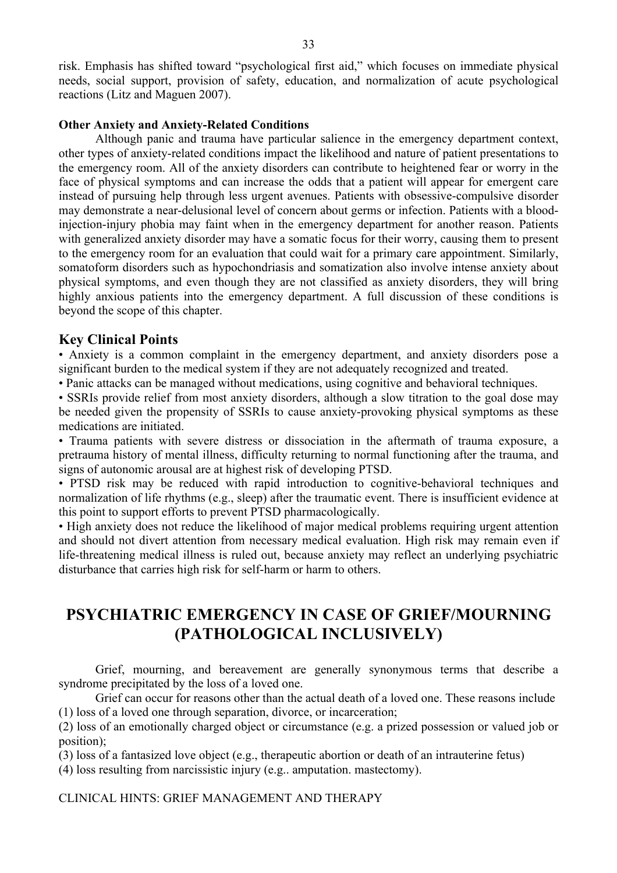risk. Emphasis has shifted toward "psychological first aid," which focuses on immediate physical needs, social support, provision of safety, education, and normalization of acute psychological reactions (Litz and Maguen 2007).

## **Other Anxiety and Anxiety-Related Conditions**

Although panic and trauma have particular salience in the emergency department context, other types of anxiety-related conditions impact the likelihood and nature of patient presentations to the emergency room. All of the anxiety disorders can contribute to heightened fear or worry in the face of physical symptoms and can increase the odds that a patient will appear for emergent care instead of pursuing help through less urgent avenues. Patients with obsessive-compulsive disorder may demonstrate a near-delusional level of concern about germs or infection. Patients with a bloodinjection-injury phobia may faint when in the emergency department for another reason. Patients with generalized anxiety disorder may have a somatic focus for their worry, causing them to present to the emergency room for an evaluation that could wait for a primary care appointment. Similarly, somatoform disorders such as hypochondriasis and somatization also involve intense anxiety about physical symptoms, and even though they are not classified as anxiety disorders, they will bring highly anxious patients into the emergency department. A full discussion of these conditions is beyond the scope of this chapter.

## **Key Clinical Points**

• Anxiety is a common complaint in the emergency department, and anxiety disorders pose a significant burden to the medical system if they are not adequately recognized and treated.

• Panic attacks can be managed without medications, using cognitive and behavioral techniques.

• SSRIs provide relief from most anxiety disorders, although a slow titration to the goal dose may be needed given the propensity of SSRIs to cause anxiety-provoking physical symptoms as these medications are initiated.

• Trauma patients with severe distress or dissociation in the aftermath of trauma exposure, a pretrauma history of mental illness, difficulty returning to normal functioning after the trauma, and signs of autonomic arousal are at highest risk of developing PTSD.

• PTSD risk may be reduced with rapid introduction to cognitive-behavioral techniques and normalization of life rhythms (e.g., sleep) after the traumatic event. There is insufficient evidence at this point to support efforts to prevent PTSD pharmacologically.

• High anxiety does not reduce the likelihood of major medical problems requiring urgent attention and should not divert attention from necessary medical evaluation. High risk may remain even if life-threatening medical illness is ruled out, because anxiety may reflect an underlying psychiatric disturbance that carries high risk for self-harm or harm to others.

# **PSYCHIATRIC EMERGENCY IN CASE OF GRIEF/MOURNING (PATHOLOGICAL INCLUSIVELY)**

Grief, mourning, and bereavement are generally synonymous terms that describe a syndrome precipitated by the loss of a loved one.

Grief can occur for reasons other than the actual death of a loved one. These reasons include (1) loss of a loved one through separation, divorce, or incarceration;

(2) loss of an emotionally charged object or circumstance (e.g. a prized possession or valued job or position);

(3) loss of a fantasized love object (e.g., therapeutic abortion or death of an intrauterine fetus)

(4) loss resulting from narcissistic injury (e.g.. amputation. mastectomy).

CLINICAL HINTS: GRIEF MANAGEMENT AND THERAPY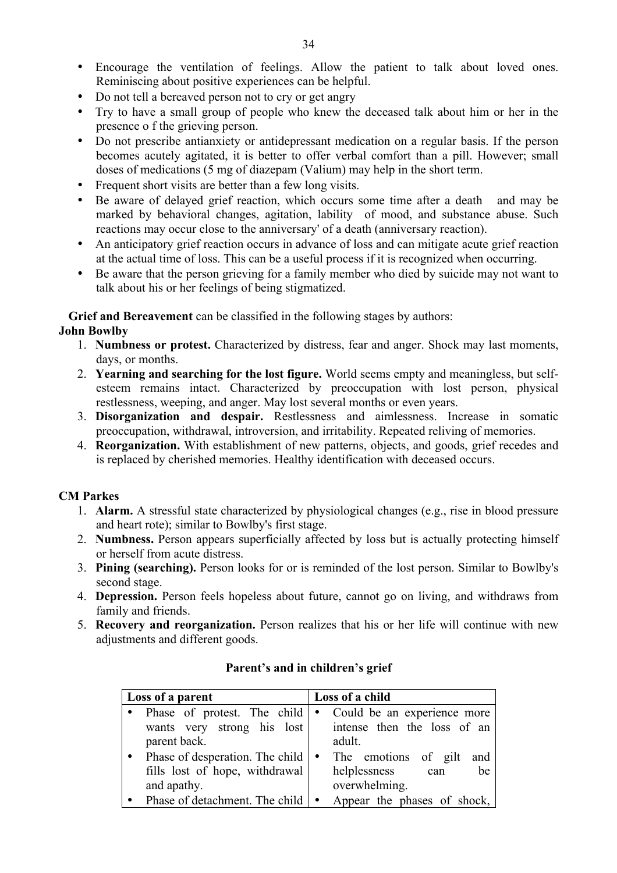- Encourage the ventilation of feelings. Allow the patient to talk about loved ones. Reminiscing about positive experiences can be helpful.
- Do not tell a bereaved person not to cry or get angry
- Try to have a small group of people who knew the deceased talk about him or her in the presence o f the grieving person.
- Do not prescribe antianxiety or antidepressant medication on a regular basis. If the person becomes acutely agitated, it is better to offer verbal comfort than a pill. However; small doses of medications (5 mg of diazepam (Valium) may help in the short term.
- Frequent short visits are better than a few long visits.<br>• Be aware of delayed grief reaction which occurs s
- Be aware of delayed grief reaction, which occurs some time after a death and may be marked by behavioral changes, agitation, lability of mood, and substance abuse. Such reactions may occur close to the anniversary' of a death (anniversary reaction).
- An anticipatory grief reaction occurs in advance of loss and can mitigate acute grief reaction at the actual time of loss. This can be a useful process if it is recognized when occurring.
- Be aware that the person grieving for a family member who died by suicide may not want to talk about his or her feelings of being stigmatized.

**Grief and Bereavement** can be classified in the following stages by authors:

# **John Bowlby**

- 1. **Numbness or protest.** Characterized by distress, fear and anger. Shock may last moments, days, or months.
- 2. **Yearning and searching for the lost figure.** World seems empty and meaningless, but selfesteem remains intact. Characterized by preoccupation with lost person, physical restlessness, weeping, and anger. May lost several months or even years.
- 3. **Disorganization and despair.** Restlessness and aimlessness. Increase in somatic preoccupation, withdrawal, introversion, and irritability. Repeated reliving of memories.
- 4. **Reorganization.** With establishment of new patterns, objects, and goods, grief recedes and is replaced by cherished memories. Healthy identification with deceased occurs.

# **CM Parkes**

- 1. **Alarm.** A stressful state characterized by physiological changes (e.g., rise in blood pressure and heart rote); similar to Bowlby's first stage.
- 2. **Numbness.** Person appears superficially affected by loss but is actually protecting himself or herself from acute distress.
- 3. **Pining (searching).** Person looks for or is reminded of the lost person. Similar to Bowlby's second stage.
- 4. **Depression.** Person feels hopeless about future, cannot go on living, and withdraws from family and friends.
- 5. **Recovery and reorganization.** Person realizes that his or her life will continue with new adjustments and different goods.

| Loss of a parent |                                                     | Loss of a child |                                       |
|------------------|-----------------------------------------------------|-----------------|---------------------------------------|
| $\bullet$        | Phase of protest. The child $\cdot$                 |                 | Could be an experience more           |
|                  | wants very strong his lost                          |                 | intense then the loss of an<br>adult. |
|                  | parent back.                                        |                 |                                       |
| $\bullet$        | Phase of desperation. The child $  \bullet \rangle$ |                 | The emotions of gilt<br>and           |
|                  | fills lost of hope, withdrawal                      |                 | helplessness<br>be<br>can             |
|                  | and apathy.                                         |                 | overwhelming.                         |
|                  | Phase of detachment. The child   •                  |                 | Appear the phases of shock,           |

# **Parent's and in children's grief**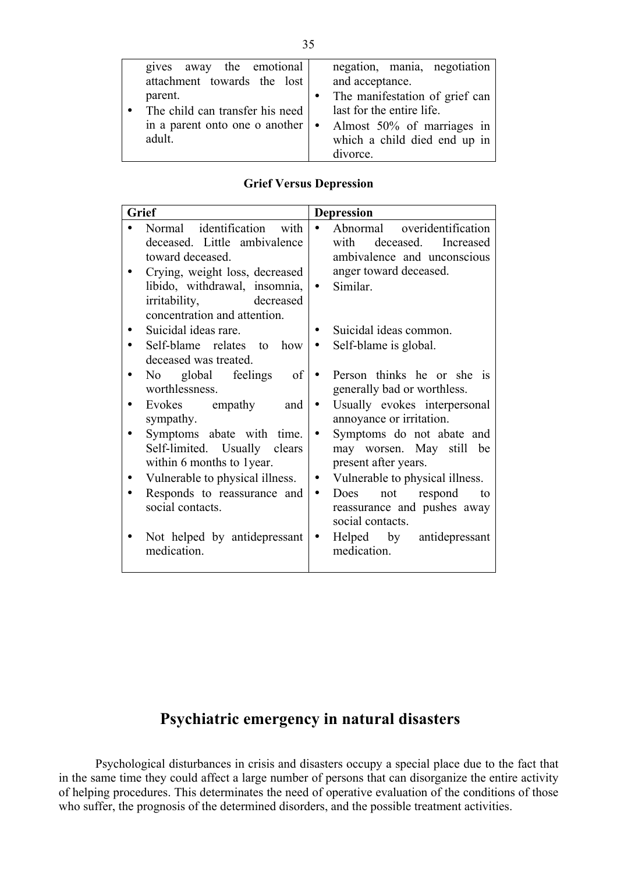| gives away the emotional<br>attachment towards the lost        | negation, mania, negotiation<br>and acceptance.                        |
|----------------------------------------------------------------|------------------------------------------------------------------------|
| parent.<br>The child can transfer his need                     | The manifestation of grief can<br>last for the entire life.            |
| in a parent onto one o another $\vert \bullet \vert$<br>adult. | Almost 50% of marriages in<br>which a child died end up in<br>divorce. |

## **Grief Versus Depression**

| Grief<br><b>Depression</b>                                         |                |  |
|--------------------------------------------------------------------|----------------|--|
| Normal identification<br>Abnormal overidentification<br>with       |                |  |
| deceased. Little ambivalence<br>deceased.<br>with                  | Increased      |  |
| toward deceased.<br>ambivalence and unconscious                    |                |  |
| anger toward deceased.<br>Crying, weight loss, decreased           |                |  |
| libido, withdrawal, insomnia,<br>Similar.<br>$\bullet$             |                |  |
| decreased<br><i>irritability</i> ,                                 |                |  |
| concentration and attention.                                       |                |  |
| Suicidal ideas rare.<br>Suicidal ideas common.                     |                |  |
| Self-blame relates to<br>Self-blame is global.<br>how              |                |  |
| deceased was treated.                                              |                |  |
| Person thinks he or she is<br>No global<br>feelings<br>of          |                |  |
| worthlessness.<br>generally bad or worthless.                      |                |  |
| Usually evokes interpersonal<br>Evokes empathy<br>and<br>٠         |                |  |
| annoyance or irritation.<br>sympathy.                              |                |  |
| Symptoms abate with time.<br>Symptoms do not abate and             |                |  |
| Self-limited. Usually clears<br>may worsen. May still              | be             |  |
| within 6 months to 1year.<br>present after years.                  |                |  |
| Vulnerable to physical illness.<br>Vulnerable to physical illness. |                |  |
| Responds to reassurance and<br>not respond<br>Does<br>٠            | to             |  |
| social contacts.<br>reassurance and pushes away                    |                |  |
| social contacts.                                                   |                |  |
| Not helped by antidepressant<br>Helped by<br>٠                     | antidepressant |  |
| medication.<br>medication.                                         |                |  |

# **Psychiatric emergency in natural disasters**

Psychological disturbances in crisis and disasters occupy a special place due to the fact that in the same time they could affect a large number of persons that can disorganize the entire activity of helping procedures. This determinates the need of operative evaluation of the conditions of those who suffer, the prognosis of the determined disorders, and the possible treatment activities.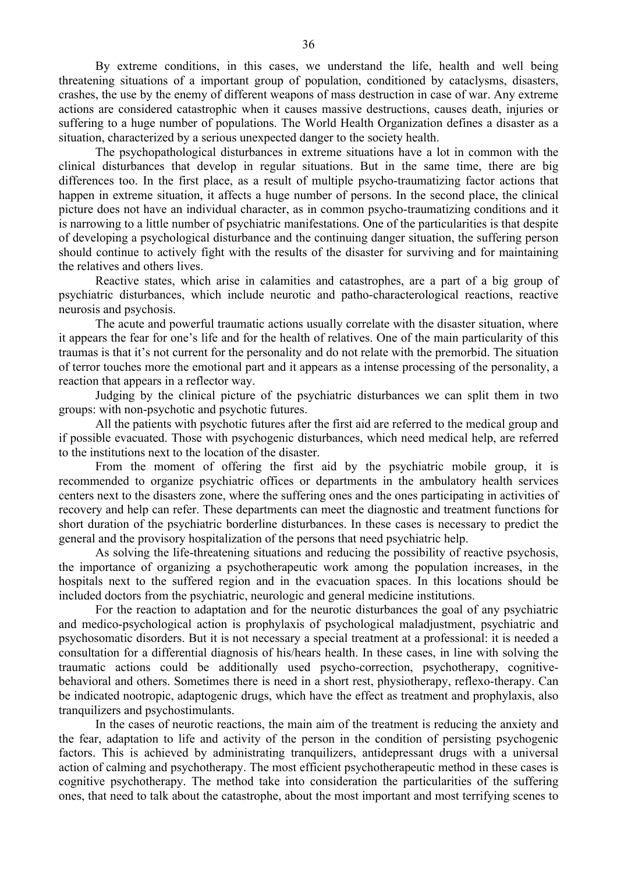By extreme conditions, in this cases, we understand the life, health and well being threatening situations of a important group of population, conditioned by cataclysms, disasters, crashes, the use by the enemy of different weapons of mass destruction in case of war. Any extreme actions are considered catastrophic when it causes massive destructions, causes death, injuries or suffering to a huge number of populations. The World Health Organization defines a disaster as a situation, characterized by a serious unexpected danger to the society health.

The psychopathological disturbances in extreme situations have a lot in common with the clinical disturbances that develop in regular situations. But in the same time, there are big differences too. In the first place, as a result of multiple psycho-traumatizing factor actions that happen in extreme situation, it affects a huge number of persons. In the second place, the clinical picture does not have an individual character, as in common psycho-traumatizing conditions and it is narrowing to a little number of psychiatric manifestations. One of the particularities is that despite of developing a psychological disturbance and the continuing danger situation, the suffering person should continue to actively fight with the results of the disaster for surviving and for maintaining the relatives and others lives.

Reactive states, which arise in calamities and catastrophes, are a part of a big group of psychiatric disturbances, which include neurotic and patho-characterological reactions, reactive neurosis and psychosis.

The acute and powerful traumatic actions usually correlate with the disaster situation, where it appears the fear for one's life and for the health of relatives. One of the main particularity of this traumas is that it's not current for the personality and do not relate with the premorbid. The situation of terror touches more the emotional part and it appears as a intense processing of the personality, a reaction that appears in a reflector way.

Judging by the clinical picture of the psychiatric disturbances we can split them in two groups: with non-psychotic and psychotic futures.

All the patients with psychotic futures after the first aid are referred to the medical group and if possible evacuated. Those with psychogenic disturbances, which need medical help, are referred to the institutions next to the location of the disaster.

From the moment of offering the first aid by the psychiatric mobile group, it is recommended to organize psychiatric offices or departments in the ambulatory health services centers next to the disasters zone, where the suffering ones and the ones participating in activities of recovery and help can refer. These departments can meet the diagnostic and treatment functions for short duration of the psychiatric borderline disturbances. In these cases is necessary to predict the general and the provisory hospitalization of the persons that need psychiatric help.

As solving the life-threatening situations and reducing the possibility of reactive psychosis, the importance of organizing a psychotherapeutic work among the population increases, in the hospitals next to the suffered region and in the evacuation spaces. In this locations should be included doctors from the psychiatric, neurologic and general medicine institutions.

For the reaction to adaptation and for the neurotic disturbances the goal of any psychiatric and medico-psychological action is prophylaxis of psychological maladjustment, psychiatric and psychosomatic disorders. But it is not necessary a special treatment at a professional: it is needed a consultation for a differential diagnosis of his/hears health. In these cases, in line with solving the traumatic actions could be additionally used psycho-correction, psychotherapy, cognitivebehavioral and others. Sometimes there is need in a short rest, physiotherapy, reflexo-therapy. Can be indicated nootropic, adaptogenic drugs, which have the effect as treatment and prophylaxis, also tranquilizers and psychostimulants.

In the cases of neurotic reactions, the main aim of the treatment is reducing the anxiety and the fear, adaptation to life and activity of the person in the condition of persisting psychogenic factors. This is achieved by administrating tranquilizers, antidepressant drugs with a universal action of calming and psychotherapy. The most efficient psychotherapeutic method in these cases is cognitive psychotherapy. The method take into consideration the particularities of the suffering ones, that need to talk about the catastrophe, about the most important and most terrifying scenes to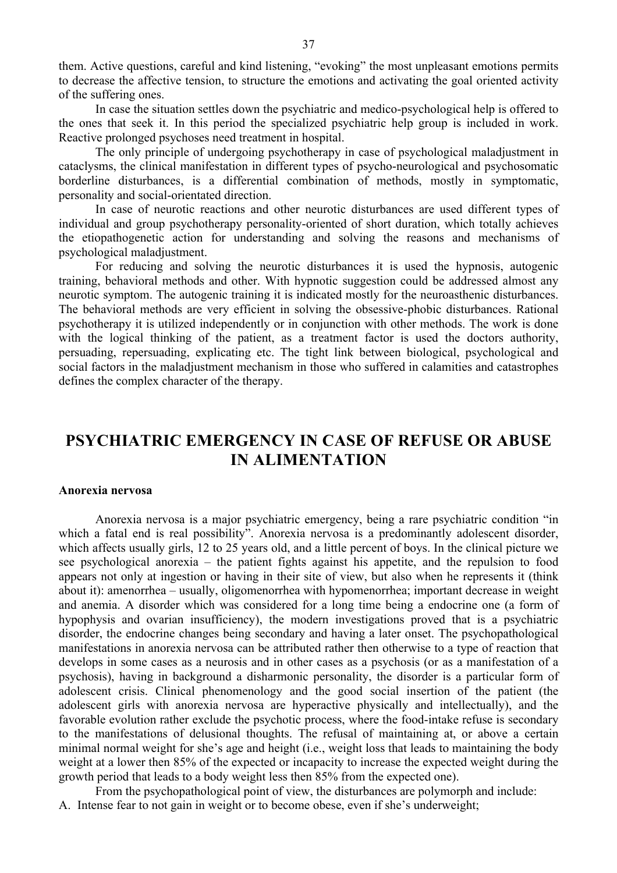them. Active questions, careful and kind listening, "evoking" the most unpleasant emotions permits to decrease the affective tension, to structure the emotions and activating the goal oriented activity of the suffering ones.

In case the situation settles down the psychiatric and medico-psychological help is offered to the ones that seek it. In this period the specialized psychiatric help group is included in work. Reactive prolonged psychoses need treatment in hospital.

The only principle of undergoing psychotherapy in case of psychological maladjustment in cataclysms, the clinical manifestation in different types of psycho-neurological and psychosomatic borderline disturbances, is a differential combination of methods, mostly in symptomatic, personality and social-orientated direction.

In case of neurotic reactions and other neurotic disturbances are used different types of individual and group psychotherapy personality-oriented of short duration, which totally achieves the etiopathogenetic action for understanding and solving the reasons and mechanisms of psychological maladjustment.

For reducing and solving the neurotic disturbances it is used the hypnosis, autogenic training, behavioral methods and other. With hypnotic suggestion could be addressed almost any neurotic symptom. The autogenic training it is indicated mostly for the neuroasthenic disturbances. The behavioral methods are very efficient in solving the obsessive-phobic disturbances. Rational psychotherapy it is utilized independently or in conjunction with other methods. The work is done with the logical thinking of the patient, as a treatment factor is used the doctors authority, persuading, repersuading, explicating etc. The tight link between biological, psychological and social factors in the maladjustment mechanism in those who suffered in calamities and catastrophes defines the complex character of the therapy.

# **PSYCHIATRIC EMERGENCY IN CASE OF REFUSE OR ABUSE IN ALIMENTATION**

### **Anorexia nervosa**

Anorexia nervosa is a major psychiatric emergency, being a rare psychiatric condition "in which a fatal end is real possibility". Anorexia nervosa is a predominantly adolescent disorder, which affects usually girls, 12 to 25 years old, and a little percent of boys. In the clinical picture we see psychological anorexia – the patient fights against his appetite, and the repulsion to food appears not only at ingestion or having in their site of view, but also when he represents it (think about it): amenorrhea – usually, oligomenorrhea with hypomenorrhea; important decrease in weight and anemia. A disorder which was considered for a long time being a endocrine one (a form of hypophysis and ovarian insufficiency), the modern investigations proved that is a psychiatric disorder, the endocrine changes being secondary and having a later onset. The psychopathological manifestations in anorexia nervosa can be attributed rather then otherwise to a type of reaction that develops in some cases as a neurosis and in other cases as a psychosis (or as a manifestation of a psychosis), having in background a disharmonic personality, the disorder is a particular form of adolescent crisis. Clinical phenomenology and the good social insertion of the patient (the adolescent girls with anorexia nervosa are hyperactive physically and intellectually), and the favorable evolution rather exclude the psychotic process, where the food-intake refuse is secondary to the manifestations of delusional thoughts. The refusal of maintaining at, or above a certain minimal normal weight for she's age and height (i.e., weight loss that leads to maintaining the body weight at a lower then 85% of the expected or incapacity to increase the expected weight during the growth period that leads to a body weight less then 85% from the expected one).

From the psychopathological point of view, the disturbances are polymorph and include: A. Intense fear to not gain in weight or to become obese, even if she's underweight;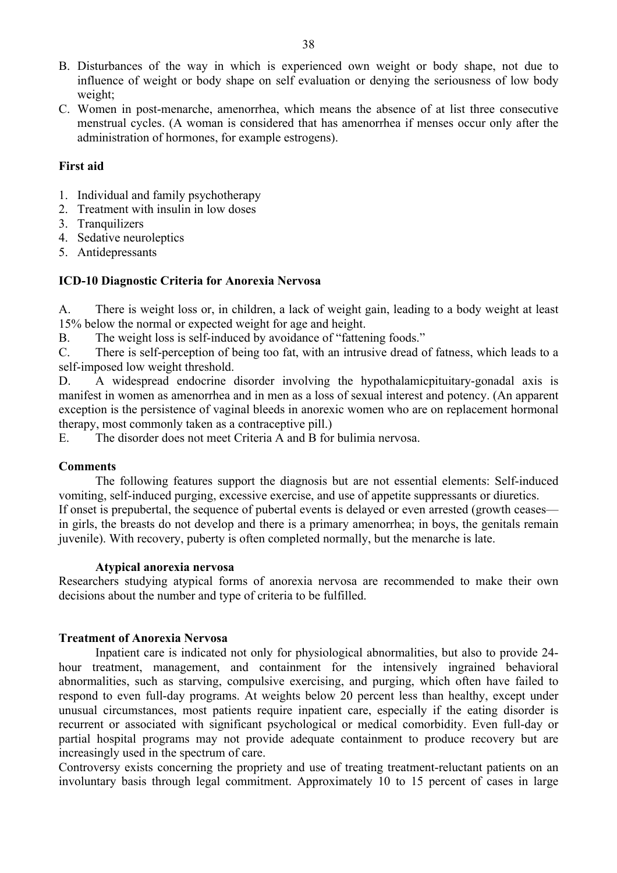- B. Disturbances of the way in which is experienced own weight or body shape, not due to influence of weight or body shape on self evaluation or denying the seriousness of low body weight;
- C. Women in post-menarche, amenorrhea, which means the absence of at list three consecutive menstrual cycles. (A woman is considered that has amenorrhea if menses occur only after the administration of hormones, for example estrogens).

## **First aid**

- 1. Individual and family psychotherapy
- 2. Treatment with insulin in low doses
- 3. Tranquilizers
- 4. Sedative neuroleptics
- 5. Antidepressants

## **ICD-10 Diagnostic Criteria for Anorexia Nervosa**

A. There is weight loss or, in children, a lack of weight gain, leading to a body weight at least 15% below the normal or expected weight for age and height.

B. The weight loss is self-induced by avoidance of "fattening foods."

C. There is self-perception of being too fat, with an intrusive dread of fatness, which leads to a self-imposed low weight threshold.

D. A widespread endocrine disorder involving the hypothalamicpituitary-gonadal axis is manifest in women as amenorrhea and in men as a loss of sexual interest and potency. (An apparent exception is the persistence of vaginal bleeds in anorexic women who are on replacement hormonal therapy, most commonly taken as a contraceptive pill.)

E. The disorder does not meet Criteria A and B for bulimia nervosa.

## **Comments**

The following features support the diagnosis but are not essential elements: Self-induced vomiting, self-induced purging, excessive exercise, and use of appetite suppressants or diuretics. If onset is prepubertal, the sequence of pubertal events is delayed or even arrested (growth ceases in girls, the breasts do not develop and there is a primary amenorrhea; in boys, the genitals remain juvenile). With recovery, puberty is often completed normally, but the menarche is late.

## **Atypical anorexia nervosa**

Researchers studying atypical forms of anorexia nervosa are recommended to make their own decisions about the number and type of criteria to be fulfilled.

## **Treatment of Anorexia Nervosa**

Inpatient care is indicated not only for physiological abnormalities, but also to provide 24 hour treatment, management, and containment for the intensively ingrained behavioral abnormalities, such as starving, compulsive exercising, and purging, which often have failed to respond to even full-day programs. At weights below 20 percent less than healthy, except under unusual circumstances, most patients require inpatient care, especially if the eating disorder is recurrent or associated with significant psychological or medical comorbidity. Even full-day or partial hospital programs may not provide adequate containment to produce recovery but are increasingly used in the spectrum of care.

Controversy exists concerning the propriety and use of treating treatment-reluctant patients on an involuntary basis through legal commitment. Approximately 10 to 15 percent of cases in large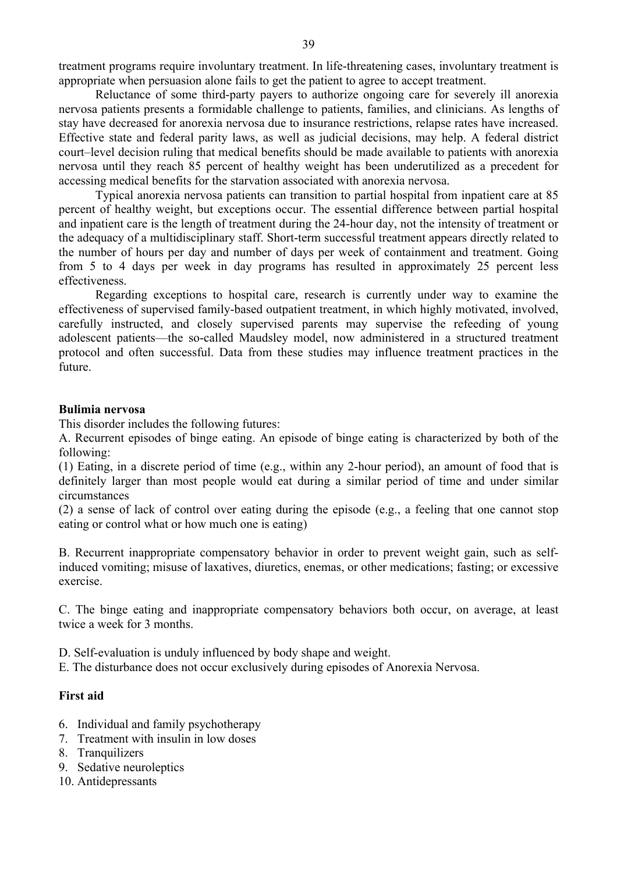treatment programs require involuntary treatment. In life-threatening cases, involuntary treatment is appropriate when persuasion alone fails to get the patient to agree to accept treatment.

Reluctance of some third-party payers to authorize ongoing care for severely ill anorexia nervosa patients presents a formidable challenge to patients, families, and clinicians. As lengths of stay have decreased for anorexia nervosa due to insurance restrictions, relapse rates have increased. Effective state and federal parity laws, as well as judicial decisions, may help. A federal district court–level decision ruling that medical benefits should be made available to patients with anorexia nervosa until they reach 85 percent of healthy weight has been underutilized as a precedent for accessing medical benefits for the starvation associated with anorexia nervosa.

Typical anorexia nervosa patients can transition to partial hospital from inpatient care at 85 percent of healthy weight, but exceptions occur. The essential difference between partial hospital and inpatient care is the length of treatment during the 24-hour day, not the intensity of treatment or the adequacy of a multidisciplinary staff. Short-term successful treatment appears directly related to the number of hours per day and number of days per week of containment and treatment. Going from 5 to 4 days per week in day programs has resulted in approximately 25 percent less effectiveness.

Regarding exceptions to hospital care, research is currently under way to examine the effectiveness of supervised family-based outpatient treatment, in which highly motivated, involved, carefully instructed, and closely supervised parents may supervise the refeeding of young adolescent patients—the so-called Maudsley model, now administered in a structured treatment protocol and often successful. Data from these studies may influence treatment practices in the future.

### **Bulimia nervosa**

This disorder includes the following futures:

A. Recurrent episodes of binge eating. An episode of binge eating is characterized by both of the following:

(1) Eating, in a discrete period of time (e.g., within any 2-hour period), an amount of food that is definitely larger than most people would eat during a similar period of time and under similar circumstances

(2) a sense of lack of control over eating during the episode (e.g., a feeling that one cannot stop eating or control what or how much one is eating)

B. Recurrent inappropriate compensatory behavior in order to prevent weight gain, such as selfinduced vomiting; misuse of laxatives, diuretics, enemas, or other medications; fasting; or excessive exercise.

C. The binge eating and inappropriate compensatory behaviors both occur, on average, at least twice a week for 3 months.

D. Self-evaluation is unduly influenced by body shape and weight.

E. The disturbance does not occur exclusively during episodes of Anorexia Nervosa.

### **First aid**

- 6. Individual and family psychotherapy
- 7. Treatment with insulin in low doses
- 8. Tranquilizers
- 9. Sedative neuroleptics
- 10. Antidepressants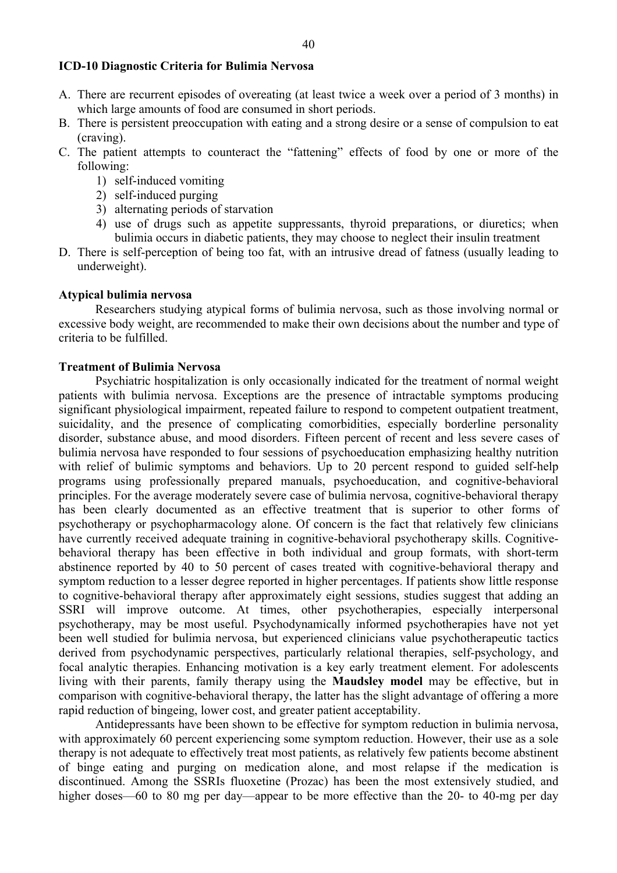## **ICD-10 Diagnostic Criteria for Bulimia Nervosa**

- A. There are recurrent episodes of overeating (at least twice a week over a period of 3 months) in which large amounts of food are consumed in short periods.
- B. There is persistent preoccupation with eating and a strong desire or a sense of compulsion to eat (craving).
- C. The patient attempts to counteract the "fattening" effects of food by one or more of the following:
	- 1) self-induced vomiting
	- 2) self-induced purging
	- 3) alternating periods of starvation
	- 4) use of drugs such as appetite suppressants, thyroid preparations, or diuretics; when bulimia occurs in diabetic patients, they may choose to neglect their insulin treatment
- D. There is self-perception of being too fat, with an intrusive dread of fatness (usually leading to underweight).

### **Atypical bulimia nervosa**

Researchers studying atypical forms of bulimia nervosa, such as those involving normal or excessive body weight, are recommended to make their own decisions about the number and type of criteria to be fulfilled.

### **Treatment of Bulimia Nervosa**

Psychiatric hospitalization is only occasionally indicated for the treatment of normal weight patients with bulimia nervosa. Exceptions are the presence of intractable symptoms producing significant physiological impairment, repeated failure to respond to competent outpatient treatment, suicidality, and the presence of complicating comorbidities, especially borderline personality disorder, substance abuse, and mood disorders. Fifteen percent of recent and less severe cases of bulimia nervosa have responded to four sessions of psychoeducation emphasizing healthy nutrition with relief of bulimic symptoms and behaviors. Up to 20 percent respond to guided self-help programs using professionally prepared manuals, psychoeducation, and cognitive-behavioral principles. For the average moderately severe case of bulimia nervosa, cognitive-behavioral therapy has been clearly documented as an effective treatment that is superior to other forms of psychotherapy or psychopharmacology alone. Of concern is the fact that relatively few clinicians have currently received adequate training in cognitive-behavioral psychotherapy skills. Cognitivebehavioral therapy has been effective in both individual and group formats, with short-term abstinence reported by 40 to 50 percent of cases treated with cognitive-behavioral therapy and symptom reduction to a lesser degree reported in higher percentages. If patients show little response to cognitive-behavioral therapy after approximately eight sessions, studies suggest that adding an SSRI will improve outcome. At times, other psychotherapies, especially interpersonal psychotherapy, may be most useful. Psychodynamically informed psychotherapies have not yet been well studied for bulimia nervosa, but experienced clinicians value psychotherapeutic tactics derived from psychodynamic perspectives, particularly relational therapies, self-psychology, and focal analytic therapies. Enhancing motivation is a key early treatment element. For adolescents living with their parents, family therapy using the **Maudsley model** may be effective, but in comparison with cognitive-behavioral therapy, the latter has the slight advantage of offering a more rapid reduction of bingeing, lower cost, and greater patient acceptability.

Antidepressants have been shown to be effective for symptom reduction in bulimia nervosa, with approximately 60 percent experiencing some symptom reduction. However, their use as a sole therapy is not adequate to effectively treat most patients, as relatively few patients become abstinent of binge eating and purging on medication alone, and most relapse if the medication is discontinued. Among the SSRIs fluoxetine (Prozac) has been the most extensively studied, and higher doses—60 to 80 mg per day—appear to be more effective than the 20- to 40-mg per day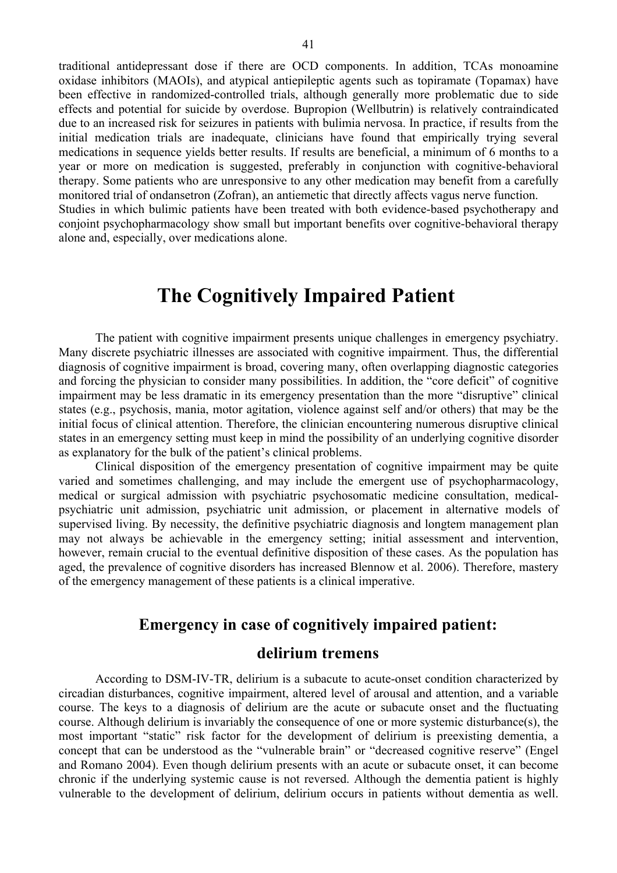traditional antidepressant dose if there are OCD components. In addition, TCAs monoamine oxidase inhibitors (MAOIs), and atypical antiepileptic agents such as topiramate (Topamax) have been effective in randomized-controlled trials, although generally more problematic due to side effects and potential for suicide by overdose. Bupropion (Wellbutrin) is relatively contraindicated due to an increased risk for seizures in patients with bulimia nervosa. In practice, if results from the initial medication trials are inadequate, clinicians have found that empirically trying several medications in sequence yields better results. If results are beneficial, a minimum of 6 months to a year or more on medication is suggested, preferably in conjunction with cognitive-behavioral therapy. Some patients who are unresponsive to any other medication may benefit from a carefully monitored trial of ondansetron (Zofran), an antiemetic that directly affects vagus nerve function. Studies in which bulimic patients have been treated with both evidence-based psychotherapy and conjoint psychopharmacology show small but important benefits over cognitive-behavioral therapy

alone and, especially, over medications alone.

# **The Cognitively Impaired Patient**

The patient with cognitive impairment presents unique challenges in emergency psychiatry. Many discrete psychiatric illnesses are associated with cognitive impairment. Thus, the differential diagnosis of cognitive impairment is broad, covering many, often overlapping diagnostic categories and forcing the physician to consider many possibilities. In addition, the "core deficit" of cognitive impairment may be less dramatic in its emergency presentation than the more "disruptive" clinical states (e.g., psychosis, mania, motor agitation, violence against self and/or others) that may be the initial focus of clinical attention. Therefore, the clinician encountering numerous disruptive clinical states in an emergency setting must keep in mind the possibility of an underlying cognitive disorder as explanatory for the bulk of the patient's clinical problems.

Clinical disposition of the emergency presentation of cognitive impairment may be quite varied and sometimes challenging, and may include the emergent use of psychopharmacology, medical or surgical admission with psychiatric psychosomatic medicine consultation, medicalpsychiatric unit admission, psychiatric unit admission, or placement in alternative models of supervised living. By necessity, the definitive psychiatric diagnosis and longtem management plan may not always be achievable in the emergency setting; initial assessment and intervention, however, remain crucial to the eventual definitive disposition of these cases. As the population has aged, the prevalence of cognitive disorders has increased Blennow et al. 2006). Therefore, mastery of the emergency management of these patients is a clinical imperative.

# **Emergency in case of cognitively impaired patient:**

# **delirium tremens**

According to DSM-IV-TR, delirium is a subacute to acute-onset condition characterized by circadian disturbances, cognitive impairment, altered level of arousal and attention, and a variable course. The keys to a diagnosis of delirium are the acute or subacute onset and the fluctuating course. Although delirium is invariably the consequence of one or more systemic disturbance(s), the most important "static" risk factor for the development of delirium is preexisting dementia, a concept that can be understood as the "vulnerable brain" or "decreased cognitive reserve" (Engel and Romano 2004). Even though delirium presents with an acute or subacute onset, it can become chronic if the underlying systemic cause is not reversed. Although the dementia patient is highly vulnerable to the development of delirium, delirium occurs in patients without dementia as well.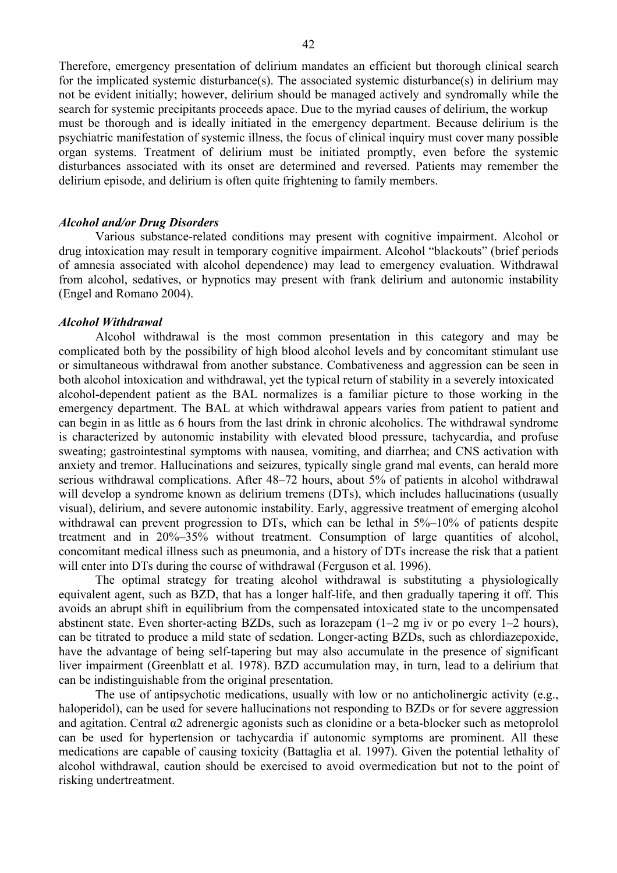Therefore, emergency presentation of delirium mandates an efficient but thorough clinical search for the implicated systemic disturbance(s). The associated systemic disturbance(s) in delirium may not be evident initially; however, delirium should be managed actively and syndromally while the search for systemic precipitants proceeds apace. Due to the myriad causes of delirium, the workup must be thorough and is ideally initiated in the emergency department. Because delirium is the psychiatric manifestation of systemic illness, the focus of clinical inquiry must cover many possible organ systems. Treatment of delirium must be initiated promptly, even before the systemic disturbances associated with its onset are determined and reversed. Patients may remember the delirium episode, and delirium is often quite frightening to family members.

### *Alcohol and/or Drug Disorders*

Various substance-related conditions may present with cognitive impairment. Alcohol or drug intoxication may result in temporary cognitive impairment. Alcohol "blackouts" (brief periods of amnesia associated with alcohol dependence) may lead to emergency evaluation. Withdrawal from alcohol, sedatives, or hypnotics may present with frank delirium and autonomic instability (Engel and Romano 2004).

### *Alcohol Withdrawal*

Alcohol withdrawal is the most common presentation in this category and may be complicated both by the possibility of high blood alcohol levels and by concomitant stimulant use or simultaneous withdrawal from another substance. Combativeness and aggression can be seen in both alcohol intoxication and withdrawal, yet the typical return of stability in a severely intoxicated alcohol-dependent patient as the BAL normalizes is a familiar picture to those working in the emergency department. The BAL at which withdrawal appears varies from patient to patient and can begin in as little as 6 hours from the last drink in chronic alcoholics. The withdrawal syndrome is characterized by autonomic instability with elevated blood pressure, tachycardia, and profuse sweating; gastrointestinal symptoms with nausea, vomiting, and diarrhea; and CNS activation with anxiety and tremor. Hallucinations and seizures, typically single grand mal events, can herald more serious withdrawal complications. After 48–72 hours, about 5% of patients in alcohol withdrawal will develop a syndrome known as delirium tremens (DTs), which includes hallucinations (usually visual), delirium, and severe autonomic instability. Early, aggressive treatment of emerging alcohol withdrawal can prevent progression to DTs, which can be lethal in  $5\%$ –10% of patients despite treatment and in 20%–35% without treatment. Consumption of large quantities of alcohol, concomitant medical illness such as pneumonia, and a history of DTs increase the risk that a patient will enter into DTs during the course of withdrawal (Ferguson et al. 1996).

The optimal strategy for treating alcohol withdrawal is substituting a physiologically equivalent agent, such as BZD, that has a longer half-life, and then gradually tapering it off. This avoids an abrupt shift in equilibrium from the compensated intoxicated state to the uncompensated abstinent state. Even shorter-acting BZDs, such as lorazepam (1–2 mg iv or po every 1–2 hours), can be titrated to produce a mild state of sedation. Longer-acting BZDs, such as chlordiazepoxide, have the advantage of being self-tapering but may also accumulate in the presence of significant liver impairment (Greenblatt et al. 1978). BZD accumulation may, in turn, lead to a delirium that can be indistinguishable from the original presentation.

The use of antipsychotic medications, usually with low or no anticholinergic activity (e.g., haloperidol), can be used for severe hallucinations not responding to BZDs or for severe aggression and agitation. Central α2 adrenergic agonists such as clonidine or a beta-blocker such as metoprolol can be used for hypertension or tachycardia if autonomic symptoms are prominent. All these medications are capable of causing toxicity (Battaglia et al. 1997). Given the potential lethality of alcohol withdrawal, caution should be exercised to avoid overmedication but not to the point of risking undertreatment.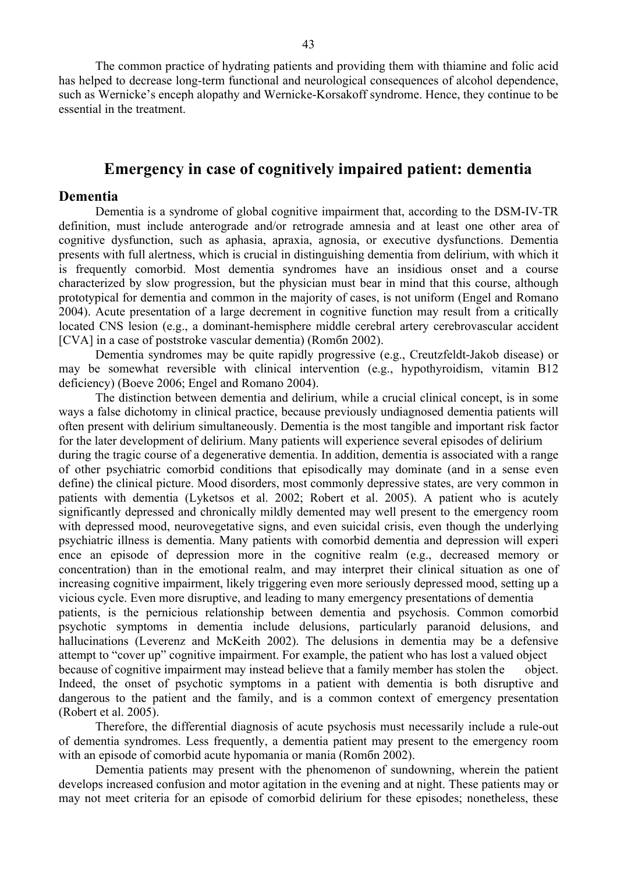The common practice of hydrating patients and providing them with thiamine and folic acid has helped to decrease long-term functional and neurological consequences of alcohol dependence, such as Wernicke's enceph alopathy and Wernicke-Korsakoff syndrome. Hence, they continue to be essential in the treatment.

# **Emergency in case of cognitively impaired patient: dementia**

## **Dementia**

Dementia is a syndrome of global cognitive impairment that, according to the DSM-IV-TR definition, must include anterograde and/or retrograde amnesia and at least one other area of cognitive dysfunction, such as aphasia, apraxia, agnosia, or executive dysfunctions. Dementia presents with full alertness, which is crucial in distinguishing dementia from delirium, with which it is frequently comorbid. Most dementia syndromes have an insidious onset and a course characterized by slow progression, but the physician must bear in mind that this course, although prototypical for dementia and common in the majority of cases, is not uniform (Engel and Romano 2004). Acute presentation of a large decrement in cognitive function may result from a critically located CNS lesion (e.g., a dominant-hemisphere middle cerebral artery cerebrovascular accident [CVA] in a case of poststroke vascular dementia) (Romбn 2002).

Dementia syndromes may be quite rapidly progressive (e.g., Creutzfeldt-Jakob disease) or may be somewhat reversible with clinical intervention (e.g., hypothyroidism, vitamin B12 deficiency) (Boeve 2006; Engel and Romano 2004).

The distinction between dementia and delirium, while a crucial clinical concept, is in some ways a false dichotomy in clinical practice, because previously undiagnosed dementia patients will often present with delirium simultaneously. Dementia is the most tangible and important risk factor for the later development of delirium. Many patients will experience several episodes of delirium during the tragic course of a degenerative dementia. In addition, dementia is associated with a range of other psychiatric comorbid conditions that episodically may dominate (and in a sense even define) the clinical picture. Mood disorders, most commonly depressive states, are very common in patients with dementia (Lyketsos et al. 2002; Robert et al. 2005). A patient who is acutely significantly depressed and chronically mildly demented may well present to the emergency room with depressed mood, neurovegetative signs, and even suicidal crisis, even though the underlying psychiatric illness is dementia. Many patients with comorbid dementia and depression will experi ence an episode of depression more in the cognitive realm (e.g., decreased memory or concentration) than in the emotional realm, and may interpret their clinical situation as one of increasing cognitive impairment, likely triggering even more seriously depressed mood, setting up a vicious cycle. Even more disruptive, and leading to many emergency presentations of dementia patients, is the pernicious relationship between dementia and psychosis. Common comorbid

psychotic symptoms in dementia include delusions, particularly paranoid delusions, and hallucinations (Leverenz and McKeith 2002). The delusions in dementia may be a defensive attempt to "cover up" cognitive impairment. For example, the patient who has lost a valued object

because of cognitive impairment may instead believe that a family member has stolen the object. Indeed, the onset of psychotic symptoms in a patient with dementia is both disruptive and dangerous to the patient and the family, and is a common context of emergency presentation (Robert et al. 2005).

Therefore, the differential diagnosis of acute psychosis must necessarily include a rule-out of dementia syndromes. Less frequently, a dementia patient may present to the emergency room with an episode of comorbid acute hypomania or mania (Romбn 2002).

Dementia patients may present with the phenomenon of sundowning, wherein the patient develops increased confusion and motor agitation in the evening and at night. These patients may or may not meet criteria for an episode of comorbid delirium for these episodes; nonetheless, these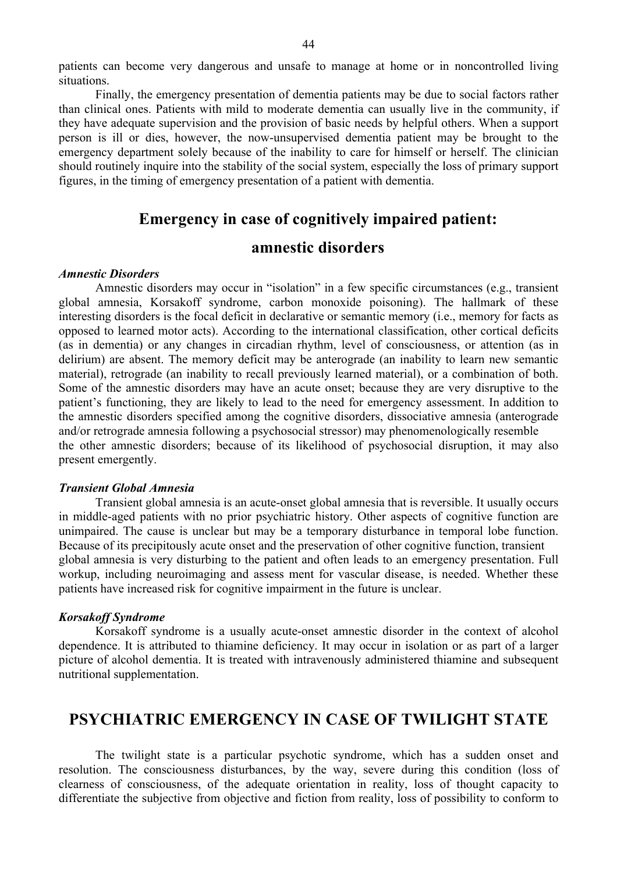Finally, the emergency presentation of dementia patients may be due to social factors rather than clinical ones. Patients with mild to moderate dementia can usually live in the community, if they have adequate supervision and the provision of basic needs by helpful others. When a support person is ill or dies, however, the now-unsupervised dementia patient may be brought to the emergency department solely because of the inability to care for himself or herself. The clinician should routinely inquire into the stability of the social system, especially the loss of primary support figures, in the timing of emergency presentation of a patient with dementia.

# **Emergency in case of cognitively impaired patient:**

# **amnestic disorders**

### *Amnestic Disorders*

situations.

Amnestic disorders may occur in "isolation" in a few specific circumstances (e.g., transient global amnesia, Korsakoff syndrome, carbon monoxide poisoning). The hallmark of these interesting disorders is the focal deficit in declarative or semantic memory (i.e., memory for facts as opposed to learned motor acts). According to the international classification, other cortical deficits (as in dementia) or any changes in circadian rhythm, level of consciousness, or attention (as in delirium) are absent. The memory deficit may be anterograde (an inability to learn new semantic material), retrograde (an inability to recall previously learned material), or a combination of both. Some of the amnestic disorders may have an acute onset; because they are very disruptive to the patient's functioning, they are likely to lead to the need for emergency assessment. In addition to the amnestic disorders specified among the cognitive disorders, dissociative amnesia (anterograde and/or retrograde amnesia following a psychosocial stressor) may phenomenologically resemble the other amnestic disorders; because of its likelihood of psychosocial disruption, it may also present emergently.

### *Transient Global Amnesia*

Transient global amnesia is an acute-onset global amnesia that is reversible. It usually occurs in middle-aged patients with no prior psychiatric history. Other aspects of cognitive function are unimpaired. The cause is unclear but may be a temporary disturbance in temporal lobe function. Because of its precipitously acute onset and the preservation of other cognitive function, transient global amnesia is very disturbing to the patient and often leads to an emergency presentation. Full workup, including neuroimaging and assess ment for vascular disease, is needed. Whether these patients have increased risk for cognitive impairment in the future is unclear.

### *Korsakoff Syndrome*

Korsakoff syndrome is a usually acute-onset amnestic disorder in the context of alcohol dependence. It is attributed to thiamine deficiency. It may occur in isolation or as part of a larger picture of alcohol dementia. It is treated with intravenously administered thiamine and subsequent nutritional supplementation.

# **PSYCHIATRIC EMERGENCY IN CASE OF TWILIGHT STATE**

The twilight state is a particular psychotic syndrome, which has a sudden onset and resolution. The consciousness disturbances, by the way, severe during this condition (loss of clearness of consciousness, of the adequate orientation in reality, loss of thought capacity to differentiate the subjective from objective and fiction from reality, loss of possibility to conform to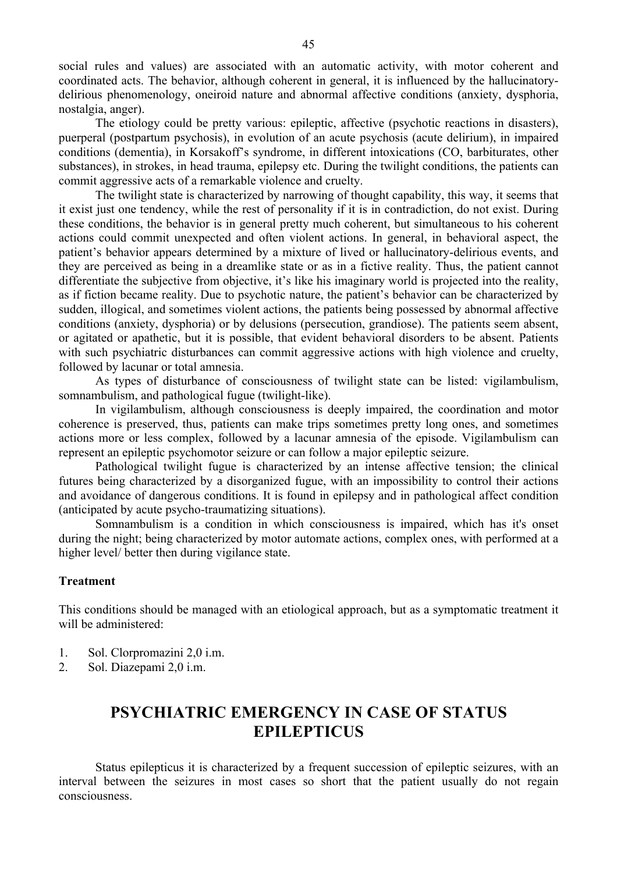social rules and values) are associated with an automatic activity, with motor coherent and coordinated acts. The behavior, although coherent in general, it is influenced by the hallucinatorydelirious phenomenology, oneiroid nature and abnormal affective conditions (anxiety, dysphoria, nostalgia, anger).

The etiology could be pretty various: epileptic, affective (psychotic reactions in disasters), puerperal (postpartum psychosis), in evolution of an acute psychosis (acute delirium), in impaired conditions (dementia), in Korsakoff's syndrome, in different intoxications (CO, barbiturates, other substances), in strokes, in head trauma, epilepsy etc. During the twilight conditions, the patients can commit aggressive acts of a remarkable violence and cruelty.

The twilight state is characterized by narrowing of thought capability, this way, it seems that it exist just one tendency, while the rest of personality if it is in contradiction, do not exist. During these conditions, the behavior is in general pretty much coherent, but simultaneous to his coherent actions could commit unexpected and often violent actions. In general, in behavioral aspect, the patient's behavior appears determined by a mixture of lived or hallucinatory-delirious events, and they are perceived as being in a dreamlike state or as in a fictive reality. Thus, the patient cannot differentiate the subjective from objective, it's like his imaginary world is projected into the reality, as if fiction became reality. Due to psychotic nature, the patient's behavior can be characterized by sudden, illogical, and sometimes violent actions, the patients being possessed by abnormal affective conditions (anxiety, dysphoria) or by delusions (persecution, grandiose). The patients seem absent, or agitated or apathetic, but it is possible, that evident behavioral disorders to be absent. Patients with such psychiatric disturbances can commit aggressive actions with high violence and cruelty, followed by lacunar or total amnesia.

As types of disturbance of consciousness of twilight state can be listed: vigilambulism, somnambulism, and pathological fugue (twilight-like).

In vigilambulism, although consciousness is deeply impaired, the coordination and motor coherence is preserved, thus, patients can make trips sometimes pretty long ones, and sometimes actions more or less complex, followed by a lacunar amnesia of the episode. Vigilambulism can represent an epileptic psychomotor seizure or can follow a major epileptic seizure.

Pathological twilight fugue is characterized by an intense affective tension; the clinical futures being characterized by a disorganized fugue, with an impossibility to control their actions and avoidance of dangerous conditions. It is found in epilepsy and in pathological affect condition (anticipated by acute psycho-traumatizing situations).

Somnambulism is a condition in which consciousness is impaired, which has it's onset during the night; being characterized by motor automate actions, complex ones, with performed at a higher level/ better then during vigilance state.

### **Treatment**

This conditions should be managed with an etiological approach, but as a symptomatic treatment it will be administered:

- 1. Sol. Clorpromazini 2,0 i.m.
- 2. Sol. Diazepami 2,0 i.m.

# **PSYCHIATRIC EMERGENCY IN CASE OF STATUS EPILEPTICUS**

Status epilepticus it is characterized by a frequent succession of epileptic seizures, with an interval between the seizures in most cases so short that the patient usually do not regain consciousness.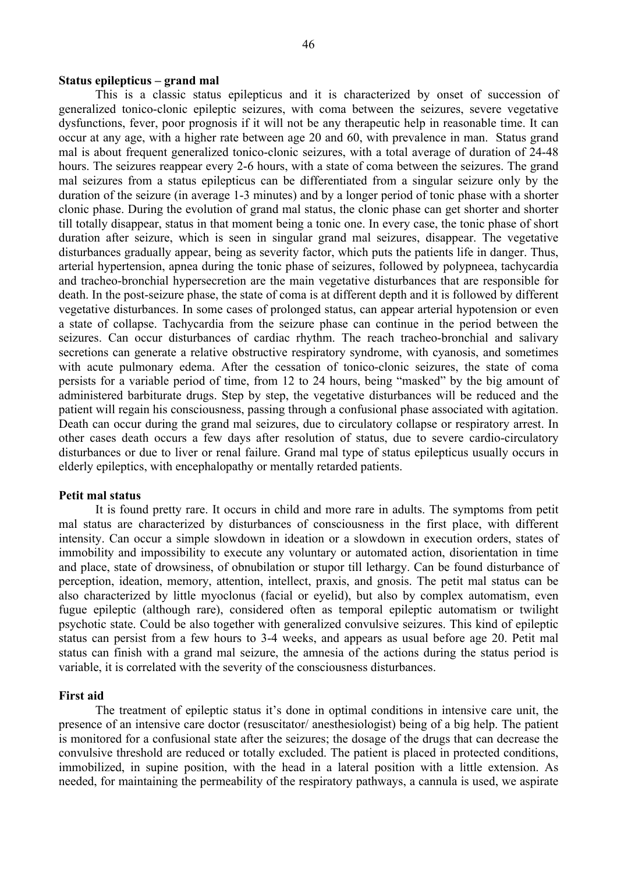### **Status epilepticus – grand mal**

This is a classic status epilepticus and it is characterized by onset of succession of generalized tonico-clonic epileptic seizures, with coma between the seizures, severe vegetative dysfunctions, fever, poor prognosis if it will not be any therapeutic help in reasonable time. It can occur at any age, with a higher rate between age 20 and 60, with prevalence in man. Status grand mal is about frequent generalized tonico-clonic seizures, with a total average of duration of 24-48 hours. The seizures reappear every 2-6 hours, with a state of coma between the seizures. The grand mal seizures from a status epilepticus can be differentiated from a singular seizure only by the duration of the seizure (in average 1-3 minutes) and by a longer period of tonic phase with a shorter clonic phase. During the evolution of grand mal status, the clonic phase can get shorter and shorter till totally disappear, status in that moment being a tonic one. In every case, the tonic phase of short duration after seizure, which is seen in singular grand mal seizures, disappear. The vegetative disturbances gradually appear, being as severity factor, which puts the patients life in danger. Thus, arterial hypertension, apnea during the tonic phase of seizures, followed by polypneea, tachycardia and tracheo-bronchial hypersecretion are the main vegetative disturbances that are responsible for death. In the post-seizure phase, the state of coma is at different depth and it is followed by different vegetative disturbances. In some cases of prolonged status, can appear arterial hypotension or even a state of collapse. Tachycardia from the seizure phase can continue in the period between the seizures. Can occur disturbances of cardiac rhythm. The reach tracheo-bronchial and salivary secretions can generate a relative obstructive respiratory syndrome, with cyanosis, and sometimes with acute pulmonary edema. After the cessation of tonico-clonic seizures, the state of coma persists for a variable period of time, from 12 to 24 hours, being "masked" by the big amount of administered barbiturate drugs. Step by step, the vegetative disturbances will be reduced and the patient will regain his consciousness, passing through a confusional phase associated with agitation. Death can occur during the grand mal seizures, due to circulatory collapse or respiratory arrest. In other cases death occurs a few days after resolution of status, due to severe cardio-circulatory disturbances or due to liver or renal failure. Grand mal type of status epilepticus usually occurs in elderly epileptics, with encephalopathy or mentally retarded patients.

### **Petit mal status**

It is found pretty rare. It occurs in child and more rare in adults. The symptoms from petit mal status are characterized by disturbances of consciousness in the first place, with different intensity. Can occur a simple slowdown in ideation or a slowdown in execution orders, states of immobility and impossibility to execute any voluntary or automated action, disorientation in time and place, state of drowsiness, of obnubilation or stupor till lethargy. Can be found disturbance of perception, ideation, memory, attention, intellect, praxis, and gnosis. The petit mal status can be also characterized by little myoclonus (facial or eyelid), but also by complex automatism, even fugue epileptic (although rare), considered often as temporal epileptic automatism or twilight psychotic state. Could be also together with generalized convulsive seizures. This kind of epileptic status can persist from a few hours to 3-4 weeks, and appears as usual before age 20. Petit mal status can finish with a grand mal seizure, the amnesia of the actions during the status period is variable, it is correlated with the severity of the consciousness disturbances.

#### **First aid**

The treatment of epileptic status it's done in optimal conditions in intensive care unit, the presence of an intensive care doctor (resuscitator/ anesthesiologist) being of a big help. The patient is monitored for a confusional state after the seizures; the dosage of the drugs that can decrease the convulsive threshold are reduced or totally excluded. The patient is placed in protected conditions, immobilized, in supine position, with the head in a lateral position with a little extension. As needed, for maintaining the permeability of the respiratory pathways, a cannula is used, we aspirate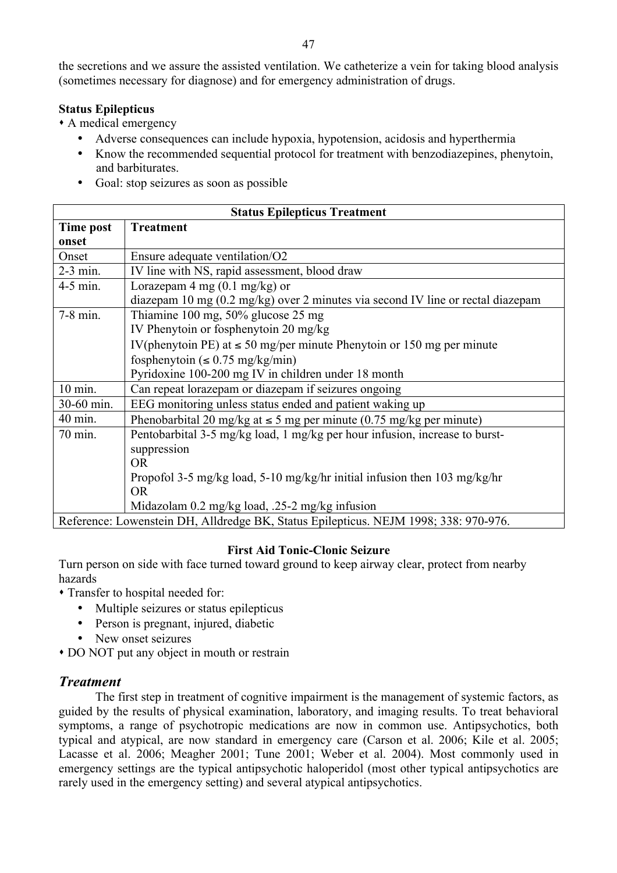the secretions and we assure the assisted ventilation. We catheterize a vein for taking blood analysis (sometimes necessary for diagnose) and for emergency administration of drugs.

# **Status Epilepticus**

 $\triangle$  A medical emergency

- Adverse consequences can include hypoxia, hypotension, acidosis and hyperthermia
- Know the recommended sequential protocol for treatment with benzodiazepines, phenytoin, and barbiturates.
- Goal: stop seizures as soon as possible

| <b>Status Epilepticus Treatment</b> |                                                                                      |  |  |
|-------------------------------------|--------------------------------------------------------------------------------------|--|--|
| <b>Time post</b>                    | <b>Treatment</b>                                                                     |  |  |
| onset                               |                                                                                      |  |  |
| Onset                               | Ensure adequate ventilation/O2                                                       |  |  |
| $2-3$ min.                          | IV line with NS, rapid assessment, blood draw                                        |  |  |
| 4-5 min.                            | Lorazepam 4 mg $(0.1 \text{ mg/kg})$ or                                              |  |  |
|                                     | diazepam 10 mg (0.2 mg/kg) over 2 minutes via second IV line or rectal diazepam      |  |  |
| 7-8 min.                            | Thiamine 100 mg, 50% glucose 25 mg                                                   |  |  |
|                                     | IV Phenytoin or fosphenytoin 20 mg/kg                                                |  |  |
|                                     | IV(phenytoin PE) at $\leq$ 50 mg/per minute Phenytoin or 150 mg per minute           |  |  |
|                                     | fosphenytoin ( $\leq 0.75$ mg/kg/min)                                                |  |  |
|                                     | Pyridoxine 100-200 mg IV in children under 18 month                                  |  |  |
| 10 min.                             | Can repeat lorazepam or diazepam if seizures ongoing                                 |  |  |
| 30-60 min.                          | EEG monitoring unless status ended and patient waking up                             |  |  |
| 40 min.                             | Phenobarbital 20 mg/kg at $\leq$ 5 mg per minute (0.75 mg/kg per minute)             |  |  |
| 70 min.                             | Pentobarbital 3-5 mg/kg load, 1 mg/kg per hour infusion, increase to burst-          |  |  |
|                                     | suppression                                                                          |  |  |
|                                     | <b>OR</b>                                                                            |  |  |
|                                     | Propofol 3-5 mg/kg load, 5-10 mg/kg/hr initial infusion then 103 mg/kg/hr            |  |  |
| OR.                                 |                                                                                      |  |  |
|                                     | Midazolam 0.2 mg/kg load, .25-2 mg/kg infusion                                       |  |  |
|                                     | Reference: Lowenstein DH, Alldredge BK, Status Epilepticus. NEJM 1998; 338: 970-976. |  |  |

## **First Aid Tonic-Clonic Seizure**

Turn person on side with face turned toward ground to keep airway clear, protect from nearby hazards

• Transfer to hospital needed for:

- Multiple seizures or status epilepticus
- Person is pregnant, injured, diabetic
- New onset seizures
- DO NOT put any object in mouth or restrain

# *Treatment*

The first step in treatment of cognitive impairment is the management of systemic factors, as guided by the results of physical examination, laboratory, and imaging results. To treat behavioral symptoms, a range of psychotropic medications are now in common use. Antipsychotics, both typical and atypical, are now standard in emergency care (Carson et al. 2006; Kile et al. 2005; Lacasse et al. 2006; Meagher 2001; Tune 2001; Weber et al. 2004). Most commonly used in emergency settings are the typical antipsychotic haloperidol (most other typical antipsychotics are rarely used in the emergency setting) and several atypical antipsychotics.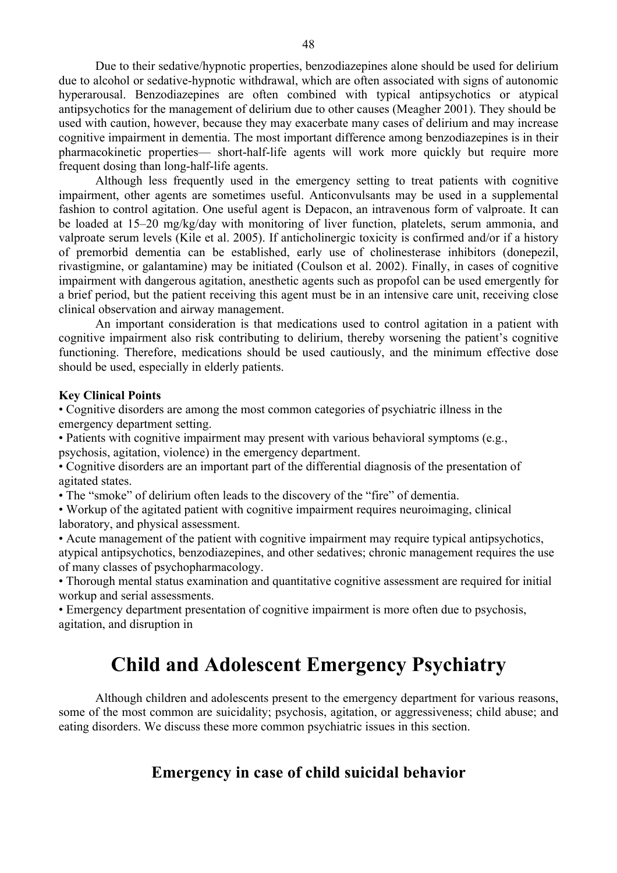Due to their sedative/hypnotic properties, benzodiazepines alone should be used for delirium due to alcohol or sedative-hypnotic withdrawal, which are often associated with signs of autonomic hyperarousal. Benzodiazepines are often combined with typical antipsychotics or atypical antipsychotics for the management of delirium due to other causes (Meagher 2001). They should be used with caution, however, because they may exacerbate many cases of delirium and may increase cognitive impairment in dementia. The most important difference among benzodiazepines is in their pharmacokinetic properties— short-half-life agents will work more quickly but require more frequent dosing than long-half-life agents.

Although less frequently used in the emergency setting to treat patients with cognitive impairment, other agents are sometimes useful. Anticonvulsants may be used in a supplemental fashion to control agitation. One useful agent is Depacon, an intravenous form of valproate. It can be loaded at 15–20 mg/kg/day with monitoring of liver function, platelets, serum ammonia, and valproate serum levels (Kile et al. 2005). If anticholinergic toxicity is confirmed and/or if a history of premorbid dementia can be established, early use of cholinesterase inhibitors (donepezil, rivastigmine, or galantamine) may be initiated (Coulson et al. 2002). Finally, in cases of cognitive impairment with dangerous agitation, anesthetic agents such as propofol can be used emergently for a brief period, but the patient receiving this agent must be in an intensive care unit, receiving close clinical observation and airway management.

An important consideration is that medications used to control agitation in a patient with cognitive impairment also risk contributing to delirium, thereby worsening the patient's cognitive functioning. Therefore, medications should be used cautiously, and the minimum effective dose should be used, especially in elderly patients.

### **Key Clinical Points**

• Cognitive disorders are among the most common categories of psychiatric illness in the emergency department setting.

• Patients with cognitive impairment may present with various behavioral symptoms (e.g., psychosis, agitation, violence) in the emergency department.

• Cognitive disorders are an important part of the differential diagnosis of the presentation of agitated states.

• The "smoke" of delirium often leads to the discovery of the "fire" of dementia.

• Workup of the agitated patient with cognitive impairment requires neuroimaging, clinical laboratory, and physical assessment.

• Acute management of the patient with cognitive impairment may require typical antipsychotics, atypical antipsychotics, benzodiazepines, and other sedatives; chronic management requires the use of many classes of psychopharmacology.

• Thorough mental status examination and quantitative cognitive assessment are required for initial workup and serial assessments.

• Emergency department presentation of cognitive impairment is more often due to psychosis, agitation, and disruption in

# **Child and Adolescent Emergency Psychiatry**

Although children and adolescents present to the emergency department for various reasons, some of the most common are suicidality; psychosis, agitation, or aggressiveness; child abuse; and eating disorders. We discuss these more common psychiatric issues in this section.

# **Emergency in case of child suicidal behavior**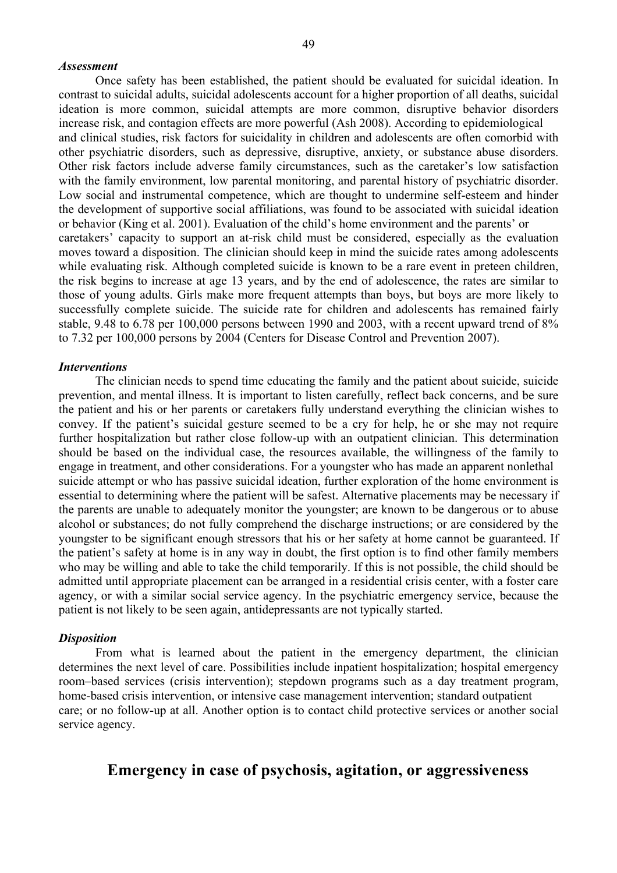### *Assessment*

Once safety has been established, the patient should be evaluated for suicidal ideation. In contrast to suicidal adults, suicidal adolescents account for a higher proportion of all deaths, suicidal ideation is more common, suicidal attempts are more common, disruptive behavior disorders increase risk, and contagion effects are more powerful (Ash 2008). According to epidemiological and clinical studies, risk factors for suicidality in children and adolescents are often comorbid with other psychiatric disorders, such as depressive, disruptive, anxiety, or substance abuse disorders. Other risk factors include adverse family circumstances, such as the caretaker's low satisfaction with the family environment, low parental monitoring, and parental history of psychiatric disorder. Low social and instrumental competence, which are thought to undermine self-esteem and hinder the development of supportive social affiliations, was found to be associated with suicidal ideation or behavior (King et al. 2001). Evaluation of the child's home environment and the parents' or caretakers' capacity to support an at-risk child must be considered, especially as the evaluation moves toward a disposition. The clinician should keep in mind the suicide rates among adolescents while evaluating risk. Although completed suicide is known to be a rare event in preteen children, the risk begins to increase at age 13 years, and by the end of adolescence, the rates are similar to those of young adults. Girls make more frequent attempts than boys, but boys are more likely to successfully complete suicide. The suicide rate for children and adolescents has remained fairly stable, 9.48 to 6.78 per 100,000 persons between 1990 and 2003, with a recent upward trend of 8% to 7.32 per 100,000 persons by 2004 (Centers for Disease Control and Prevention 2007).

#### *Interventions*

The clinician needs to spend time educating the family and the patient about suicide, suicide prevention, and mental illness. It is important to listen carefully, reflect back concerns, and be sure the patient and his or her parents or caretakers fully understand everything the clinician wishes to convey. If the patient's suicidal gesture seemed to be a cry for help, he or she may not require further hospitalization but rather close follow-up with an outpatient clinician. This determination should be based on the individual case, the resources available, the willingness of the family to engage in treatment, and other considerations. For a youngster who has made an apparent nonlethal suicide attempt or who has passive suicidal ideation, further exploration of the home environment is essential to determining where the patient will be safest. Alternative placements may be necessary if the parents are unable to adequately monitor the youngster; are known to be dangerous or to abuse alcohol or substances; do not fully comprehend the discharge instructions; or are considered by the youngster to be significant enough stressors that his or her safety at home cannot be guaranteed. If the patient's safety at home is in any way in doubt, the first option is to find other family members who may be willing and able to take the child temporarily. If this is not possible, the child should be admitted until appropriate placement can be arranged in a residential crisis center, with a foster care agency, or with a similar social service agency. In the psychiatric emergency service, because the patient is not likely to be seen again, antidepressants are not typically started.

### *Disposition*

From what is learned about the patient in the emergency department, the clinician determines the next level of care. Possibilities include inpatient hospitalization; hospital emergency room–based services (crisis intervention); stepdown programs such as a day treatment program, home-based crisis intervention, or intensive case management intervention; standard outpatient care; or no follow-up at all. Another option is to contact child protective services or another social service agency.

# **Emergency in case of psychosis, agitation, or aggressiveness**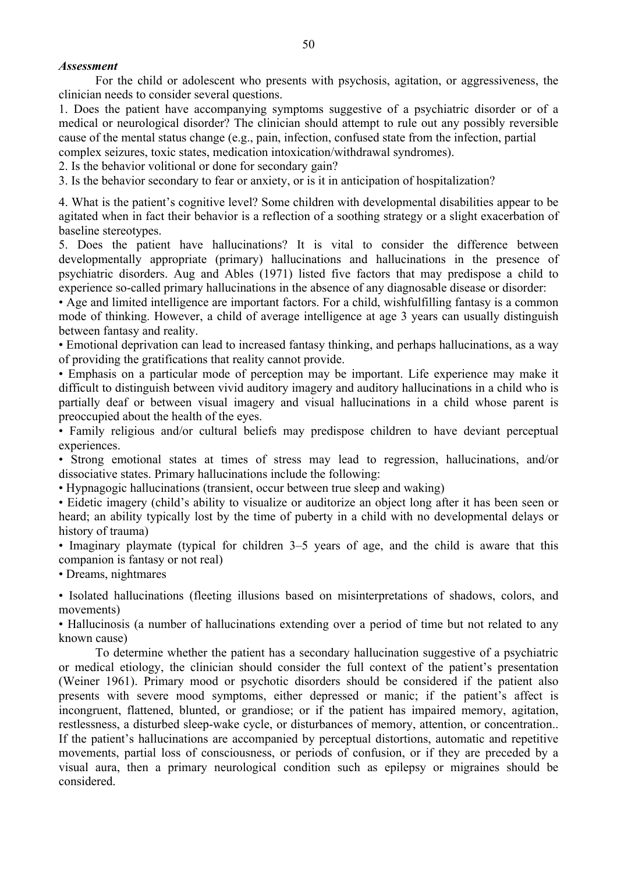### *Assessment*

For the child or adolescent who presents with psychosis, agitation, or aggressiveness, the clinician needs to consider several questions.

1. Does the patient have accompanying symptoms suggestive of a psychiatric disorder or of a medical or neurological disorder? The clinician should attempt to rule out any possibly reversible cause of the mental status change (e.g., pain, infection, confused state from the infection, partial

complex seizures, toxic states, medication intoxication/withdrawal syndromes).

2. Is the behavior volitional or done for secondary gain?

3. Is the behavior secondary to fear or anxiety, or is it in anticipation of hospitalization?

4. What is the patient's cognitive level? Some children with developmental disabilities appear to be agitated when in fact their behavior is a reflection of a soothing strategy or a slight exacerbation of baseline stereotypes.

5. Does the patient have hallucinations? It is vital to consider the difference between developmentally appropriate (primary) hallucinations and hallucinations in the presence of psychiatric disorders. Aug and Ables (1971) listed five factors that may predispose a child to experience so-called primary hallucinations in the absence of any diagnosable disease or disorder:

• Age and limited intelligence are important factors. For a child, wishfulfilling fantasy is a common mode of thinking. However, a child of average intelligence at age 3 years can usually distinguish between fantasy and reality.

• Emotional deprivation can lead to increased fantasy thinking, and perhaps hallucinations, as a way of providing the gratifications that reality cannot provide.

• Emphasis on a particular mode of perception may be important. Life experience may make it difficult to distinguish between vivid auditory imagery and auditory hallucinations in a child who is partially deaf or between visual imagery and visual hallucinations in a child whose parent is preoccupied about the health of the eyes.

• Family religious and/or cultural beliefs may predispose children to have deviant perceptual experiences.

• Strong emotional states at times of stress may lead to regression, hallucinations, and/or dissociative states. Primary hallucinations include the following:

• Hypnagogic hallucinations (transient, occur between true sleep and waking)

• Eidetic imagery (child's ability to visualize or auditorize an object long after it has been seen or heard; an ability typically lost by the time of puberty in a child with no developmental delays or history of trauma)

• Imaginary playmate (typical for children 3–5 years of age, and the child is aware that this companion is fantasy or not real)

• Dreams, nightmares

• Isolated hallucinations (fleeting illusions based on misinterpretations of shadows, colors, and movements)

• Hallucinosis (a number of hallucinations extending over a period of time but not related to any known cause)

To determine whether the patient has a secondary hallucination suggestive of a psychiatric or medical etiology, the clinician should consider the full context of the patient's presentation (Weiner 1961). Primary mood or psychotic disorders should be considered if the patient also presents with severe mood symptoms, either depressed or manic; if the patient's affect is incongruent, flattened, blunted, or grandiose; or if the patient has impaired memory, agitation, restlessness, a disturbed sleep-wake cycle, or disturbances of memory, attention, or concentration.. If the patient's hallucinations are accompanied by perceptual distortions, automatic and repetitive movements, partial loss of consciousness, or periods of confusion, or if they are preceded by a visual aura, then a primary neurological condition such as epilepsy or migraines should be considered.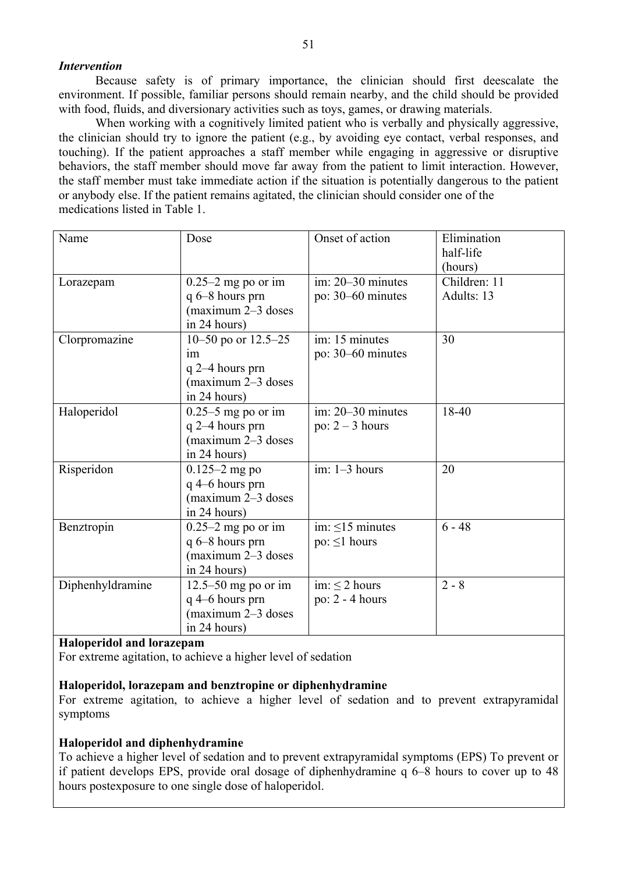### *Intervention*

Because safety is of primary importance, the clinician should first deescalate the environment. If possible, familiar persons should remain nearby, and the child should be provided with food, fluids, and diversionary activities such as toys, games, or drawing materials.

When working with a cognitively limited patient who is verbally and physically aggressive, the clinician should try to ignore the patient (e.g., by avoiding eye contact, verbal responses, and touching). If the patient approaches a staff member while engaging in aggressive or disruptive behaviors, the staff member should move far away from the patient to limit interaction. However, the staff member must take immediate action if the situation is potentially dangerous to the patient or anybody else. If the patient remains agitated, the clinician should consider one of the medications listed in Table 1.

| Name             | Dose                                                                                     | Onset of action                             | Elimination<br>half-life<br>(hours) |
|------------------|------------------------------------------------------------------------------------------|---------------------------------------------|-------------------------------------|
| Lorazepam        | $0.25 - 2$ mg po or im<br>$q$ 6–8 hours prn<br>(maximum 2-3 doses<br>in 24 hours)        | im: 20-30 minutes<br>po: 30–60 minutes      | Children: 11<br>Adults: 13          |
| Clorpromazine    | 10–50 po or $12.5-25$<br>1m<br>$q$ 2–4 hours prn<br>$(maximum 2-3$ doses<br>in 24 hours) | im: 15 minutes<br>po: 30–60 minutes         | 30                                  |
| Haloperidol      | $0.25 - 5$ mg po or im<br>q 2-4 hours prn<br>$(maximum 2-3$ doses<br>in 24 hours)        | im: 20–30 minutes<br>po: $2 - 3$ hours      | 18-40                               |
| Risperidon       | $0.125 - 2$ mg po<br>q 4–6 hours prn<br>$(maximum 2-3$ doses<br>in 24 hours)             | $\overline{\text{im}}$ : 1-3 hours          | 20                                  |
| Benztropin       | $0.25-2$ mg po or im<br>$q$ 6–8 hours prn<br>$(maximum 2-3$ doses<br>in 24 hours)        | im: $\leq 15$ minutes<br>$po: \leq 1$ hours | $6 - 48$                            |
| Diphenhyldramine | $12.5 - 50$ mg po or im<br>q 4–6 hours prn<br>$(maximum 2-3$ doses<br>in 24 hours)       | im: $\leq$ 2 hours<br>po: 2 - 4 hours       | $2 - 8$                             |

## **Haloperidol and lorazepam**

For extreme agitation, to achieve a higher level of sedation

## **Haloperidol, lorazepam and benztropine or diphenhydramine**

For extreme agitation, to achieve a higher level of sedation and to prevent extrapyramidal symptoms

## **Haloperidol and diphenhydramine**

To achieve a higher level of sedation and to prevent extrapyramidal symptoms (EPS) To prevent or if patient develops EPS, provide oral dosage of diphenhydramine q 6–8 hours to cover up to 48 hours postexposure to one single dose of haloperidol.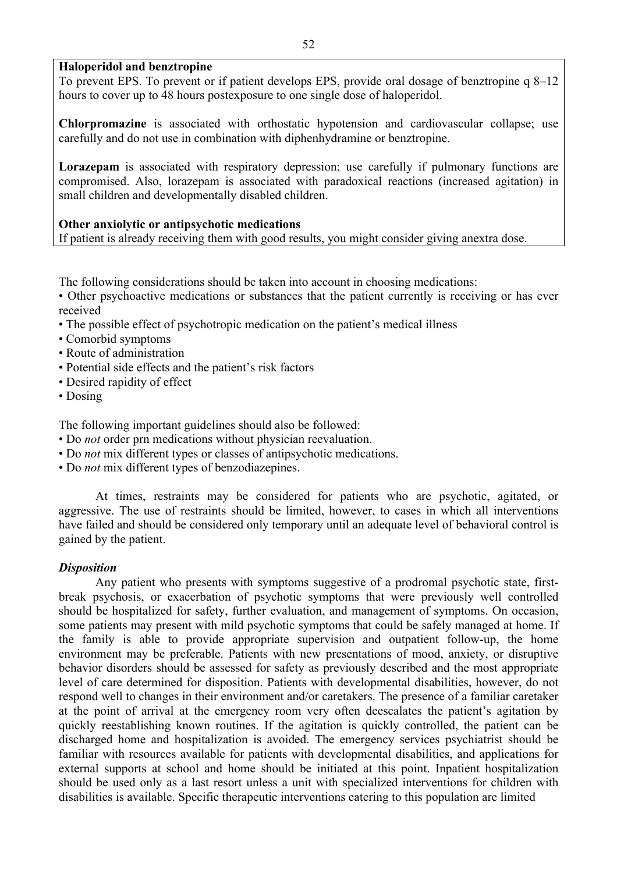## **Haloperidol and benztropine**

To prevent EPS. To prevent or if patient develops EPS, provide oral dosage of benztropine q 8–12 hours to cover up to 48 hours postexposure to one single dose of haloperidol.

**Chlorpromazine** is associated with orthostatic hypotension and cardiovascular collapse; use carefully and do not use in combination with diphenhydramine or benztropine.

Lorazepam is associated with respiratory depression; use carefully if pulmonary functions are compromised. Also, lorazepam is associated with paradoxical reactions (increased agitation) in small children and developmentally disabled children.

# **Other anxiolytic or antipsychotic medications**

If patient is already receiving them with good results, you might consider giving anextra dose.

The following considerations should be taken into account in choosing medications:

• Other psychoactive medications or substances that the patient currently is receiving or has ever received

- The possible effect of psychotropic medication on the patient's medical illness
- Comorbid symptoms
- Route of administration
- Potential side effects and the patient's risk factors
- Desired rapidity of effect
- Dosing

The following important guidelines should also be followed:

- Do *not* order prn medications without physician reevaluation.
- Do *not* mix different types or classes of antipsychotic medications.
- Do *not* mix different types of benzodiazepines.

At times, restraints may be considered for patients who are psychotic, agitated, or aggressive. The use of restraints should be limited, however, to cases in which all interventions have failed and should be considered only temporary until an adequate level of behavioral control is gained by the patient.

## *Disposition*

Any patient who presents with symptoms suggestive of a prodromal psychotic state, firstbreak psychosis, or exacerbation of psychotic symptoms that were previously well controlled should be hospitalized for safety, further evaluation, and management of symptoms. On occasion, some patients may present with mild psychotic symptoms that could be safely managed at home. If the family is able to provide appropriate supervision and outpatient follow-up, the home environment may be preferable. Patients with new presentations of mood, anxiety, or disruptive behavior disorders should be assessed for safety as previously described and the most appropriate level of care determined for disposition. Patients with developmental disabilities, however, do not respond well to changes in their environment and/or caretakers. The presence of a familiar caretaker at the point of arrival at the emergency room very often deescalates the patient's agitation by quickly reestablishing known routines. If the agitation is quickly controlled, the patient can be discharged home and hospitalization is avoided. The emergency services psychiatrist should be familiar with resources available for patients with developmental disabilities, and applications for external supports at school and home should be initiated at this point. Inpatient hospitalization should be used only as a last resort unless a unit with specialized interventions for children with disabilities is available. Specific therapeutic interventions catering to this population are limited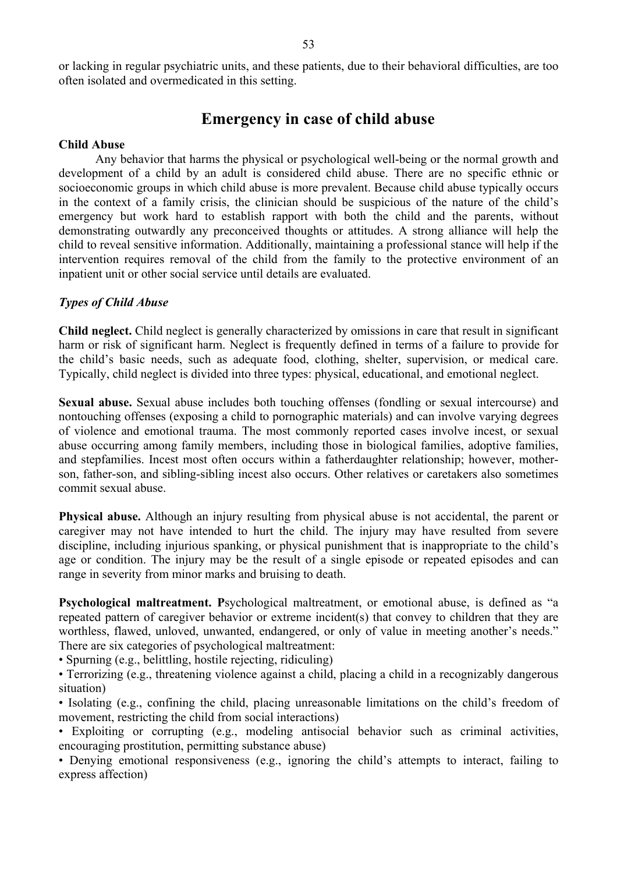or lacking in regular psychiatric units, and these patients, due to their behavioral difficulties, are too often isolated and overmedicated in this setting.

# **Emergency in case of child abuse**

### **Child Abuse**

Any behavior that harms the physical or psychological well-being or the normal growth and development of a child by an adult is considered child abuse. There are no specific ethnic or socioeconomic groups in which child abuse is more prevalent. Because child abuse typically occurs in the context of a family crisis, the clinician should be suspicious of the nature of the child's emergency but work hard to establish rapport with both the child and the parents, without demonstrating outwardly any preconceived thoughts or attitudes. A strong alliance will help the child to reveal sensitive information. Additionally, maintaining a professional stance will help if the intervention requires removal of the child from the family to the protective environment of an inpatient unit or other social service until details are evaluated.

### *Types of Child Abuse*

**Child neglect.** Child neglect is generally characterized by omissions in care that result in significant harm or risk of significant harm. Neglect is frequently defined in terms of a failure to provide for the child's basic needs, such as adequate food, clothing, shelter, supervision, or medical care. Typically, child neglect is divided into three types: physical, educational, and emotional neglect.

**Sexual abuse.** Sexual abuse includes both touching offenses (fondling or sexual intercourse) and nontouching offenses (exposing a child to pornographic materials) and can involve varying degrees of violence and emotional trauma. The most commonly reported cases involve incest, or sexual abuse occurring among family members, including those in biological families, adoptive families, and stepfamilies. Incest most often occurs within a fatherdaughter relationship; however, motherson, father-son, and sibling-sibling incest also occurs. Other relatives or caretakers also sometimes commit sexual abuse.

**Physical abuse.** Although an injury resulting from physical abuse is not accidental, the parent or caregiver may not have intended to hurt the child. The injury may have resulted from severe discipline, including injurious spanking, or physical punishment that is inappropriate to the child's age or condition. The injury may be the result of a single episode or repeated episodes and can range in severity from minor marks and bruising to death.

**Psychological maltreatment. P**sychological maltreatment, or emotional abuse, is defined as "a repeated pattern of caregiver behavior or extreme incident(s) that convey to children that they are worthless, flawed, unloved, unwanted, endangered, or only of value in meeting another's needs." There are six categories of psychological maltreatment:

• Spurning (e.g., belittling, hostile rejecting, ridiculing)

• Terrorizing (e.g., threatening violence against a child, placing a child in a recognizably dangerous situation)

• Isolating (e.g., confining the child, placing unreasonable limitations on the child's freedom of movement, restricting the child from social interactions)

• Exploiting or corrupting (e.g., modeling antisocial behavior such as criminal activities, encouraging prostitution, permitting substance abuse)

• Denying emotional responsiveness (e.g., ignoring the child's attempts to interact, failing to express affection)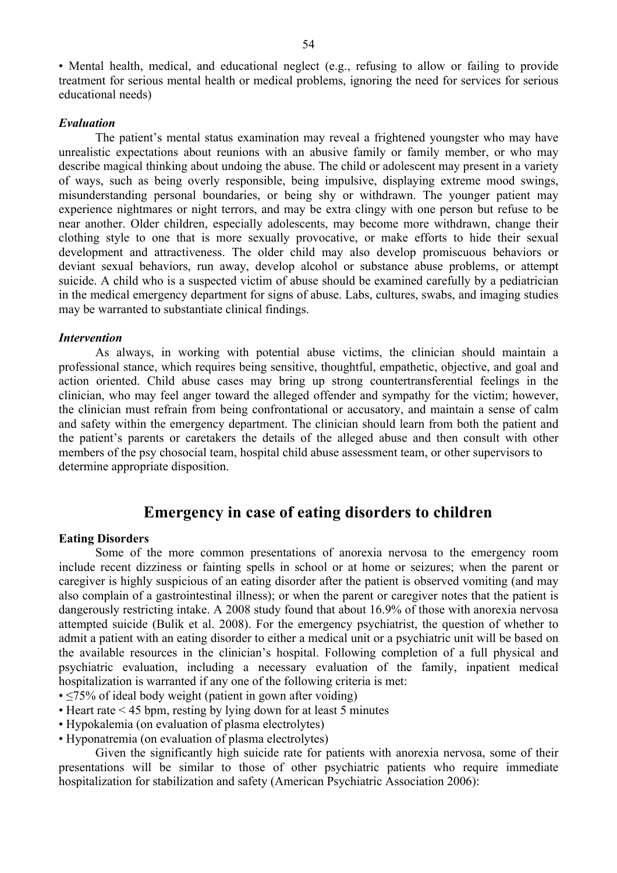• Mental health, medical, and educational neglect (e.g., refusing to allow or failing to provide treatment for serious mental health or medical problems, ignoring the need for services for serious educational needs)

### *Evaluation*

The patient's mental status examination may reveal a frightened youngster who may have unrealistic expectations about reunions with an abusive family or family member, or who may describe magical thinking about undoing the abuse. The child or adolescent may present in a variety of ways, such as being overly responsible, being impulsive, displaying extreme mood swings, misunderstanding personal boundaries, or being shy or withdrawn. The younger patient may experience nightmares or night terrors, and may be extra clingy with one person but refuse to be near another. Older children, especially adolescents, may become more withdrawn, change their clothing style to one that is more sexually provocative, or make efforts to hide their sexual development and attractiveness. The older child may also develop promiscuous behaviors or deviant sexual behaviors, run away, develop alcohol or substance abuse problems, or attempt suicide. A child who is a suspected victim of abuse should be examined carefully by a pediatrician in the medical emergency department for signs of abuse. Labs, cultures, swabs, and imaging studies may be warranted to substantiate clinical findings.

### *Intervention*

As always, in working with potential abuse victims, the clinician should maintain a professional stance, which requires being sensitive, thoughtful, empathetic, objective, and goal and action oriented. Child abuse cases may bring up strong countertransferential feelings in the clinician, who may feel anger toward the alleged offender and sympathy for the victim; however, the clinician must refrain from being confrontational or accusatory, and maintain a sense of calm and safety within the emergency department. The clinician should learn from both the patient and the patient's parents or caretakers the details of the alleged abuse and then consult with other members of the psy chosocial team, hospital child abuse assessment team, or other supervisors to determine appropriate disposition.

# **Emergency in case of eating disorders to children**

### **Eating Disorders**

Some of the more common presentations of anorexia nervosa to the emergency room include recent dizziness or fainting spells in school or at home or seizures; when the parent or caregiver is highly suspicious of an eating disorder after the patient is observed vomiting (and may also complain of a gastrointestinal illness); or when the parent or caregiver notes that the patient is dangerously restricting intake. A 2008 study found that about 16.9% of those with anorexia nervosa attempted suicide (Bulik et al. 2008). For the emergency psychiatrist, the question of whether to admit a patient with an eating disorder to either a medical unit or a psychiatric unit will be based on the available resources in the clinician's hospital. Following completion of a full physical and psychiatric evaluation, including a necessary evaluation of the family, inpatient medical hospitalization is warranted if any one of the following criteria is met:

- ≤75% of ideal body weight (patient in gown after voiding)
- Heart rate < 45 bpm, resting by lying down for at least 5 minutes
- Hypokalemia (on evaluation of plasma electrolytes)
- Hyponatremia (on evaluation of plasma electrolytes)

Given the significantly high suicide rate for patients with anorexia nervosa, some of their presentations will be similar to those of other psychiatric patients who require immediate hospitalization for stabilization and safety (American Psychiatric Association 2006):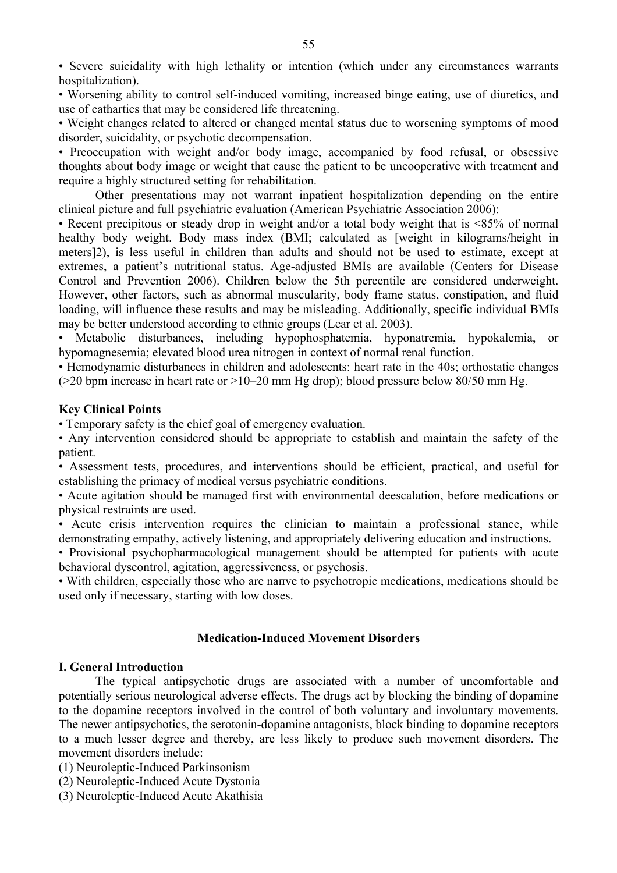• Severe suicidality with high lethality or intention (which under any circumstances warrants hospitalization).

• Worsening ability to control self-induced vomiting, increased binge eating, use of diuretics, and use of cathartics that may be considered life threatening.

• Weight changes related to altered or changed mental status due to worsening symptoms of mood disorder, suicidality, or psychotic decompensation.

• Preoccupation with weight and/or body image, accompanied by food refusal, or obsessive thoughts about body image or weight that cause the patient to be uncooperative with treatment and require a highly structured setting for rehabilitation.

Other presentations may not warrant inpatient hospitalization depending on the entire clinical picture and full psychiatric evaluation (American Psychiatric Association 2006):

• Recent precipitous or steady drop in weight and/or a total body weight that is <85% of normal healthy body weight. Body mass index (BMI; calculated as [weight in kilograms/height in meters]2), is less useful in children than adults and should not be used to estimate, except at extremes, a patient's nutritional status. Age-adjusted BMIs are available (Centers for Disease Control and Prevention 2006). Children below the 5th percentile are considered underweight. However, other factors, such as abnormal muscularity, body frame status, constipation, and fluid loading, will influence these results and may be misleading. Additionally, specific individual BMIs may be better understood according to ethnic groups (Lear et al. 2003).

• Metabolic disturbances, including hypophosphatemia, hyponatremia, hypokalemia, or hypomagnesemia; elevated blood urea nitrogen in context of normal renal function.

• Hemodynamic disturbances in children and adolescents: heart rate in the 40s; orthostatic changes ( $>$ 20 bpm increase in heart rate or  $>$ 10–20 mm Hg drop); blood pressure below 80/50 mm Hg.

### **Key Clinical Points**

• Temporary safety is the chief goal of emergency evaluation.

• Any intervention considered should be appropriate to establish and maintain the safety of the patient.

• Assessment tests, procedures, and interventions should be efficient, practical, and useful for establishing the primacy of medical versus psychiatric conditions.

• Acute agitation should be managed first with environmental deescalation, before medications or physical restraints are used.

• Acute crisis intervention requires the clinician to maintain a professional stance, while demonstrating empathy, actively listening, and appropriately delivering education and instructions.

• Provisional psychopharmacological management should be attempted for patients with acute behavioral dyscontrol, agitation, aggressiveness, or psychosis.

• With children, especially those who are nanve to psychotropic medications, medications should be used only if necessary, starting with low doses.

### **Medication-Induced Movement Disorders**

### **I. General Introduction**

The typical antipsychotic drugs are associated with a number of uncomfortable and potentially serious neurological adverse effects. The drugs act by blocking the binding of dopamine to the dopamine receptors involved in the control of both voluntary and involuntary movements. The newer antipsychotics, the serotonin-dopamine antagonists, block binding to dopamine receptors to a much lesser degree and thereby, are less likely to produce such movement disorders. The movement disorders include:

(1) Neuroleptic-Induced Parkinsonism

(2) Neuroleptic-Induced Acute Dystonia

(3) Neuroleptic-Induced Acute Akathisia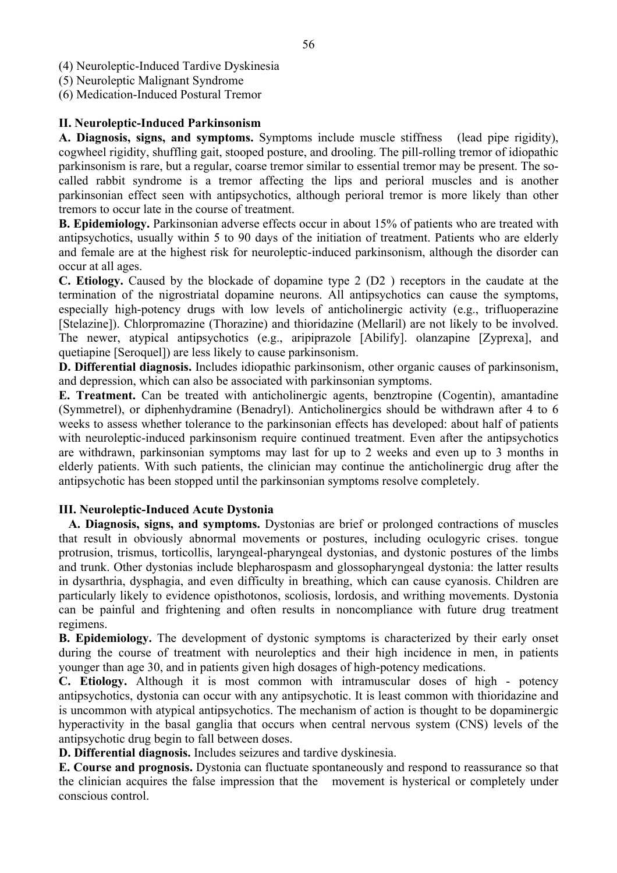(5) Neuroleptic Malignant Syndrome

(6) Medication-Induced Postural Tremor

## **II. Neuroleptic-Induced Parkinsonism**

**A. Diagnosis, signs, and symptoms.** Symptoms include muscle stiffness (lead pipe rigidity), cogwheel rigidity, shuffling gait, stooped posture, and drooling. The pill-rolling tremor of idiopathic parkinsonism is rare, but a regular, coarse tremor similar to essential tremor may be present. The socalled rabbit syndrome is a tremor affecting the lips and perioral muscles and is another parkinsonian effect seen with antipsychotics, although perioral tremor is more likely than other tremors to occur late in the course of treatment.

**B. Epidemiology.** Parkinsonian adverse effects occur in about 15% of patients who are treated with antipsychotics, usually within 5 to 90 days of the initiation of treatment. Patients who are elderly and female are at the highest risk for neuroleptic-induced parkinsonism, although the disorder can occur at all ages.

**C. Etiology.** Caused by the blockade of dopamine type 2 (D2 ) receptors in the caudate at the termination of the nigrostriatal dopamine neurons. All antipsychotics can cause the symptoms, especially high-potency drugs with low levels of anticholinergic activity (e.g., trifluoperazine [Stelazine]). Chlorpromazine (Thorazine) and thioridazine (Mellaril) are not likely to be involved. The newer, atypical antipsychotics (e.g., aripiprazole [Abilify]. olanzapine [Zyprexa], and quetiapine [Seroquel]) are less likely to cause parkinsonism.

**D. Differential diagnosis.** Includes idiopathic parkinsonism, other organic causes of parkinsonism, and depression, which can also be associated with parkinsonian symptoms.

**E. Treatment.** Can be treated with anticholinergic agents, benztropine (Cogentin), amantadine (Symmetrel), or diphenhydramine (Benadryl). Anticholinergics should be withdrawn after 4 to 6 weeks to assess whether tolerance to the parkinsonian effects has developed: about half of patients with neuroleptic-induced parkinsonism require continued treatment. Even after the antipsychotics are withdrawn, parkinsonian symptoms may last for up to 2 weeks and even up to 3 months in elderly patients. With such patients, the clinician may continue the anticholinergic drug after the antipsychotic has been stopped until the parkinsonian symptoms resolve completely.

# **III. Neuroleptic-Induced Acute Dystonia**

 **A. Diagnosis, signs, and symptoms.** Dystonias are brief or prolonged contractions of muscles that result in obviously abnormal movements or postures, including oculogyric crises. tongue protrusion, trismus, torticollis, laryngeal-pharyngeal dystonias, and dystonic postures of the limbs and trunk. Other dystonias include blepharospasm and glossopharyngeal dystonia: the latter results in dysarthria, dysphagia, and even difficulty in breathing, which can cause cyanosis. Children are particularly likely to evidence opisthotonos, scoliosis, lordosis, and writhing movements. Dystonia can be painful and frightening and often results in noncompliance with future drug treatment regimens.

**B. Epidemiology.** The development of dystonic symptoms is characterized by their early onset during the course of treatment with neuroleptics and their high incidence in men, in patients younger than age 30, and in patients given high dosages of high-potency medications.

**C. Etiology.** Although it is most common with intramuscular doses of high - potency antipsychotics, dystonia can occur with any antipsychotic. It is least common with thioridazine and is uncommon with atypical antipsychotics. The mechanism of action is thought to be dopaminergic hyperactivity in the basal ganglia that occurs when central nervous system (CNS) levels of the antipsychotic drug begin to fall between doses.

**D. Differential diagnosis.** Includes seizures and tardive dyskinesia.

**E. Course and prognosis.** Dystonia can fluctuate spontaneously and respond to reassurance so that the clinician acquires the false impression that the movement is hysterical or completely under conscious control.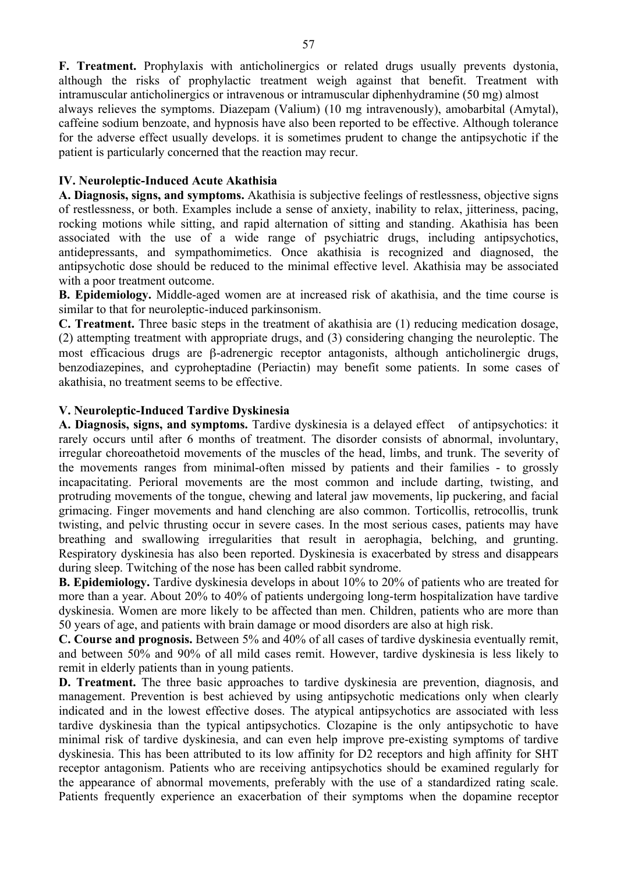**F. Treatment.** Prophylaxis with anticholinergics or related drugs usually prevents dystonia, although the risks of prophylactic treatment weigh against that benefit. Treatment with intramuscular anticholinergics or intravenous or intramuscular diphenhydramine (50 mg) almost always relieves the symptoms. Diazepam (Valium) (10 mg intravenously), amobarbital (Amytal), caffeine sodium benzoate, and hypnosis have also been reported to be effective. Although tolerance for the adverse effect usually develops. it is sometimes prudent to change the antipsychotic if the patient is particularly concerned that the reaction may recur.

## **IV. Neuroleptic-Induced Acute Akathisia**

**A. Diagnosis, signs, and symptoms.** Akathisia is subjective feelings of restlessness, objective signs of restlessness, or both. Examples include a sense of anxiety, inability to relax, jitteriness, pacing, rocking motions while sitting, and rapid alternation of sitting and standing. Akathisia has been associated with the use of a wide range of psychiatric drugs, including antipsychotics, antidepressants, and sympathomimetics. Once akathisia is recognized and diagnosed, the antipsychotic dose should be reduced to the minimal effective level. Akathisia may be associated with a poor treatment outcome.

**B. Epidemiology.** Middle-aged women are at increased risk of akathisia, and the time course is similar to that for neuroleptic-induced parkinsonism.

**C. Treatment.** Three basic steps in the treatment of akathisia are (1) reducing medication dosage, (2) attempting treatment with appropriate drugs, and (3) considering changing the neuroleptic. The most efficacious drugs are β-adrenergic receptor antagonists, although anticholinergic drugs, benzodiazepines, and cyproheptadine (Periactin) may benefit some patients. In some cases of akathisia, no treatment seems to be effective.

## **V. Neuroleptic-Induced Tardive Dyskinesia**

**A. Diagnosis, signs, and symptoms.** Tardive dyskinesia is a delayed effect of antipsychotics: it rarely occurs until after 6 months of treatment. The disorder consists of abnormal, involuntary, irregular choreoathetoid movements of the muscles of the head, limbs, and trunk. The severity of the movements ranges from minimal-often missed by patients and their families - to grossly incapacitating. Perioral movements are the most common and include darting, twisting, and protruding movements of the tongue, chewing and lateral jaw movements, lip puckering, and facial grimacing. Finger movements and hand clenching are also common. Torticollis, retrocollis, trunk twisting, and pelvic thrusting occur in severe cases. In the most serious cases, patients may have breathing and swallowing irregularities that result in aerophagia, belching, and grunting. Respiratory dyskinesia has also been reported. Dyskinesia is exacerbated by stress and disappears during sleep. Twitching of the nose has been called rabbit syndrome.

**B. Epidemiology.** Tardive dyskinesia develops in about 10% to 20% of patients who are treated for more than a year. About 20% to 40% of patients undergoing long-term hospitalization have tardive dyskinesia. Women are more likely to be affected than men. Children, patients who are more than 50 years of age, and patients with brain damage or mood disorders are also at high risk.

**C. Course and prognosis.** Between 5% and 40% of all cases of tardive dyskinesia eventually remit, and between 50% and 90% of all mild cases remit. However, tardive dyskinesia is less likely to remit in elderly patients than in young patients.

**D. Treatment.** The three basic approaches to tardive dyskinesia are prevention, diagnosis, and management. Prevention is best achieved by using antipsychotic medications only when clearly indicated and in the lowest effective doses. The atypical antipsychotics are associated with less tardive dyskinesia than the typical antipsychotics. Clozapine is the only antipsychotic to have minimal risk of tardive dyskinesia, and can even help improve pre-existing symptoms of tardive dyskinesia. This has been attributed to its low affinity for D2 receptors and high affinity for SHT receptor antagonism. Patients who are receiving antipsychotics should be examined regularly for the appearance of abnormal movements, preferably with the use of a standardized rating scale. Patients frequently experience an exacerbation of their symptoms when the dopamine receptor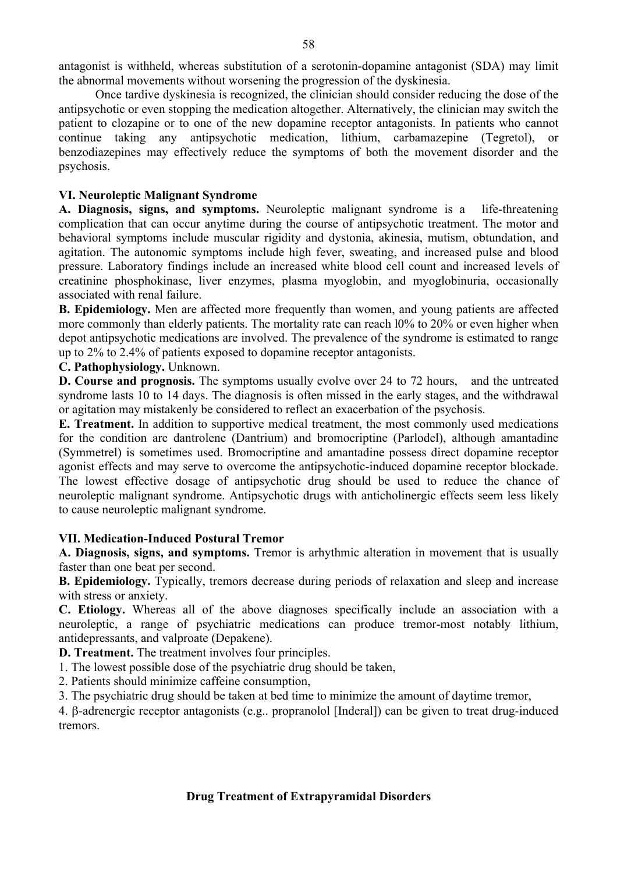antagonist is withheld, whereas substitution of a serotonin-dopamine antagonist (SDA) may limit the abnormal movements without worsening the progression of the dyskinesia.

Once tardive dyskinesia is recognized, the clinician should consider reducing the dose of the antipsychotic or even stopping the medication altogether. Alternatively, the clinician may switch the patient to clozapine or to one of the new dopamine receptor antagonists. In patients who cannot continue taking any antipsychotic medication, lithium, carbamazepine (Tegretol), or benzodiazepines may effectively reduce the symptoms of both the movement disorder and the psychosis.

## **VI. Neuroleptic Malignant Syndrome**

**A. Diagnosis, signs, and symptoms.** Neuroleptic malignant syndrome is a life-threatening complication that can occur anytime during the course of antipsychotic treatment. The motor and behavioral symptoms include muscular rigidity and dystonia, akinesia, mutism, obtundation, and agitation. The autonomic symptoms include high fever, sweating, and increased pulse and blood pressure. Laboratory findings include an increased white blood cell count and increased levels of creatinine phosphokinase, liver enzymes, plasma myoglobin, and myoglobinuria, occasionally associated with renal failure.

**B. Epidemiology.** Men are affected more frequently than women, and young patients are affected more commonly than elderly patients. The mortality rate can reach l0% to 20% or even higher when depot antipsychotic medications are involved. The prevalence of the syndrome is estimated to range up to 2% to 2.4% of patients exposed to dopamine receptor antagonists.

**C. Pathophysiology.** Unknown.

**D. Course and prognosis.** The symptoms usually evolve over 24 to 72 hours, and the untreated syndrome lasts 10 to 14 days. The diagnosis is often missed in the early stages, and the withdrawal or agitation may mistakenly be considered to reflect an exacerbation of the psychosis.

**E. Treatment.** In addition to supportive medical treatment, the most commonly used medications for the condition are dantrolene (Dantrium) and bromocriptine (Parlodel), although amantadine (Symmetrel) is sometimes used. Bromocriptine and amantadine possess direct dopamine receptor agonist effects and may serve to overcome the antipsychotic-induced dopamine receptor blockade. The lowest effective dosage of antipsychotic drug should be used to reduce the chance of neuroleptic malignant syndrome. Antipsychotic drugs with anticholinergic effects seem less likely to cause neuroleptic malignant syndrome.

## **VII. Medication-Induced Postural Tremor**

**A. Diagnosis, signs, and symptoms.** Tremor is arhythmic alteration in movement that is usually faster than one beat per second.

**B. Epidemiology.** Typically, tremors decrease during periods of relaxation and sleep and increase with stress or anxiety.

**C. Etiology.** Whereas all of the above diagnoses specifically include an association with a neuroleptic, a range of psychiatric medications can produce tremor-most notably lithium, antidepressants, and valproate (Depakene).

**D. Treatment.** The treatment involves four principles.

1. The lowest possible dose of the psychiatric drug should be taken,

2. Patients should minimize caffeine consumption,

3. The psychiatric drug should be taken at bed time to minimize the amount of daytime tremor,

4. β-adrenergic receptor antagonists (e.g.. propranolol [Inderal]) can be given to treat drug-induced tremors.

# **Drug Treatment of Extrapyramidal Disorders**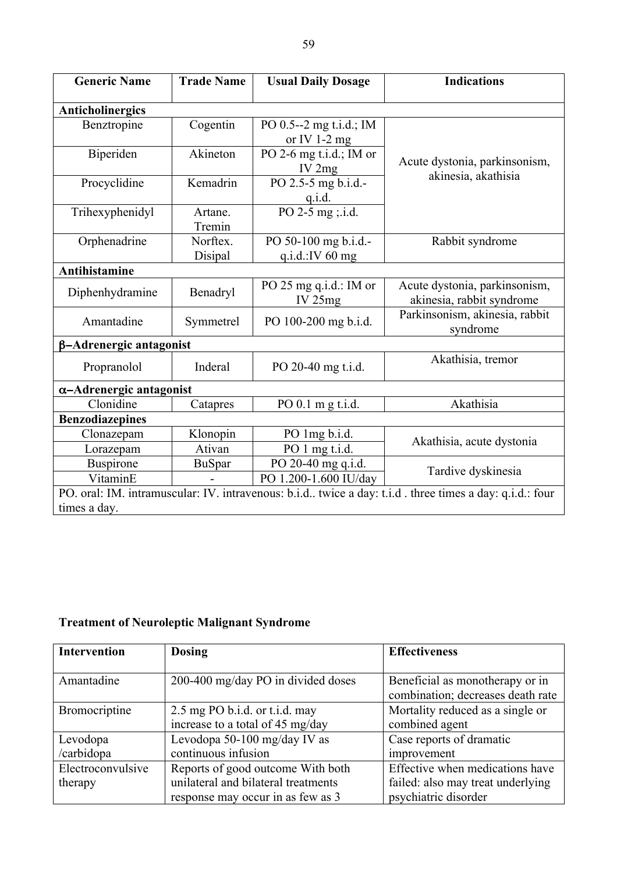| <b>Generic Name</b>                                                                                     | <b>Trade Name</b> | <b>Usual Daily Dosage</b>   | <b>Indications</b>                         |  |  |
|---------------------------------------------------------------------------------------------------------|-------------------|-----------------------------|--------------------------------------------|--|--|
| Anticholinergics                                                                                        |                   |                             |                                            |  |  |
| Benztropine                                                                                             | Cogentin          | PO 0.5--2 mg t.i.d.; IM     |                                            |  |  |
|                                                                                                         |                   | or IV 1-2 $mg$              |                                            |  |  |
| Biperiden                                                                                               | Akineton          | PO 2-6 mg t.i.d.; IM or     | Acute dystonia, parkinsonism,              |  |  |
|                                                                                                         |                   | IV 2mg                      | akinesia, akathisia                        |  |  |
| Procyclidine                                                                                            | Kemadrin          | PO 2.5-5 mg b.i.d.-         |                                            |  |  |
|                                                                                                         |                   | q.i.d.<br>PO 2-5 mg ; i.d.  |                                            |  |  |
| Trihexyphenidyl                                                                                         | Artane.           |                             |                                            |  |  |
|                                                                                                         | Tremin            |                             |                                            |  |  |
| Orphenadrine                                                                                            | Norftex.          | PO 50-100 mg b.i.d.-        | Rabbit syndrome                            |  |  |
|                                                                                                         | Disipal           | q.i.d.:IV $60$ mg           |                                            |  |  |
| <b>Antihistamine</b>                                                                                    |                   |                             |                                            |  |  |
| Diphenhydramine                                                                                         | Benadryl          | PO 25 mg q.i.d.: IM or      | Acute dystonia, parkinsonism,              |  |  |
|                                                                                                         |                   | IV $25mg$                   | akinesia, rabbit syndrome                  |  |  |
| Amantadine                                                                                              | Symmetrel         | PO 100-200 mg b.i.d.        | Parkinsonism, akinesia, rabbit<br>syndrome |  |  |
| $\beta$ -Adrenergic antagonist                                                                          |                   |                             |                                            |  |  |
| Propranolol                                                                                             | Inderal           | PO 20-40 mg t.i.d.          | Akathisia, tremor                          |  |  |
| $\alpha$ -Adrenergic antagonist                                                                         |                   |                             |                                            |  |  |
| Clonidine                                                                                               | Catapres          | PO 0.1 m g t.i.d.           | Akathisia                                  |  |  |
| <b>Benzodiazepines</b>                                                                                  |                   |                             |                                            |  |  |
| Clonazepam                                                                                              | Klonopin          | PO 1mg b.i.d.               | Akathisia, acute dystonia                  |  |  |
| Lorazepam                                                                                               | Ativan            | $\overline{P}O$ 1 mg t.i.d. |                                            |  |  |
| <b>Buspirone</b>                                                                                        | <b>BuSpar</b>     | PO 20-40 mg q.i.d.          |                                            |  |  |
| VitaminE                                                                                                |                   | PO 1.200-1.600 IU/day       | Tardive dyskinesia                         |  |  |
| PO. oral: IM. intramuscular: IV. intravenous: b.i.d twice a day: t.i.d. three times a day: q.i.d.: four |                   |                             |                                            |  |  |
| times a day.                                                                                            |                   |                             |                                            |  |  |

# **Treatment of Neuroleptic Malignant Syndrome**

| <b>Intervention</b> | <b>Dosing</b>                       | <b>Effectiveness</b>              |
|---------------------|-------------------------------------|-----------------------------------|
|                     |                                     |                                   |
| Amantadine          | 200-400 mg/day PO in divided doses  | Beneficial as monotherapy or in   |
|                     |                                     | combination; decreases death rate |
| Bromocriptine       | 2.5 mg PO b.i.d. or t.i.d. may      | Mortality reduced as a single or  |
|                     | increase to a total of 45 mg/day    | combined agent                    |
| Levodopa            | Levodopa 50-100 mg/day IV as        | Case reports of dramatic          |
| /carbidopa          | continuous infusion                 | improvement                       |
| Electroconvulsive   | Reports of good outcome With both   | Effective when medications have   |
| therapy             | unilateral and bilateral treatments | failed: also may treat underlying |
|                     | response may occur in as few as 3   | psychiatric disorder              |